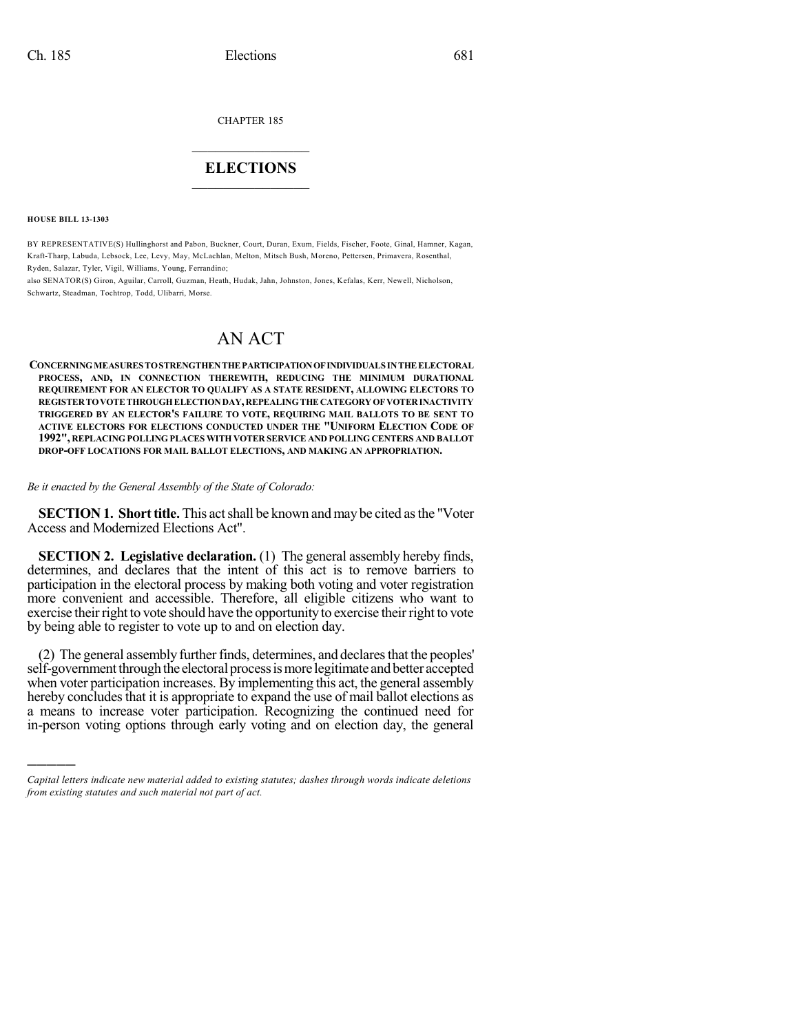CHAPTER 185

## $\mathcal{L}_\text{max}$  . The set of the set of the set of the set of the set of the set of the set of the set of the set of the set of the set of the set of the set of the set of the set of the set of the set of the set of the set **ELECTIONS**  $\_$

**HOUSE BILL 13-1303**

)))))

BY REPRESENTATIVE(S) Hullinghorst and Pabon, Buckner, Court, Duran, Exum, Fields, Fischer, Foote, Ginal, Hamner, Kagan, Kraft-Tharp, Labuda, Lebsock, Lee, Levy, May, McLachlan, Melton, Mitsch Bush, Moreno, Pettersen, Primavera, Rosenthal, Ryden, Salazar, Tyler, Vigil, Williams, Young, Ferrandino;

also SENATOR(S) Giron, Aguilar, Carroll, Guzman, Heath, Hudak, Jahn, Johnston, Jones, Kefalas, Kerr, Newell, Nicholson, Schwartz, Steadman, Tochtrop, Todd, Ulibarri, Morse.

# AN ACT

**CONCERNINGMEASURESTOSTRENGTHENTHE PARTICIPATIONOFINDIVIDUALSINTHE ELECTORAL PROCESS, AND, IN CONNECTION THEREWITH, REDUCING THE MINIMUM DURATIONAL REQUIREMENT FOR AN ELECTOR TO QUALIFY AS A STATE RESIDENT, ALLOWING ELECTORS TO REGISTERTOVOTETHROUGHELECTIONDAY,REPEALINGTHE CATEGORYOF VOTERINACTIVITY TRIGGERED BY AN ELECTOR'S FAILURE TO VOTE, REQUIRING MAIL BALLOTS TO BE SENT TO ACTIVE ELECTORS FOR ELECTIONS CONDUCTED UNDER THE "UNIFORM ELECTION CODE OF 1992", REPLACING POLLING PLACES WITH VOTER SERVICE AND POLLING CENTERS AND BALLOT DROP-OFF LOCATIONS FOR MAIL BALLOT ELECTIONS, AND MAKING AN APPROPRIATION.**

#### *Be it enacted by the General Assembly of the State of Colorado:*

**SECTION 1. Short title.** This act shall be known and may be cited as the "Voter" Access and Modernized Elections Act".

**SECTION 2. Legislative declaration.** (1) The general assembly hereby finds, determines, and declares that the intent of this act is to remove barriers to participation in the electoral process by making both voting and voter registration more convenient and accessible. Therefore, all eligible citizens who want to exercise their right to vote should have the opportunity to exercise their right to vote by being able to register to vote up to and on election day.

(2) The general assembly further finds, determines, and declares that the peoples' self-government through the electoral process is more legitimate and better accepted when voter participation increases. By implementing this act, the general assembly hereby concludes that it is appropriate to expand the use of mail ballot elections as a means to increase voter participation. Recognizing the continued need for in-person voting options through early voting and on election day, the general

*Capital letters indicate new material added to existing statutes; dashes through words indicate deletions from existing statutes and such material not part of act.*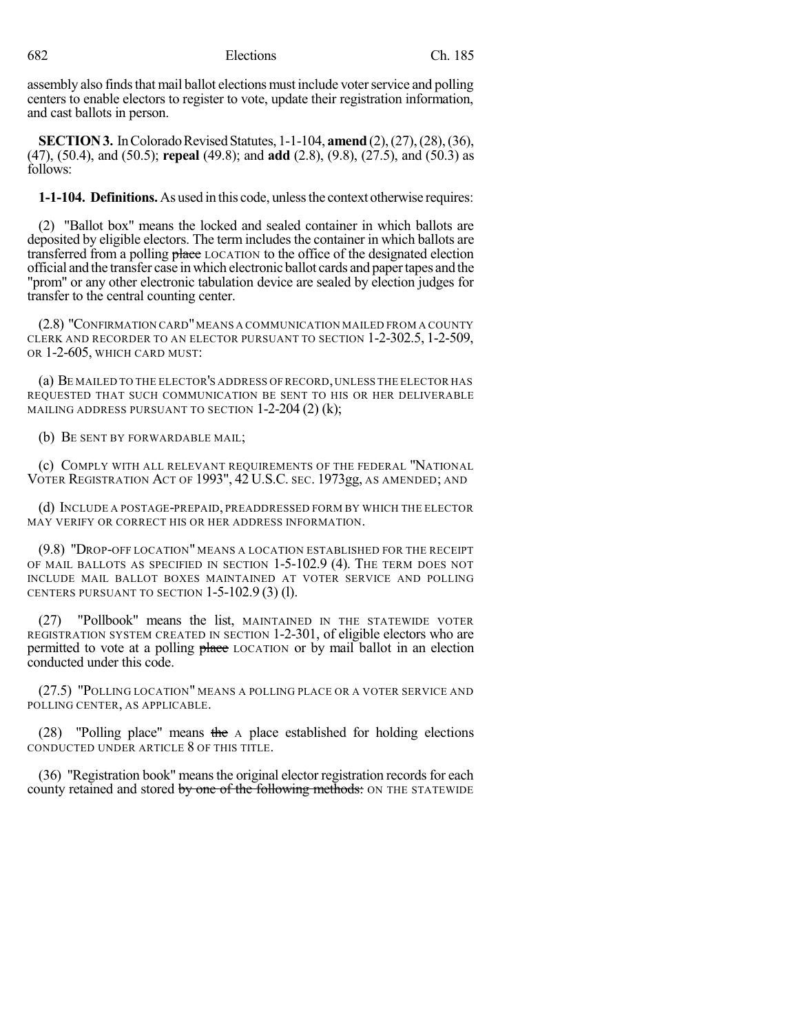assembly also finds that mail ballot elections must include voter service and polling centers to enable electors to register to vote, update their registration information, and cast ballots in person.

**SECTION 3.** In Colorado Revised Statutes, 1-1-104, **amend** (2), (27), (28), (36), (47), (50.4), and (50.5); **repeal** (49.8); and **add** (2.8), (9.8), (27.5), and (50.3) as follows:

**1-1-104. Definitions.** As used in this code, unlessthe context otherwise requires:

(2) "Ballot box" means the locked and sealed container in which ballots are deposited by eligible electors. The term includes the container in which ballots are transferred from a polling place LOCATION to the office of the designated election official and the transfer case in which electronic ballot cards and papertapes and the "prom" or any other electronic tabulation device are sealed by election judges for transfer to the central counting center.

(2.8) "CONFIRMATION CARD"MEANS A COMMUNICATION MAILED FROM A COUNTY CLERK AND RECORDER TO AN ELECTOR PURSUANT TO SECTION 1-2-302.5, 1-2-509, OR 1-2-605, WHICH CARD MUST:

(a) BE MAILED TO THE ELECTOR'S ADDRESS OF RECORD,UNLESS THE ELECTOR HAS REQUESTED THAT SUCH COMMUNICATION BE SENT TO HIS OR HER DELIVERABLE MAILING ADDRESS PURSUANT TO SECTION  $1-2-204(2)(k)$ ;

(b) BE SENT BY FORWARDABLE MAIL;

(c) COMPLY WITH ALL RELEVANT REQUIREMENTS OF THE FEDERAL "NATIONAL VOTER REGISTRATION ACT OF 1993", 42 U.S.C. SEC. 1973gg, AS AMENDED; AND

(d) INCLUDE A POSTAGE-PREPAID, PREADDRESSED FORM BY WHICH THE ELECTOR MAY VERIFY OR CORRECT HIS OR HER ADDRESS INFORMATION.

(9.8) "DROP-OFF LOCATION" MEANS A LOCATION ESTABLISHED FOR THE RECEIPT OF MAIL BALLOTS AS SPECIFIED IN SECTION 1-5-102.9 (4). THE TERM DOES NOT INCLUDE MAIL BALLOT BOXES MAINTAINED AT VOTER SERVICE AND POLLING CENTERS PURSUANT TO SECTION 1-5-102.9 (3) (l).

(27) "Pollbook" means the list, MAINTAINED IN THE STATEWIDE VOTER REGISTRATION SYSTEM CREATED IN SECTION 1-2-301, of eligible electors who are permitted to vote at a polling place LOCATION or by mail ballot in an election conducted under this code.

(27.5) "POLLING LOCATION" MEANS A POLLING PLACE OR A VOTER SERVICE AND POLLING CENTER, AS APPLICABLE.

(28) "Polling place" means the  $\Lambda$  place established for holding elections CONDUCTED UNDER ARTICLE 8 OF THIS TITLE.

(36) "Registration book" means the original elector registration records for each county retained and stored by one of the following methods: ON THE STATEWIDE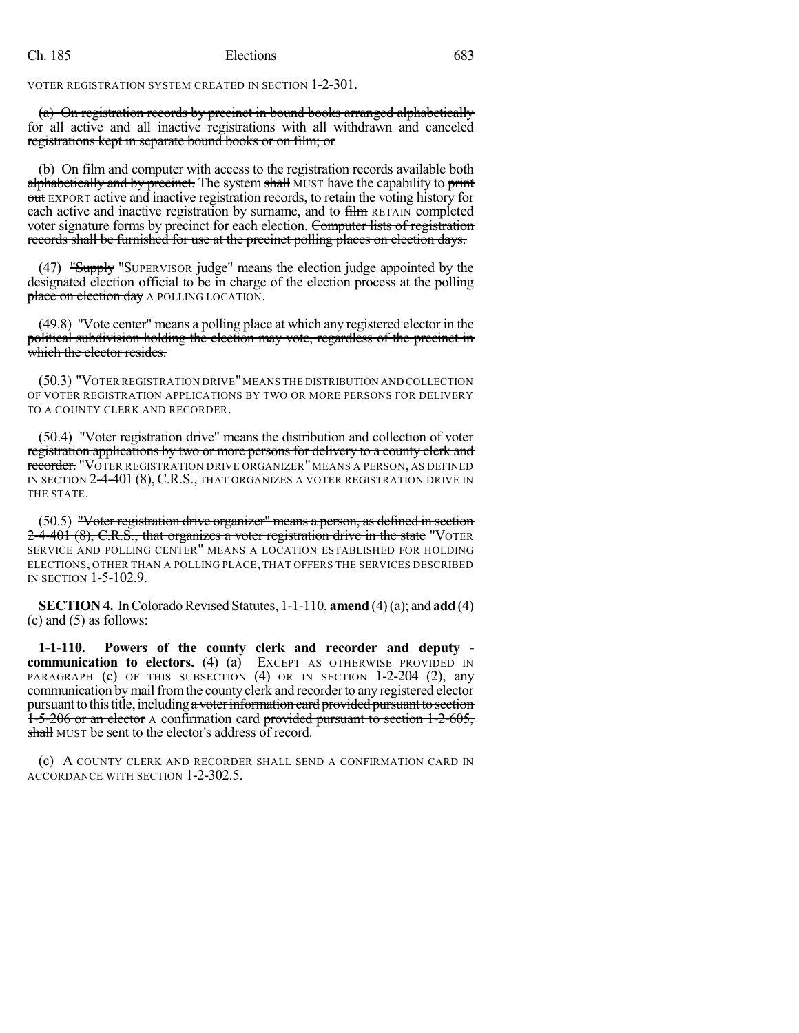VOTER REGISTRATION SYSTEM CREATED IN SECTION 1-2-301.

(a) On registration records by precinct in bound books arranged alphabetically for all active and all inactive registrations with all withdrawn and canceled registrations kept in separate bound books or on film; or

(b) On film and computer with access to the registration records available both alphabetically and by precinct. The system shall MUST have the capability to print out EXPORT active and inactive registration records, to retain the voting history for each active and inactive registration by surname, and to film RETAIN completed voter signature forms by precinct for each election. Computer lists of registration records shall be furnished for use at the precinct polling places on election days.

(47) "Supply "SUPERVISOR judge" means the election judge appointed by the designated election official to be in charge of the election process at the polling place on election day A POLLING LOCATION.

(49.8) "Vote center" means a polling place at which any registered elector in the political subdivision holding the election may vote, regardless of the precinct in which the elector resides.

(50.3) "VOTER REGISTRATION DRIVE"MEANS THE DISTRIBUTION AND COLLECTION OF VOTER REGISTRATION APPLICATIONS BY TWO OR MORE PERSONS FOR DELIVERY TO A COUNTY CLERK AND RECORDER.

(50.4) "Voter registration drive" means the distribution and collection of voter registration applications by two or more persons for delivery to a county clerk and recorder. "VOTER REGISTRATION DRIVE ORGANIZER" MEANS A PERSON, AS DEFINED IN SECTION 2-4-401 (8), C.R.S., THAT ORGANIZES A VOTER REGISTRATION DRIVE IN THE STATE.

(50.5) "Voter registration drive organizer" means a person, as defined in section 2-4-401 (8), C.R.S., that organizes a voter registration drive in the state "VOTER SERVICE AND POLLING CENTER" MEANS A LOCATION ESTABLISHED FOR HOLDING ELECTIONS, OTHER THAN A POLLING PLACE, THAT OFFERS THE SERVICES DESCRIBED IN SECTION 1-5-102.9.

**SECTION 4.** In Colorado Revised Statutes, 1-1-110, **amend** (4)(a); and **add** (4)  $(c)$  and  $(5)$  as follows:

**1-1-110. Powers of the county clerk and recorder and deputy communication to electors.** (4) (a) EXCEPT AS OTHERWISE PROVIDED IN PARAGRAPH (c) OF THIS SUBSECTION (4) OR IN SECTION 1-2-204 (2), any communication bymailfromthe county clerk and recorderto any registered elector pursuant to this title, including a voter information card provided pursuant to section 1-5-206 or an elector A confirmation card provided pursuant to section 1-2-605, shall MUST be sent to the elector's address of record.

(c) A COUNTY CLERK AND RECORDER SHALL SEND A CONFIRMATION CARD IN ACCORDANCE WITH SECTION 1-2-302.5.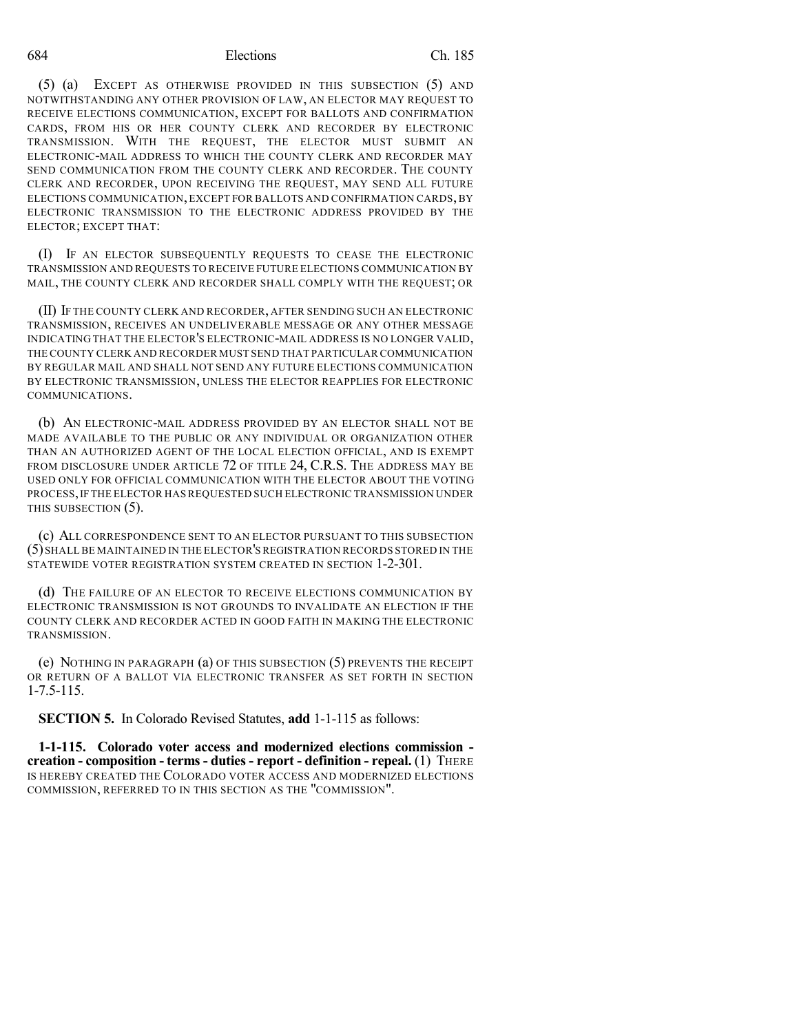#### 684 Elections Ch. 185

(5) (a) EXCEPT AS OTHERWISE PROVIDED IN THIS SUBSECTION (5) AND NOTWITHSTANDING ANY OTHER PROVISION OF LAW, AN ELECTOR MAY REQUEST TO RECEIVE ELECTIONS COMMUNICATION, EXCEPT FOR BALLOTS AND CONFIRMATION CARDS, FROM HIS OR HER COUNTY CLERK AND RECORDER BY ELECTRONIC TRANSMISSION. WITH THE REQUEST, THE ELECTOR MUST SUBMIT AN ELECTRONIC-MAIL ADDRESS TO WHICH THE COUNTY CLERK AND RECORDER MAY SEND COMMUNICATION FROM THE COUNTY CLERK AND RECORDER. THE COUNTY CLERK AND RECORDER, UPON RECEIVING THE REQUEST, MAY SEND ALL FUTURE ELECTIONS COMMUNICATION,EXCEPT FOR BALLOTS AND CONFIRMATION CARDS, BY ELECTRONIC TRANSMISSION TO THE ELECTRONIC ADDRESS PROVIDED BY THE ELECTOR; EXCEPT THAT:

(I) IF AN ELECTOR SUBSEQUENTLY REQUESTS TO CEASE THE ELECTRONIC TRANSMISSION AND REQUESTS TO RECEIVE FUTURE ELECTIONS COMMUNICATION BY MAIL, THE COUNTY CLERK AND RECORDER SHALL COMPLY WITH THE REQUEST; OR

(II) IF THE COUNTY CLERK AND RECORDER, AFTER SENDING SUCH AN ELECTRONIC TRANSMISSION, RECEIVES AN UNDELIVERABLE MESSAGE OR ANY OTHER MESSAGE INDICATING THAT THE ELECTOR'S ELECTRONIC-MAIL ADDRESS IS NO LONGER VALID, THE COUNTY CLERK AND RECORDER MUST SEND THAT PARTICULAR COMMUNICATION BY REGULAR MAIL AND SHALL NOT SEND ANY FUTURE ELECTIONS COMMUNICATION BY ELECTRONIC TRANSMISSION, UNLESS THE ELECTOR REAPPLIES FOR ELECTRONIC COMMUNICATIONS.

(b) AN ELECTRONIC-MAIL ADDRESS PROVIDED BY AN ELECTOR SHALL NOT BE MADE AVAILABLE TO THE PUBLIC OR ANY INDIVIDUAL OR ORGANIZATION OTHER THAN AN AUTHORIZED AGENT OF THE LOCAL ELECTION OFFICIAL, AND IS EXEMPT FROM DISCLOSURE UNDER ARTICLE 72 OF TITLE 24, C.R.S. THE ADDRESS MAY BE USED ONLY FOR OFFICIAL COMMUNICATION WITH THE ELECTOR ABOUT THE VOTING PROCESS,IF THE ELECTOR HAS REQUESTED SUCH ELECTRONIC TRANSMISSION UNDER THIS SUBSECTION (5).

(c) ALL CORRESPONDENCE SENT TO AN ELECTOR PURSUANT TO THIS SUBSECTION (5)SHALLBE MAINTAINED IN THE ELECTOR'S REGISTRATION RECORDS STORED IN THE STATEWIDE VOTER REGISTRATION SYSTEM CREATED IN SECTION 1-2-301.

(d) THE FAILURE OF AN ELECTOR TO RECEIVE ELECTIONS COMMUNICATION BY ELECTRONIC TRANSMISSION IS NOT GROUNDS TO INVALIDATE AN ELECTION IF THE COUNTY CLERK AND RECORDER ACTED IN GOOD FAITH IN MAKING THE ELECTRONIC TRANSMISSION.

(e) NOTHING IN PARAGRAPH (a) OF THIS SUBSECTION (5) PREVENTS THE RECEIPT OR RETURN OF A BALLOT VIA ELECTRONIC TRANSFER AS SET FORTH IN SECTION 1-7.5-115.

**SECTION 5.** In Colorado Revised Statutes, **add** 1-1-115 as follows:

**1-1-115. Colorado voter access and modernized elections commission creation - composition - terms- duties - report - definition - repeal.** (1) THERE IS HEREBY CREATED THE COLORADO VOTER ACCESS AND MODERNIZED ELECTIONS COMMISSION, REFERRED TO IN THIS SECTION AS THE "COMMISSION".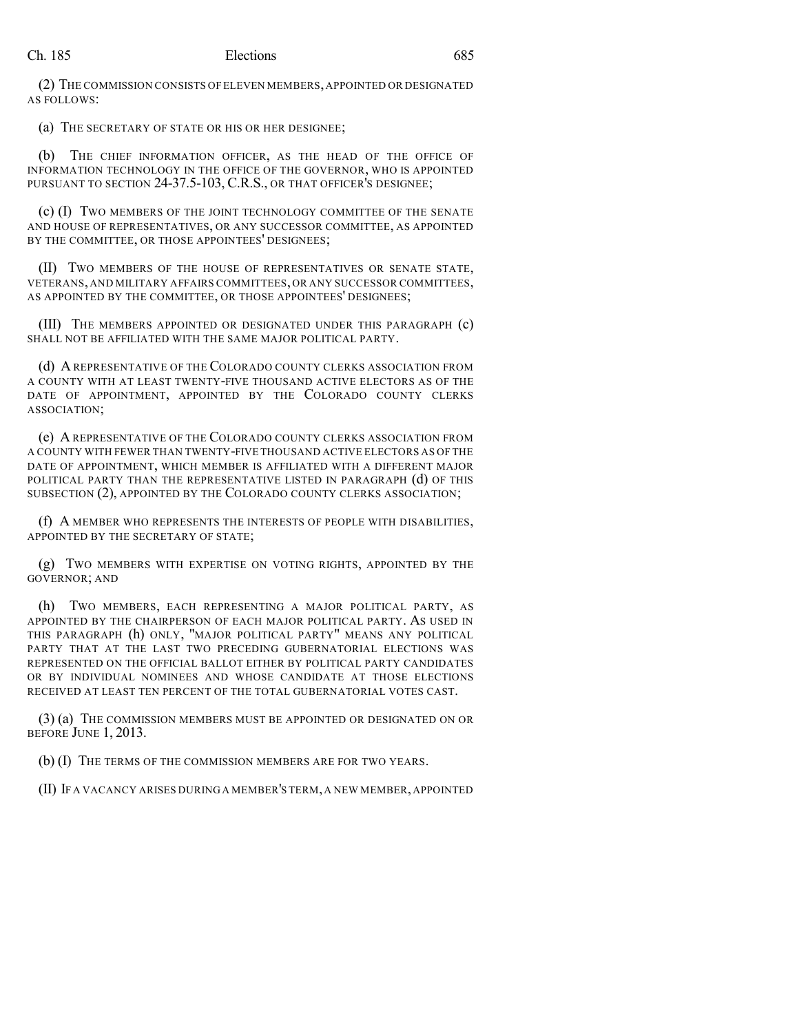(2) THE COMMISSION CONSISTS OF ELEVEN MEMBERS,APPOINTED OR DESIGNATED AS FOLLOWS:

(a) THE SECRETARY OF STATE OR HIS OR HER DESIGNEE;

(b) THE CHIEF INFORMATION OFFICER, AS THE HEAD OF THE OFFICE OF INFORMATION TECHNOLOGY IN THE OFFICE OF THE GOVERNOR, WHO IS APPOINTED PURSUANT TO SECTION 24-37.5-103, C.R.S., OR THAT OFFICER'S DESIGNEE;

(c) (I) TWO MEMBERS OF THE JOINT TECHNOLOGY COMMITTEE OF THE SENATE AND HOUSE OF REPRESENTATIVES, OR ANY SUCCESSOR COMMITTEE, AS APPOINTED BY THE COMMITTEE, OR THOSE APPOINTEES' DESIGNEES;

(II) TWO MEMBERS OF THE HOUSE OF REPRESENTATIVES OR SENATE STATE, VETERANS, AND MILITARY AFFAIRS COMMITTEES, OR ANY SUCCESSOR COMMITTEES, AS APPOINTED BY THE COMMITTEE, OR THOSE APPOINTEES' DESIGNEES;

(III) THE MEMBERS APPOINTED OR DESIGNATED UNDER THIS PARAGRAPH (c) SHALL NOT BE AFFILIATED WITH THE SAME MAJOR POLITICAL PARTY.

(d) A REPRESENTATIVE OF THE COLORADO COUNTY CLERKS ASSOCIATION FROM A COUNTY WITH AT LEAST TWENTY-FIVE THOUSAND ACTIVE ELECTORS AS OF THE DATE OF APPOINTMENT, APPOINTED BY THE COLORADO COUNTY CLERKS ASSOCIATION;

(e) A REPRESENTATIVE OF THE COLORADO COUNTY CLERKS ASSOCIATION FROM A COUNTY WITH FEWER THAN TWENTY-FIVE THOUSAND ACTIVE ELECTORS AS OF THE DATE OF APPOINTMENT, WHICH MEMBER IS AFFILIATED WITH A DIFFERENT MAJOR POLITICAL PARTY THAN THE REPRESENTATIVE LISTED IN PARAGRAPH (d) OF THIS SUBSECTION (2), APPOINTED BY THE COLORADO COUNTY CLERKS ASSOCIATION;

(f) A MEMBER WHO REPRESENTS THE INTERESTS OF PEOPLE WITH DISABILITIES, APPOINTED BY THE SECRETARY OF STATE;

(g) TWO MEMBERS WITH EXPERTISE ON VOTING RIGHTS, APPOINTED BY THE GOVERNOR; AND

(h) TWO MEMBERS, EACH REPRESENTING A MAJOR POLITICAL PARTY, AS APPOINTED BY THE CHAIRPERSON OF EACH MAJOR POLITICAL PARTY. AS USED IN THIS PARAGRAPH (h) ONLY, "MAJOR POLITICAL PARTY" MEANS ANY POLITICAL PARTY THAT AT THE LAST TWO PRECEDING GUBERNATORIAL ELECTIONS WAS REPRESENTED ON THE OFFICIAL BALLOT EITHER BY POLITICAL PARTY CANDIDATES OR BY INDIVIDUAL NOMINEES AND WHOSE CANDIDATE AT THOSE ELECTIONS RECEIVED AT LEAST TEN PERCENT OF THE TOTAL GUBERNATORIAL VOTES CAST.

(3) (a) THE COMMISSION MEMBERS MUST BE APPOINTED OR DESIGNATED ON OR BEFORE JUNE 1, 2013.

(b) (I) THE TERMS OF THE COMMISSION MEMBERS ARE FOR TWO YEARS.

(II) IF A VACANCY ARISES DURING A MEMBER'S TERM,A NEW MEMBER, APPOINTED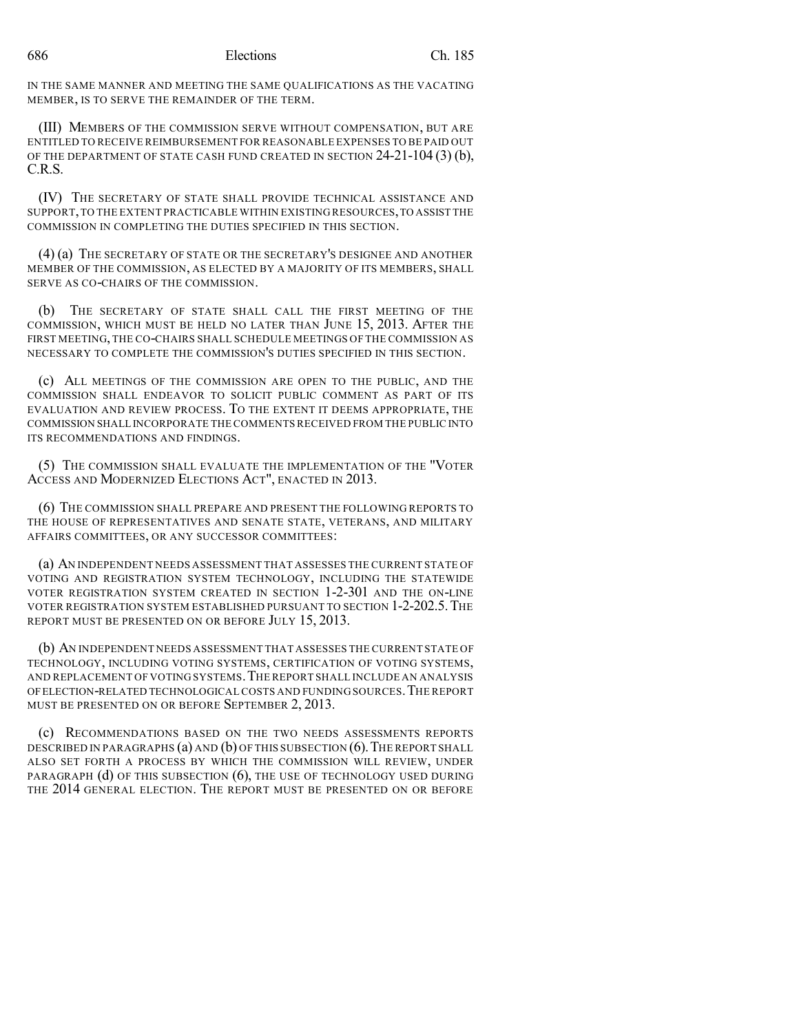IN THE SAME MANNER AND MEETING THE SAME QUALIFICATIONS AS THE VACATING MEMBER, IS TO SERVE THE REMAINDER OF THE TERM.

(III) MEMBERS OF THE COMMISSION SERVE WITHOUT COMPENSATION, BUT ARE ENTITLED TO RECEIVE REIMBURSEMENT FOR REASONABLE EXPENSES TO BE PAID OUT OF THE DEPARTMENT OF STATE CASH FUND CREATED IN SECTION 24-21-104 (3) (b), C.R.S.

(IV) THE SECRETARY OF STATE SHALL PROVIDE TECHNICAL ASSISTANCE AND SUPPORT,TO THE EXTENT PRACTICABLE WITHIN EXISTING RESOURCES,TO ASSIST THE COMMISSION IN COMPLETING THE DUTIES SPECIFIED IN THIS SECTION.

(4) (a) THE SECRETARY OF STATE OR THE SECRETARY'S DESIGNEE AND ANOTHER MEMBER OF THE COMMISSION, AS ELECTED BY A MAJORITY OF ITS MEMBERS, SHALL SERVE AS CO-CHAIRS OF THE COMMISSION.

(b) THE SECRETARY OF STATE SHALL CALL THE FIRST MEETING OF THE COMMISSION, WHICH MUST BE HELD NO LATER THAN JUNE 15, 2013. AFTER THE FIRST MEETING, THE CO-CHAIRS SHALL SCHEDULE MEETINGS OF THE COMMISSION AS NECESSARY TO COMPLETE THE COMMISSION'S DUTIES SPECIFIED IN THIS SECTION.

(c) ALL MEETINGS OF THE COMMISSION ARE OPEN TO THE PUBLIC, AND THE COMMISSION SHALL ENDEAVOR TO SOLICIT PUBLIC COMMENT AS PART OF ITS EVALUATION AND REVIEW PROCESS. TO THE EXTENT IT DEEMS APPROPRIATE, THE COMMISSION SHALL INCORPORATE THE COMMENTS RECEIVED FROM THE PUBLIC INTO ITS RECOMMENDATIONS AND FINDINGS.

(5) THE COMMISSION SHALL EVALUATE THE IMPLEMENTATION OF THE "VOTER ACCESS AND MODERNIZED ELECTIONS ACT", ENACTED IN 2013.

(6) THE COMMISSION SHALL PREPARE AND PRESENT THE FOLLOWING REPORTS TO THE HOUSE OF REPRESENTATIVES AND SENATE STATE, VETERANS, AND MILITARY AFFAIRS COMMITTEES, OR ANY SUCCESSOR COMMITTEES:

(a) AN INDEPENDENT NEEDS ASSESSMENT THAT ASSESSES THE CURRENT STATE OF VOTING AND REGISTRATION SYSTEM TECHNOLOGY, INCLUDING THE STATEWIDE VOTER REGISTRATION SYSTEM CREATED IN SECTION 1-2-301 AND THE ON-LINE VOTER REGISTRATION SYSTEM ESTABLISHED PURSUANT TO SECTION 1-2-202.5.THE REPORT MUST BE PRESENTED ON OR BEFORE JULY 15, 2013.

(b) AN INDEPENDENT NEEDS ASSESSMENT THAT ASSESSES THE CURRENT STATE OF TECHNOLOGY, INCLUDING VOTING SYSTEMS, CERTIFICATION OF VOTING SYSTEMS, AND REPLACEMENT OF VOTING SYSTEMS.THE REPORT SHALL INCLUDE AN ANALYSIS OFELECTION-RELATED TECHNOLOGICAL COSTS AND FUNDING SOURCES.THE REPORT MUST BE PRESENTED ON OR BEFORE SEPTEMBER 2, 2013.

(c) RECOMMENDATIONS BASED ON THE TWO NEEDS ASSESSMENTS REPORTS DESCRIBED IN PARAGRAPHS (a) AND (b) OF THIS SUBSECTION  $(6)$ . THE REPORT SHALL ALSO SET FORTH A PROCESS BY WHICH THE COMMISSION WILL REVIEW, UNDER PARAGRAPH (d) OF THIS SUBSECTION (6), THE USE OF TECHNOLOGY USED DURING THE 2014 GENERAL ELECTION. THE REPORT MUST BE PRESENTED ON OR BEFORE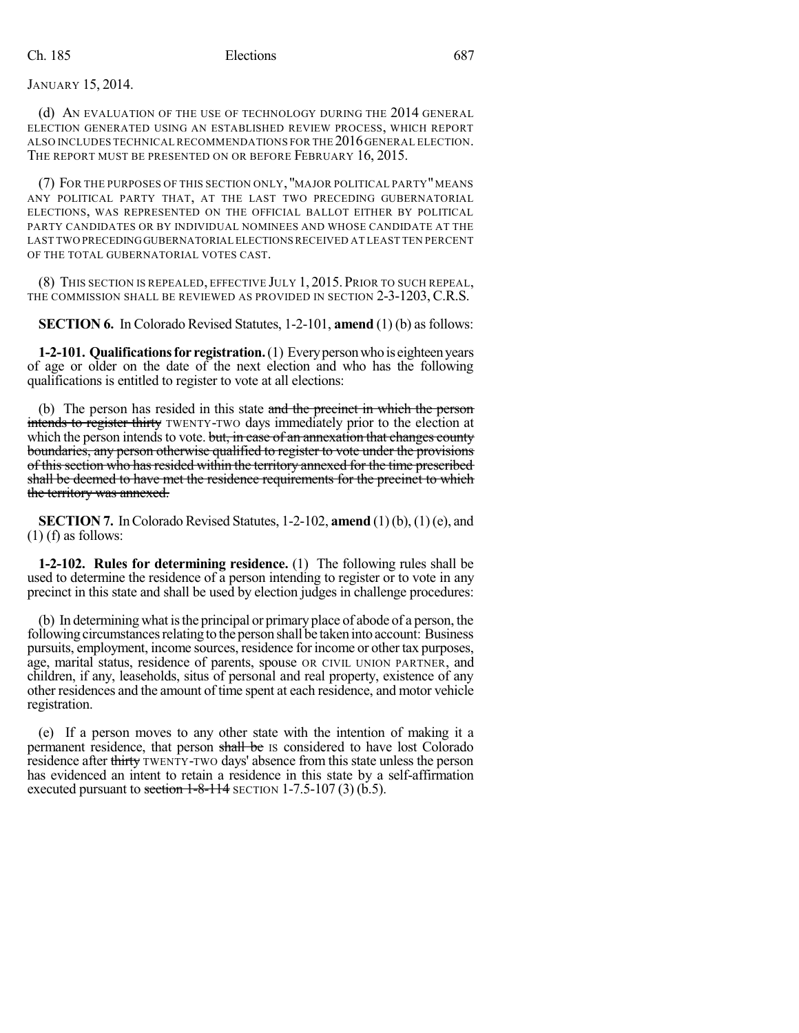JANUARY 15, 2014.

(d) AN EVALUATION OF THE USE OF TECHNOLOGY DURING THE 2014 GENERAL ELECTION GENERATED USING AN ESTABLISHED REVIEW PROCESS, WHICH REPORT ALSO INCLUDES TECHNICAL RECOMMENDATIONS FOR THE 2016GENERAL ELECTION. THE REPORT MUST BE PRESENTED ON OR BEFORE FEBRUARY 16, 2015.

(7) FOR THE PURPOSES OF THIS SECTION ONLY, "MAJOR POLITICAL PARTY"MEANS ANY POLITICAL PARTY THAT, AT THE LAST TWO PRECEDING GUBERNATORIAL ELECTIONS, WAS REPRESENTED ON THE OFFICIAL BALLOT EITHER BY POLITICAL PARTY CANDIDATES OR BY INDIVIDUAL NOMINEES AND WHOSE CANDIDATE AT THE LAST TWO PRECEDINGGUBERNATORIAL ELECTIONSRECEIVED AT LEAST TEN PERCENT OF THE TOTAL GUBERNATORIAL VOTES CAST.

(8) THIS SECTION IS REPEALED, EFFECTIVE JULY 1, 2015. PRIOR TO SUCH REPEAL, THE COMMISSION SHALL BE REVIEWED AS PROVIDED IN SECTION 2-3-1203, C.R.S.

**SECTION 6.** In Colorado Revised Statutes, 1-2-101, **amend** (1) (b) as follows:

**1-2-101. Qualifications for registration.** (1) Every person who is eighteen years of age or older on the date of the next election and who has the following qualifications is entitled to register to vote at all elections:

(b) The person has resided in this state and the precinct in which the person intends to register thirty TWENTY-TWO days immediately prior to the election at which the person intends to vote. but, in case of an annexation that changes county boundaries, any person otherwise qualified to register to vote under the provisions of this section who hasresided within the territory annexed for the time prescribed shall be deemed to have met the residence requirements for the precinct to which the territory was annexed.

**SECTION 7.** In Colorado Revised Statutes, 1-2-102, **amend** (1)(b), (1)(e), and (1) (f) as follows:

**1-2-102. Rules for determining residence.** (1) The following rules shall be used to determine the residence of a person intending to register or to vote in any precinct in this state and shall be used by election judges in challenge procedures:

(b) In determining what isthe principal or primary place of abode of a person, the following circumstances relating to the person shall be taken into account: Business pursuits, employment, income sources, residence for income or other tax purposes, age, marital status, residence of parents, spouse OR CIVIL UNION PARTNER, and children, if any, leaseholds, situs of personal and real property, existence of any other residences and the amount of time spent at each residence, and motor vehicle registration.

(e) If a person moves to any other state with the intention of making it a permanent residence, that person shall be IS considered to have lost Colorado residence after thirty TWENTY-TWO days' absence from this state unless the person has evidenced an intent to retain a residence in this state by a self-affirmation executed pursuant to section  $1-8-114$  SECTION 1-7.5-107 (3) (b.5).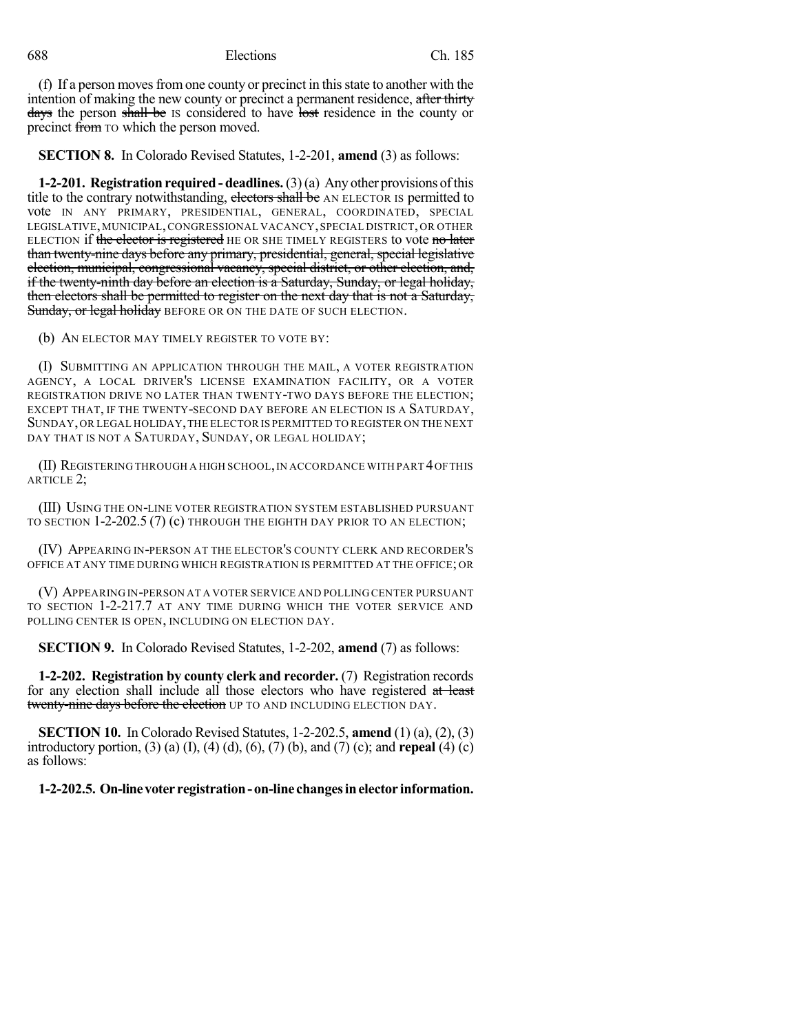688 Elections Ch. 185

(f) If a person movesfromone county or precinct in thisstate to another with the intention of making the new county or precinct a permanent residence, after thirty days the person shall be IS considered to have lost residence in the county or precinct from TO which the person moved.

**SECTION 8.** In Colorado Revised Statutes, 1-2-201, **amend** (3) as follows:

**1-2-201. Registration required- deadlines.**(3)(a) Any other provisions ofthis title to the contrary notwithstanding, electors shall be AN ELECTOR IS permitted to vote IN ANY PRIMARY, PRESIDENTIAL, GENERAL, COORDINATED, SPECIAL LEGISLATIVE, MUNICIPAL,CONGRESSIONAL VACANCY, SPECIAL DISTRICT, OR OTHER ELECTION if the elector is registered HE OR SHE TIMELY REGISTERS to vote no later than twenty-nine days before any primary, presidential, general, special legislative election, municipal, congressional vacancy, special district, or other election, and, if the twenty-ninth day before an election is a Saturday, Sunday, or legal holiday, then electors shall be permitted to register on the next day that is not a Saturday, Sunday, or legal holiday BEFORE OR ON THE DATE OF SUCH ELECTION.

(b) AN ELECTOR MAY TIMELY REGISTER TO VOTE BY:

(I) SUBMITTING AN APPLICATION THROUGH THE MAIL, A VOTER REGISTRATION AGENCY, A LOCAL DRIVER'S LICENSE EXAMINATION FACILITY, OR A VOTER REGISTRATION DRIVE NO LATER THAN TWENTY-TWO DAYS BEFORE THE ELECTION; EXCEPT THAT, IF THE TWENTY-SECOND DAY BEFORE AN ELECTION IS A SATURDAY, SUNDAY,OR LEGAL HOLIDAY,THE ELECTOR IS PERMITTED TO REGISTER ON THE NEXT DAY THAT IS NOT A SATURDAY, SUNDAY, OR LEGAL HOLIDAY;

(II) REGISTERING THROUGH A HIGH SCHOOL,IN ACCORDANCE WITH PART 4OFTHIS ARTICLE 2;

(III) USING THE ON-LINE VOTER REGISTRATION SYSTEM ESTABLISHED PURSUANT TO SECTION 1-2-202.5 (7) (c) THROUGH THE EIGHTH DAY PRIOR TO AN ELECTION;

(IV) APPEARING IN-PERSON AT THE ELECTOR'S COUNTY CLERK AND RECORDER'S OFFICE AT ANY TIME DURING WHICH REGISTRATION IS PERMITTED AT THE OFFICE; OR

(V) APPEARING IN-PERSON AT A VOTER SERVICE AND POLLING CENTER PURSUANT TO SECTION 1-2-217.7 AT ANY TIME DURING WHICH THE VOTER SERVICE AND POLLING CENTER IS OPEN, INCLUDING ON ELECTION DAY.

**SECTION 9.** In Colorado Revised Statutes, 1-2-202, **amend** (7) as follows:

**1-2-202. Registration by county clerk and recorder.** (7) Registration records for any election shall include all those electors who have registered at least twenty-nine days before the election UP TO AND INCLUDING ELECTION DAY.

**SECTION 10.** In Colorado Revised Statutes, 1-2-202.5, **amend** (1) (a), (2), (3) introductory portion, (3) (a) (I), (4) (d), (6), (7) (b), and (7) (c); and **repeal** (4) (c) as follows:

**1-2-202.5. On-linevoter registration- on-line changesinelector information.**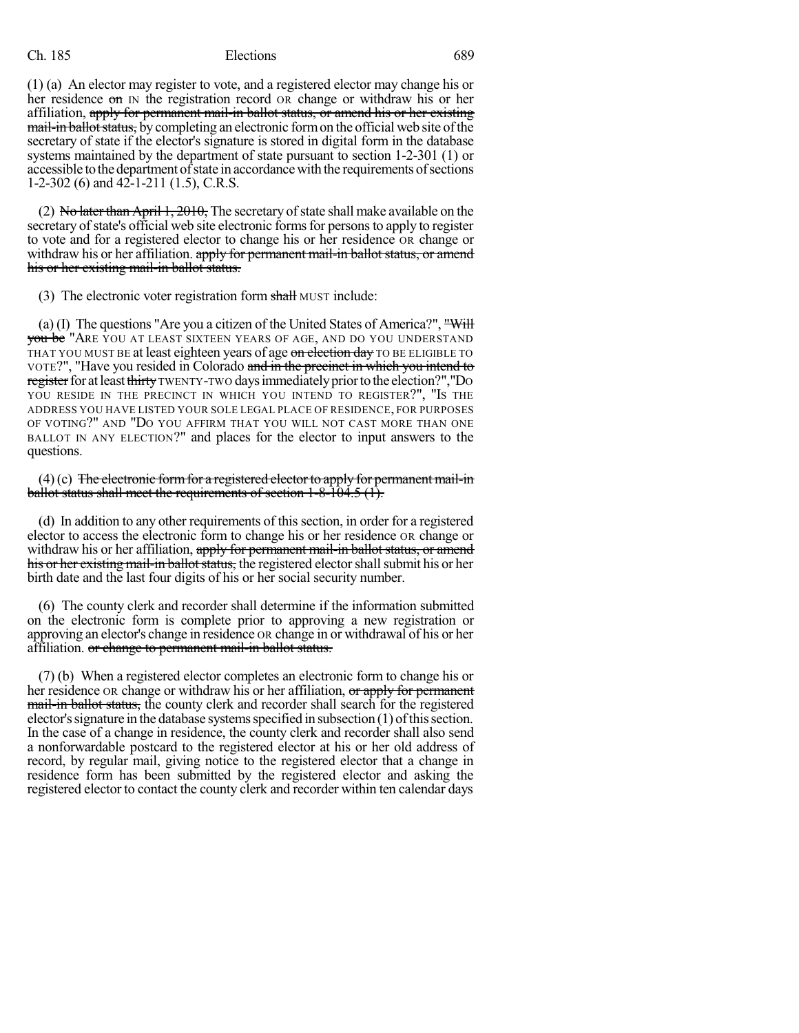(1) (a) An elector may register to vote, and a registered elector may change his or her residence  $\sigma$  IN the registration record OR change or withdraw his or her affiliation, apply for permanent mail-in ballot status, or amend his or her existing mail-in ballot status, by completing an electronic form on the official web site of the secretary of state if the elector's signature is stored in digital form in the database systems maintained by the department of state pursuant to section 1-2-301 (1) or accessible to the department of state in accordance with the requirements of sections 1-2-302 (6) and 42-1-211 (1.5), C.R.S.

(2) No later than April 1,  $2010$ , The secretary of state shall make available on the secretary of state's official web site electronic forms for persons to apply to register to vote and for a registered elector to change his or her residence OR change or withdraw his or her affiliation. apply for permanent mail-in ballot status, or amend his or her existing mail-in ballot status.

(3) The electronic voter registration form shall MUST include:

(a) (I) The questions "Are you a citizen of the United States of America?", "Will you be "Are you at least sixteen years of age, and do you understand THAT YOU MUST BE at least eighteen years of age on election day TO BE ELIGIBLE TO VOTE?", "Have you resided in Colorado and in the precinct in which you intend to register for at least thirty TWENTY-TWO days immediately prior to the election?","DO YOU RESIDE IN THE PRECINCT IN WHICH YOU INTEND TO REGISTER?", "IS THE ADDRESS YOU HAVE LISTED YOUR SOLE LEGAL PLACE OF RESIDENCE, FOR PURPOSES OF VOTING?" AND "DO YOU AFFIRM THAT YOU WILL NOT CAST MORE THAN ONE BALLOT IN ANY ELECTION?" and places for the elector to input answers to the questions.

 $(4)(c)$  The electronic form for a registered elector to apply for permanent mail-in ballot status shall meet the requirements of section  $1-8-104.5$  (1).

(d) In addition to any other requirements of this section, in order for a registered elector to access the electronic form to change his or her residence OR change or withdraw his or her affiliation, apply for permanent mail-in ballot status, or amend his or her existing mail-in ballot status, the registered elector shall submit his or her birth date and the last four digits of his or her social security number.

(6) The county clerk and recorder shall determine if the information submitted on the electronic form is complete prior to approving a new registration or approving an elector's change in residence OR change in or withdrawal of his or her affiliation. or change to permanent mail-in ballot status.

(7) (b) When a registered elector completes an electronic form to change his or her residence OR change or withdraw his or her affiliation, or apply for permanent mail-in ballot status, the county clerk and recorder shall search for the registered elector's signature in the database systems specified in subsection  $(1)$  of this section. In the case of a change in residence, the county clerk and recorder shall also send a nonforwardable postcard to the registered elector at his or her old address of record, by regular mail, giving notice to the registered elector that a change in residence form has been submitted by the registered elector and asking the registered elector to contact the county clerk and recorder within ten calendar days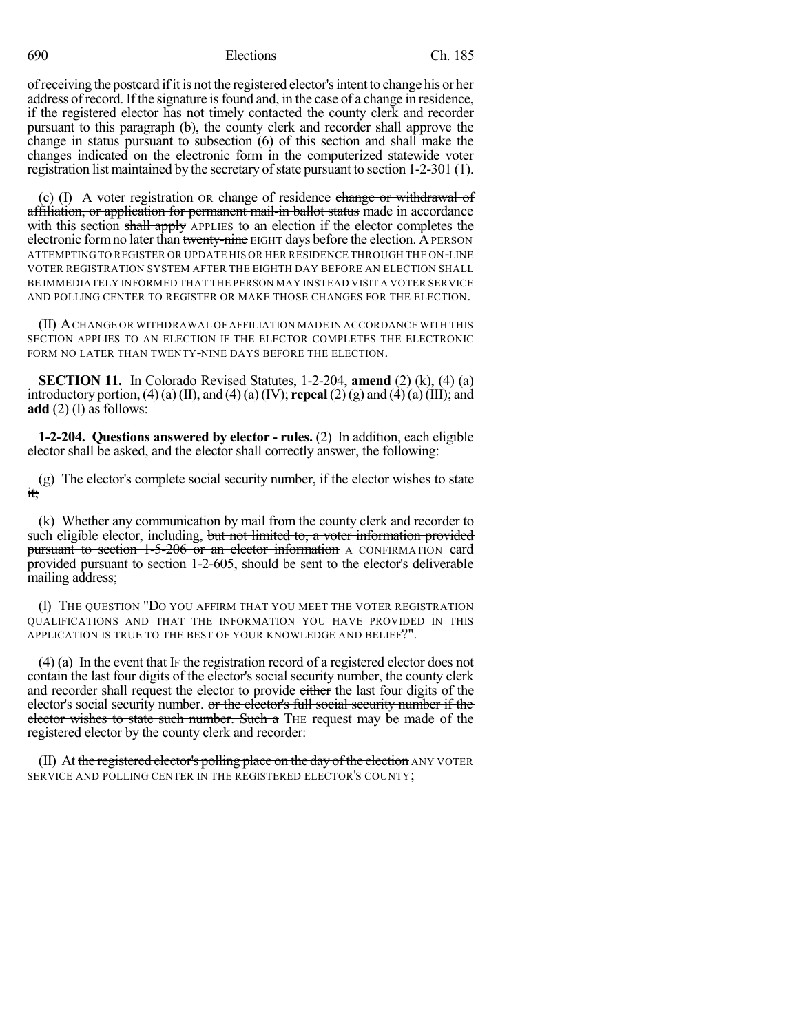690 Elections Ch. 185

ofreceiving the postcard ifit is not the registered elector'sintent to change his or her address of record. Ifthe signature isfound and, in the case of a change in residence, if the registered elector has not timely contacted the county clerk and recorder pursuant to this paragraph (b), the county clerk and recorder shall approve the change in status pursuant to subsection (6) of this section and shall make the changes indicated on the electronic form in the computerized statewide voter registration list maintained by the secretary of state pursuant to section 1-2-301 (1).

(c) (I) A voter registration OR change of residence change or withdrawal of affiliation, or application for permanent mail-in ballot status made in accordance with this section shall apply APPLIES to an election if the elector completes the electronic form no later than twenty-nine EIGHT days before the election. A PERSON ATTEMPTING TO REGISTER OR UPDATE HIS OR HER RESIDENCE THROUGH THE ON-LINE VOTER REGISTRATION SYSTEM AFTER THE EIGHTH DAY BEFORE AN ELECTION SHALL BE IMMEDIATELY INFORMED THAT THE PERSON MAY INSTEAD VISIT A VOTER SERVICE AND POLLING CENTER TO REGISTER OR MAKE THOSE CHANGES FOR THE ELECTION.

(II) ACHANGE OR WITHDRAWAL OF AFFILIATION MADE IN ACCORDANCE WITH THIS SECTION APPLIES TO AN ELECTION IF THE ELECTOR COMPLETES THE ELECTRONIC FORM NO LATER THAN TWENTY-NINE DAYS BEFORE THE ELECTION.

**SECTION 11.** In Colorado Revised Statutes, 1-2-204, **amend** (2) (k), (4) (a) introductory portion, (4)(a) (II), and (4)(a)(IV); **repeal**(2)(g) and (4)(a)(III); and **add** (2) (1) as follows:

**1-2-204. Questions answered by elector - rules.** (2) In addition, each eligible elector shall be asked, and the elector shall correctly answer, the following:

(g) The elector's complete social security number, if the elector wishes to state it;

(k) Whether any communication by mail from the county clerk and recorder to such eligible elector, including, but not limited to, a voter information provided **pursuant to section 1-5-206 or an elector information** A CONFIRMATION card provided pursuant to section 1-2-605, should be sent to the elector's deliverable mailing address;

(l) THE QUESTION "DO YOU AFFIRM THAT YOU MEET THE VOTER REGISTRATION QUALIFICATIONS AND THAT THE INFORMATION YOU HAVE PROVIDED IN THIS APPLICATION IS TRUE TO THE BEST OF YOUR KNOWLEDGE AND BELIEF?".

(4) (a) In the event that IF the registration record of a registered elector does not contain the last four digits of the elector's social security number, the county clerk and recorder shall request the elector to provide either the last four digits of the elector's social security number. or the elector's full social security number if the elector wishes to state such number. Such a THE request may be made of the registered elector by the county clerk and recorder:

(II) At the registered elector's polling place on the day of the election ANY VOTER SERVICE AND POLLING CENTER IN THE REGISTERED ELECTOR'S COUNTY;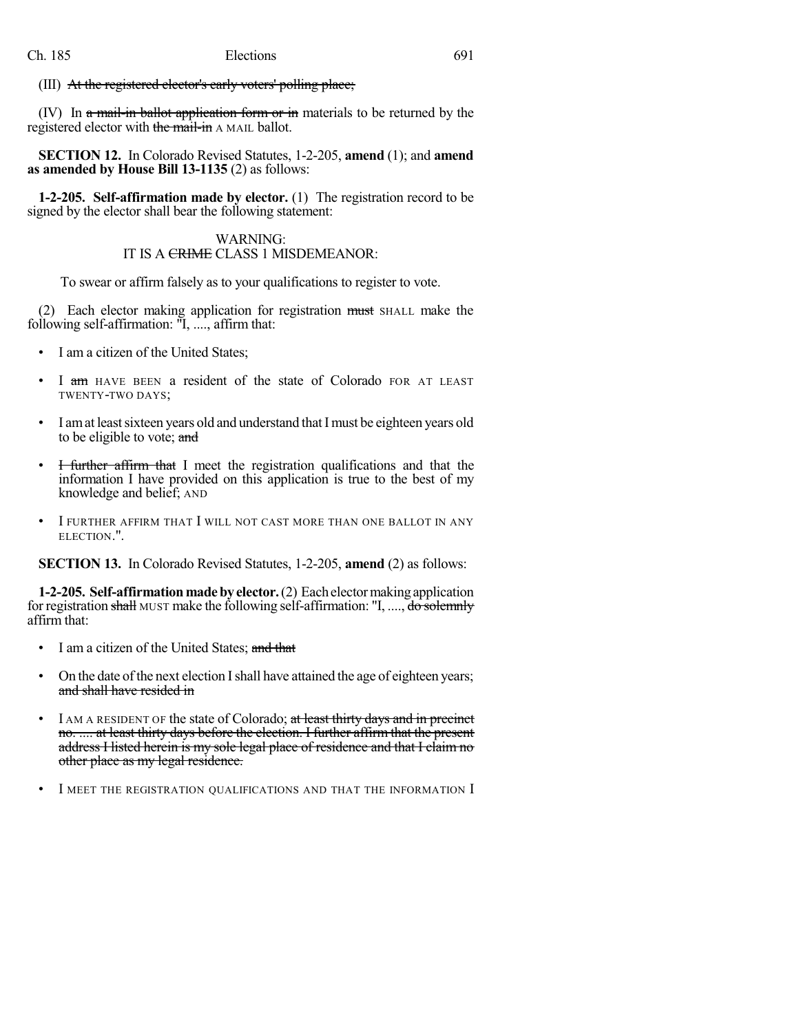(III) At the registered elector's early voters' polling place;

(IV) In  $\alpha$  mail-in ballot application form or in materials to be returned by the registered elector with the mail-in A MAIL ballot.

**SECTION 12.** In Colorado Revised Statutes, 1-2-205, **amend** (1); and **amend as amended by House Bill 13-1135** (2) as follows:

**1-2-205. Self-affirmation made by elector.** (1) The registration record to be signed by the elector shall bear the following statement:

### WARNING: IT IS A CRIME CLASS 1 MISDEMEANOR:

To swear or affirm falsely as to your qualifications to register to vote.

(2) Each elector making application for registration must SHALL make the following self-affirmation: "I, ...., affirm that:

- I am a citizen of the United States;
- I am HAVE BEEN a resident of the state of Colorado FOR AT LEAST TWENTY-TWO DAYS;
- I am at least sixteen years old and understand that I must be eighteen years old to be eligible to vote; and
- I further affirm that I meet the registration qualifications and that the information I have provided on this application is true to the best of my knowledge and belief; AND
- I FURTHER AFFIRM THAT I WILL NOT CAST MORE THAN ONE BALLOT IN ANY ELECTION.".

**SECTION 13.** In Colorado Revised Statutes, 1-2-205, **amend** (2) as follows:

**1-2-205. Self-affirmationmadebyelector.**(2) Eachelectormakingapplication for registration shall MUST make the following self-affirmation: "I, ...., do solemnly affirm that:

- I am a citizen of the United States; and that
- On the date of the next election I shall have attained the age of eighteen years; and shall have resided in
- I AM A RESIDENT OF the state of Colorado; at least thirty days and in precinct no. .... at least thirty days before the election. I further affirm that the present address I listed herein is my sole legal place of residence and that I claim no other place as my legal residence.
- I MEET THE REGISTRATION QUALIFICATIONS AND THAT THE INFORMATION I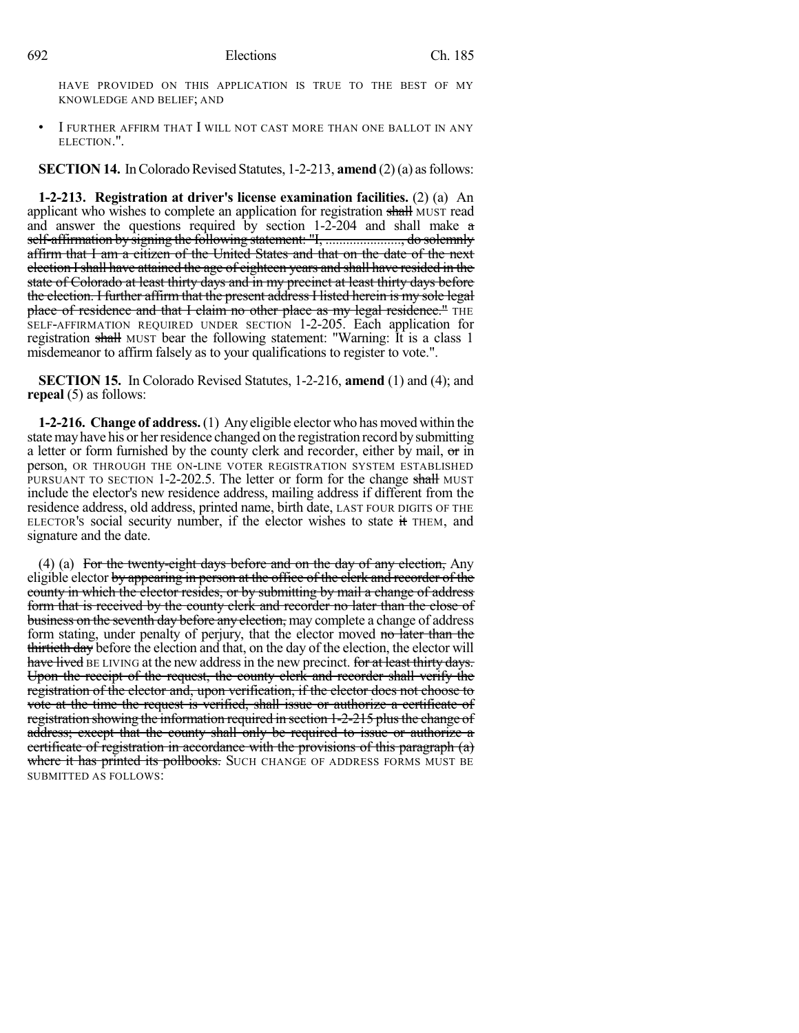HAVE PROVIDED ON THIS APPLICATION IS TRUE TO THE BEST OF MY KNOWLEDGE AND BELIEF; AND

I FURTHER AFFIRM THAT I WILL NOT CAST MORE THAN ONE BALLOT IN ANY ELECTION.".

**SECTION 14.** In Colorado Revised Statutes, 1-2-213, **amend** (2)(a) as follows:

**1-2-213. Registration at driver's license examination facilities.** (2) (a) An applicant who wishes to complete an application for registration shall MUST read and answer the questions required by section 1-2-204 and shall make a self-affirmation by signing the following statement: "I, ......................., do solemnly affirm that I am a citizen of the United States and that on the date of the next election Ishall have attained the age of eighteen years and shall have resided in the state of Colorado at least thirty days and in my precinct at least thirty days before the election. I further affirm that the present address I listed herein is my sole legal place of residence and that I claim no other place as my legal residence." THE SELF-AFFIRMATION REQUIRED UNDER SECTION 1-2-205. Each application for registration shall MUST bear the following statement: "Warning: It is a class 1 misdemeanor to affirm falsely as to your qualifications to register to vote.".

**SECTION 15.** In Colorado Revised Statutes, 1-2-216, **amend** (1) and (4); and **repeal** (5) as follows:

**1-2-216. Change of address.**(1) Any eligible elector who has moved within the state may have his or her residence changed on the registration record by submitting a letter or form furnished by the county clerk and recorder, either by mail, or in person, OR THROUGH THE ON-LINE VOTER REGISTRATION SYSTEM ESTABLISHED PURSUANT TO SECTION 1-2-202.5. The letter or form for the change shall MUST include the elector's new residence address, mailing address if different from the residence address, old address, printed name, birth date, LAST FOUR DIGITS OF THE ELECTOR'S social security number, if the elector wishes to state it THEM, and signature and the date.

(4) (a) For the twenty-eight days before and on the day of any election, Any eligible elector by appearing in person at the office of the clerk and recorder of the county in which the elector resides, or by submitting by mail a change of address form that is received by the county clerk and recorder no later than the close of business on the seventh day before any election, may complete a change of address form stating, under penalty of perjury, that the elector moved no later than the thirtieth day before the election and that, on the day of the election, the elector will have lived BE LIVING at the new address in the new precinct. for at least thirty days. Upon the receipt of the request, the county clerk and recorder shall verify the registration of the elector and, upon verification, if the elector does not choose to vote at the time the request is verified, shall issue or authorize a certificate of registration showing the information required in section 1-2-215 plusthe change of address; except that the county shall only be required to issue or authorize a certificate of registration in accordance with the provisions of this paragraph (a) where it has printed its pollbooks. SUCH CHANGE OF ADDRESS FORMS MUST BE SUBMITTED AS FOLLOWS: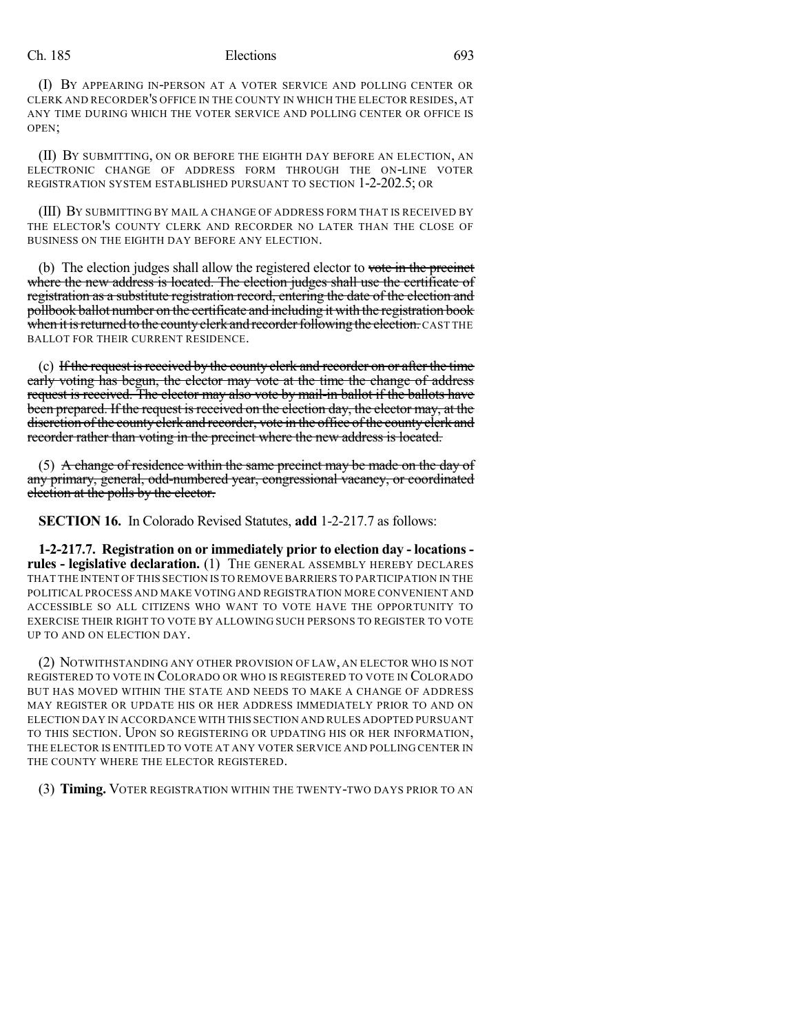(I) BY APPEARING IN-PERSON AT A VOTER SERVICE AND POLLING CENTER OR CLERK AND RECORDER'S OFFICE IN THE COUNTY IN WHICH THE ELECTOR RESIDES, AT ANY TIME DURING WHICH THE VOTER SERVICE AND POLLING CENTER OR OFFICE IS OPEN;

(II) BY SUBMITTING, ON OR BEFORE THE EIGHTH DAY BEFORE AN ELECTION, AN ELECTRONIC CHANGE OF ADDRESS FORM THROUGH THE ON-LINE VOTER REGISTRATION SYSTEM ESTABLISHED PURSUANT TO SECTION 1-2-202.5; OR

(III) BY SUBMITTING BY MAIL A CHANGE OF ADDRESS FORM THAT IS RECEIVED BY THE ELECTOR'S COUNTY CLERK AND RECORDER NO LATER THAN THE CLOSE OF BUSINESS ON THE EIGHTH DAY BEFORE ANY ELECTION.

(b) The election judges shall allow the registered elector to vote in the precinct where the new address is located. The election judges shall use the certificate of registration as a substitute registration record, entering the date of the election and pollbook ballot number on the certificate and including it with the registration book when it is returned to the county clerk and recorder following the election. CAST THE BALLOT FOR THEIR CURRENT RESIDENCE.

(c) If the request is received by the county clerk and recorder on or after the time early voting has begun, the elector may vote at the time the change of address request is received. The elector may also vote by mail-in ballot if the ballots have been prepared. If the request is received on the election day, the elector may, at the discretion of the county clerk and recorder, vote in the office of the county clerk and recorder rather than voting in the precinct where the new address is located.

(5) A change of residence within the same precinct may be made on the day of any primary, general, odd-numbered year, congressional vacancy, or coordinated election at the polls by the elector.

**SECTION 16.** In Colorado Revised Statutes, **add** 1-2-217.7 as follows:

**1-2-217.7. Registration on or immediately prior to election day - locations rules - legislative declaration.** (1) THE GENERAL ASSEMBLY HEREBY DECLARES THAT THE INTENT OF THIS SECTION IS TO REMOVE BARRIERS TO PARTICIPATION IN THE POLITICAL PROCESS AND MAKE VOTING AND REGISTRATION MORE CONVENIENT AND ACCESSIBLE SO ALL CITIZENS WHO WANT TO VOTE HAVE THE OPPORTUNITY TO EXERCISE THEIR RIGHT TO VOTE BY ALLOWING SUCH PERSONS TO REGISTER TO VOTE UP TO AND ON ELECTION DAY.

(2) NOTWITHSTANDING ANY OTHER PROVISION OF LAW, AN ELECTOR WHO IS NOT REGISTERED TO VOTE IN COLORADO OR WHO IS REGISTERED TO VOTE IN COLORADO BUT HAS MOVED WITHIN THE STATE AND NEEDS TO MAKE A CHANGE OF ADDRESS MAY REGISTER OR UPDATE HIS OR HER ADDRESS IMMEDIATELY PRIOR TO AND ON ELECTION DAY IN ACCORDANCE WITH THIS SECTION AND RULES ADOPTED PURSUANT TO THIS SECTION. UPON SO REGISTERING OR UPDATING HIS OR HER INFORMATION, THE ELECTOR IS ENTITLED TO VOTE AT ANY VOTER SERVICE AND POLLING CENTER IN THE COUNTY WHERE THE ELECTOR REGISTERED.

(3) **Timing.** VOTER REGISTRATION WITHIN THE TWENTY-TWO DAYS PRIOR TO AN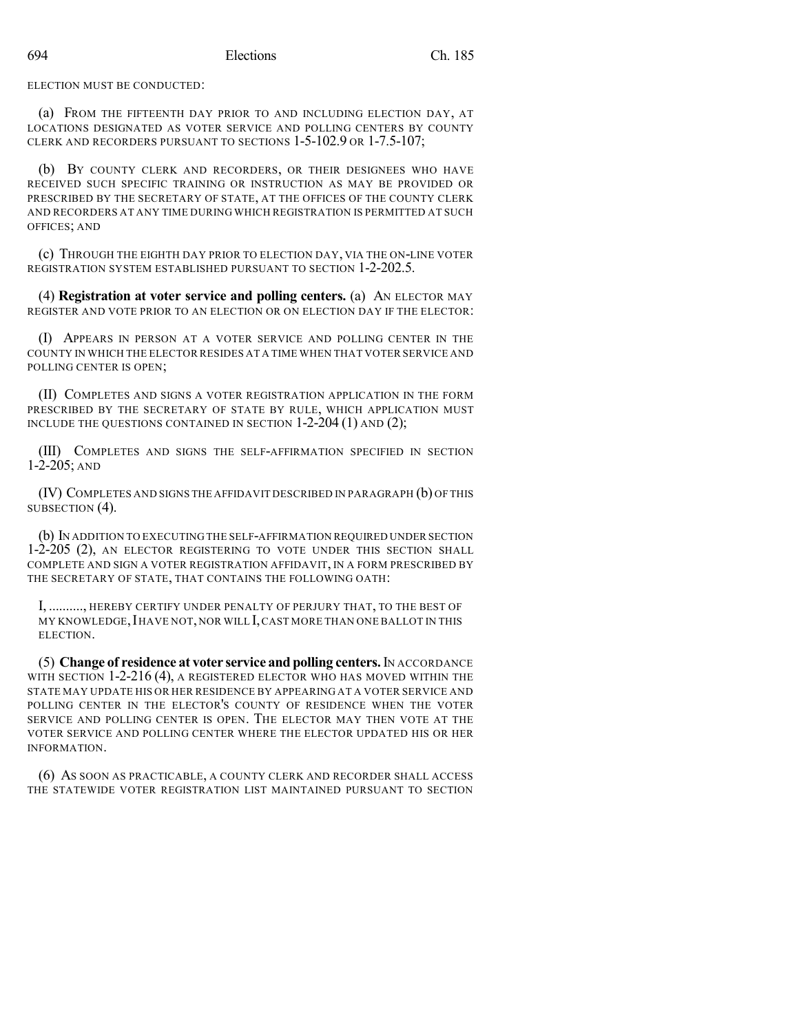ELECTION MUST BE CONDUCTED:

(a) FROM THE FIFTEENTH DAY PRIOR TO AND INCLUDING ELECTION DAY, AT LOCATIONS DESIGNATED AS VOTER SERVICE AND POLLING CENTERS BY COUNTY CLERK AND RECORDERS PURSUANT TO SECTIONS 1-5-102.9 OR 1-7.5-107;

(b) BY COUNTY CLERK AND RECORDERS, OR THEIR DESIGNEES WHO HAVE RECEIVED SUCH SPECIFIC TRAINING OR INSTRUCTION AS MAY BE PROVIDED OR PRESCRIBED BY THE SECRETARY OF STATE, AT THE OFFICES OF THE COUNTY CLERK AND RECORDERS AT ANY TIME DURING WHICH REGISTRATION IS PERMITTED AT SUCH OFFICES; AND

(c) THROUGH THE EIGHTH DAY PRIOR TO ELECTION DAY, VIA THE ON-LINE VOTER REGISTRATION SYSTEM ESTABLISHED PURSUANT TO SECTION 1-2-202.5.

(4) **Registration at voter service and polling centers.** (a) AN ELECTOR MAY REGISTER AND VOTE PRIOR TO AN ELECTION OR ON ELECTION DAY IF THE ELECTOR:

(I) APPEARS IN PERSON AT A VOTER SERVICE AND POLLING CENTER IN THE COUNTY IN WHICH THE ELECTOR RESIDES AT A TIME WHEN THAT VOTER SERVICE AND POLLING CENTER IS OPEN;

(II) COMPLETES AND SIGNS A VOTER REGISTRATION APPLICATION IN THE FORM PRESCRIBED BY THE SECRETARY OF STATE BY RULE, WHICH APPLICATION MUST INCLUDE THE QUESTIONS CONTAINED IN SECTION 1-2-204 (1) AND (2);

(III) COMPLETES AND SIGNS THE SELF-AFFIRMATION SPECIFIED IN SECTION  $1 - 2 - 205$ ; AND

(IV) COMPLETES AND SIGNS THE AFFIDAVIT DESCRIBED IN PARAGRAPH (b) OF THIS SUBSECTION (4).

(b) IN ADDITION TO EXECUTING THE SELF-AFFIRMATION REQUIRED UNDER SECTION 1-2-205 (2), AN ELECTOR REGISTERING TO VOTE UNDER THIS SECTION SHALL COMPLETE AND SIGN A VOTER REGISTRATION AFFIDAVIT, IN A FORM PRESCRIBED BY THE SECRETARY OF STATE, THAT CONTAINS THE FOLLOWING OATH:

I, .........., HEREBY CERTIFY UNDER PENALTY OF PERJURY THAT, TO THE BEST OF MY KNOWLEDGE, IHAVE NOT, NOR WILL I, CAST MORE THAN ONE BALLOT IN THIS ELECTION.

(5) **Change of residence at voter service and polling centers.**IN ACCORDANCE WITH SECTION 1-2-216 (4), A REGISTERED ELECTOR WHO HAS MOVED WITHIN THE STATE MAY UPDATE HIS OR HER RESIDENCE BY APPEARING AT A VOTER SERVICE AND POLLING CENTER IN THE ELECTOR'S COUNTY OF RESIDENCE WHEN THE VOTER SERVICE AND POLLING CENTER IS OPEN. THE ELECTOR MAY THEN VOTE AT THE VOTER SERVICE AND POLLING CENTER WHERE THE ELECTOR UPDATED HIS OR HER INFORMATION.

(6) AS SOON AS PRACTICABLE, A COUNTY CLERK AND RECORDER SHALL ACCESS THE STATEWIDE VOTER REGISTRATION LIST MAINTAINED PURSUANT TO SECTION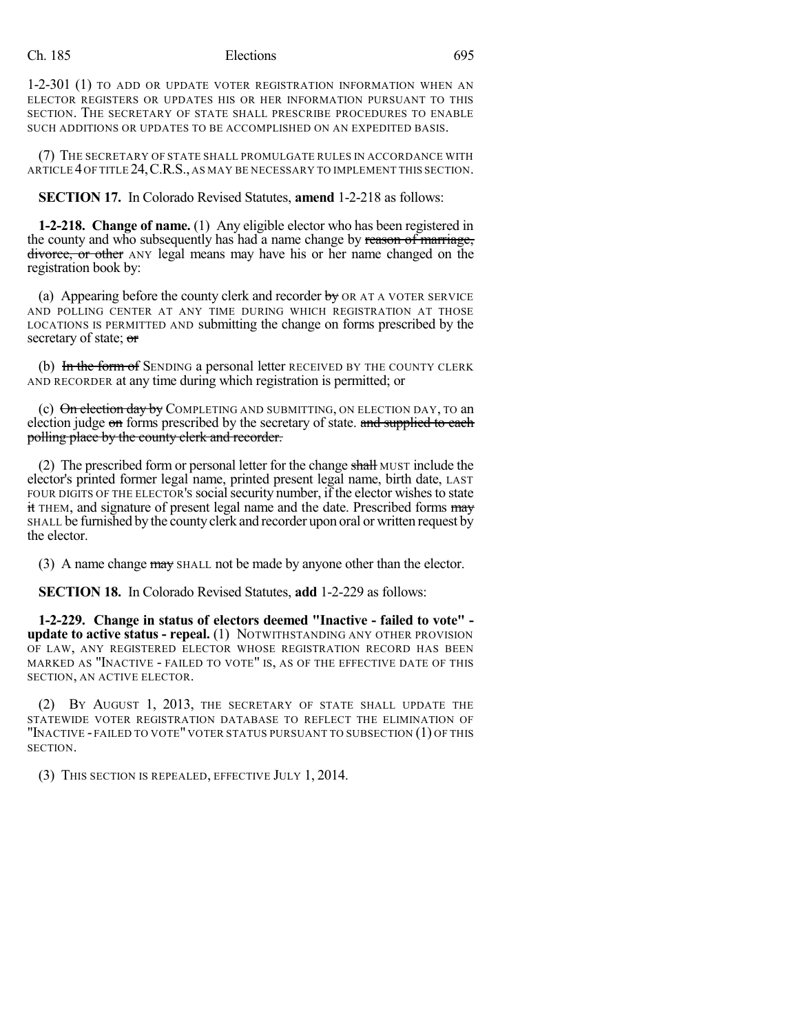1-2-301 (1) TO ADD OR UPDATE VOTER REGISTRATION INFORMATION WHEN AN ELECTOR REGISTERS OR UPDATES HIS OR HER INFORMATION PURSUANT TO THIS SECTION. THE SECRETARY OF STATE SHALL PRESCRIBE PROCEDURES TO ENABLE SUCH ADDITIONS OR UPDATES TO BE ACCOMPLISHED ON AN EXPEDITED BASIS.

(7) THE SECRETARY OF STATE SHALL PROMULGATE RULES IN ACCORDANCE WITH ARTICLE 4OF TITLE 24,C.R.S., AS MAY BE NECESSARY TO IMPLEMENT THIS SECTION.

**SECTION 17.** In Colorado Revised Statutes, **amend** 1-2-218 as follows:

**1-2-218. Change of name.** (1) Any eligible elector who has been registered in the county and who subsequently has had a name change by reason of marriage, divorce, or other ANY legal means may have his or her name changed on the registration book by:

(a) Appearing before the county clerk and recorder  $b$ y OR AT A VOTER SERVICE AND POLLING CENTER AT ANY TIME DURING WHICH REGISTRATION AT THOSE LOCATIONS IS PERMITTED AND submitting the change on forms prescribed by the secretary of state; or

(b) In the form of SENDING a personal letter RECEIVED BY THE COUNTY CLERK AND RECORDER at any time during which registration is permitted; or

(c)  $\Theta$ n election day by COMPLETING AND SUBMITTING, ON ELECTION DAY, TO an election judge on forms prescribed by the secretary of state. and supplied to each polling place by the county clerk and recorder.

(2) The prescribed form or personal letter for the change shall MUST include the elector's printed former legal name, printed present legal name, birth date, LAST FOUR DIGITS OF THE ELECTOR'S social security number, if the elector wishes to state it THEM, and signature of present legal name and the date. Prescribed forms may SHALL be furnished by the county clerk and recorder upon oral or written request by the elector.

(3) A name change may SHALL not be made by anyone other than the elector.

**SECTION 18.** In Colorado Revised Statutes, **add** 1-2-229 as follows:

**1-2-229. Change in status of electors deemed "Inactive - failed to vote" update to active status - repeal.** (1) NOTWITHSTANDING ANY OTHER PROVISION OF LAW, ANY REGISTERED ELECTOR WHOSE REGISTRATION RECORD HAS BEEN MARKED AS "INACTIVE - FAILED TO VOTE" IS, AS OF THE EFFECTIVE DATE OF THIS SECTION, AN ACTIVE ELECTOR.

(2) BY AUGUST 1, 2013, THE SECRETARY OF STATE SHALL UPDATE THE STATEWIDE VOTER REGISTRATION DATABASE TO REFLECT THE ELIMINATION OF "INACTIVE - FAILED TO VOTE" VOTER STATUS PURSUANT TO SUBSECTION (1) OF THIS SECTION.

(3) THIS SECTION IS REPEALED, EFFECTIVE JULY 1, 2014.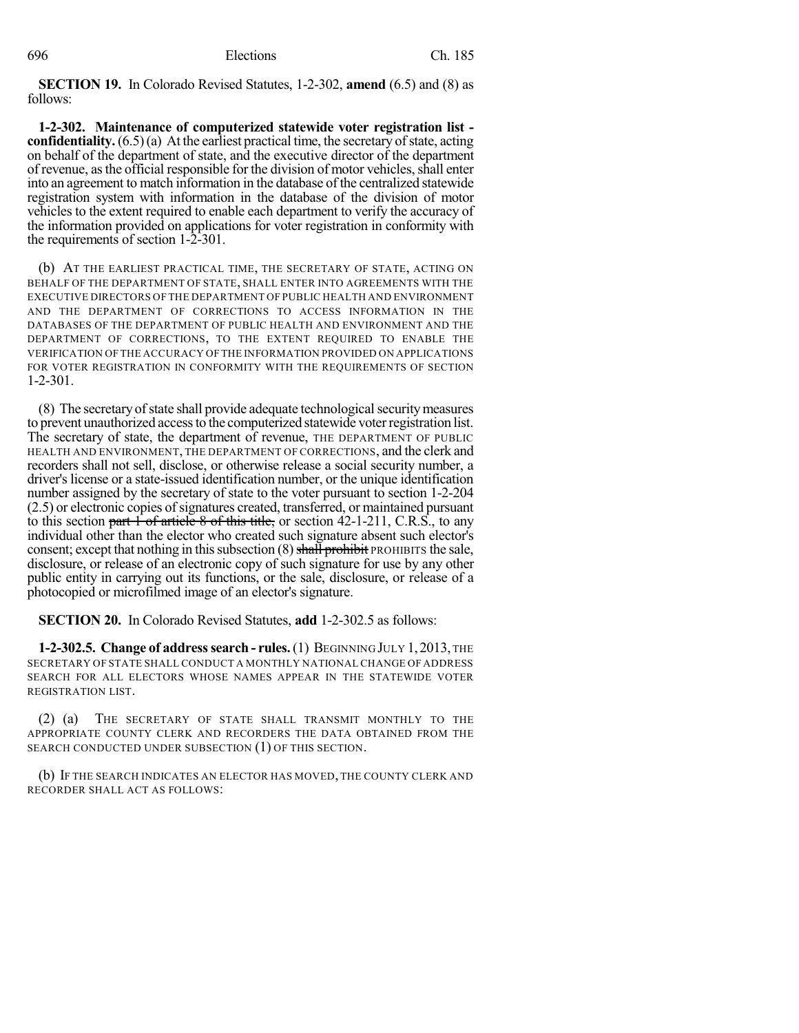**SECTION 19.** In Colorado Revised Statutes, 1-2-302, **amend** (6.5) and (8) as follows:

**1-2-302. Maintenance of computerized statewide voter registration list confidentiality.**  $(6.5)(a)$  At the earliest practical time, the secretary of state, acting on behalf of the department of state, and the executive director of the department of revenue, as the official responsible for the division of motor vehicles, shall enter into an agreement to match information in the database of the centralized statewide registration system with information in the database of the division of motor vehicles to the extent required to enable each department to verify the accuracy of the information provided on applications for voter registration in conformity with the requirements of section 1-2-301.

(b) AT THE EARLIEST PRACTICAL TIME, THE SECRETARY OF STATE, ACTING ON BEHALF OF THE DEPARTMENT OF STATE, SHALL ENTER INTO AGREEMENTS WITH THE EXECUTIVE DIRECTORS OF THE DEPARTMENT OF PUBLIC HEALTH AND ENVIRONMENT AND THE DEPARTMENT OF CORRECTIONS TO ACCESS INFORMATION IN THE DATABASES OF THE DEPARTMENT OF PUBLIC HEALTH AND ENVIRONMENT AND THE DEPARTMENT OF CORRECTIONS, TO THE EXTENT REQUIRED TO ENABLE THE VERIFICATION OF THE ACCURACY OF THE INFORMATION PROVIDED ON APPLICATIONS FOR VOTER REGISTRATION IN CONFORMITY WITH THE REQUIREMENTS OF SECTION 1-2-301.

(8) The secretary of state shall provide adequate technological security measures to prevent unauthorized accessto the computerized statewide voterregistration list. The secretary of state, the department of revenue, THE DEPARTMENT OF PUBLIC HEALTH AND ENVIRONMENT, THE DEPARTMENT OF CORRECTIONS, and the clerk and recorders shall not sell, disclose, or otherwise release a social security number, a driver's license or a state-issued identification number, or the unique identification number assigned by the secretary of state to the voter pursuant to section 1-2-204  $(2.5)$  or electronic copies of signatures created, transferred, or maintained pursuant to this section part  $1$  of article  $8$  of this title, or section 42-1-211, C.R.S., to any individual other than the elector who created such signature absent such elector's consent; except that nothing in this subsection  $(8)$  shall prohibit PROHIBITS the sale, disclosure, or release of an electronic copy of such signature for use by any other public entity in carrying out its functions, or the sale, disclosure, or release of a photocopied or microfilmed image of an elector's signature.

**SECTION 20.** In Colorado Revised Statutes, **add** 1-2-302.5 as follows:

**1-2-302.5. Change of addresssearch - rules.**(1) BEGINNING JULY 1,2013, THE SECRETARY OF STATE SHALL CONDUCT A MONTHLY NATIONAL CHANGE OF ADDRESS SEARCH FOR ALL ELECTORS WHOSE NAMES APPEAR IN THE STATEWIDE VOTER REGISTRATION LIST.

(2) (a) THE SECRETARY OF STATE SHALL TRANSMIT MONTHLY TO THE APPROPRIATE COUNTY CLERK AND RECORDERS THE DATA OBTAINED FROM THE SEARCH CONDUCTED UNDER SUBSECTION (1) OF THIS SECTION.

(b) IF THE SEARCH INDICATES AN ELECTOR HAS MOVED, THE COUNTY CLERK AND RECORDER SHALL ACT AS FOLLOWS: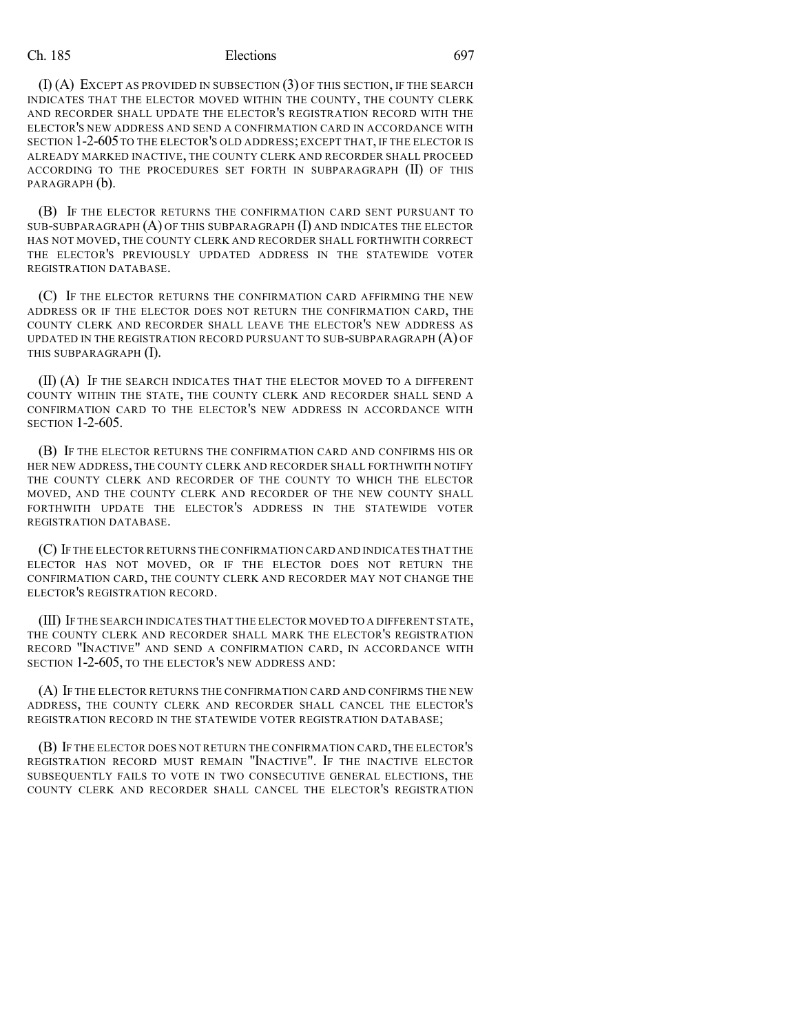(I) (A) EXCEPT AS PROVIDED IN SUBSECTION (3) OF THIS SECTION, IF THE SEARCH INDICATES THAT THE ELECTOR MOVED WITHIN THE COUNTY, THE COUNTY CLERK AND RECORDER SHALL UPDATE THE ELECTOR'S REGISTRATION RECORD WITH THE ELECTOR'S NEW ADDRESS AND SEND A CONFIRMATION CARD IN ACCORDANCE WITH SECTION 1-2-605 TO THE ELECTOR'S OLD ADDRESS; EXCEPT THAT, IF THE ELECTOR IS ALREADY MARKED INACTIVE, THE COUNTY CLERK AND RECORDER SHALL PROCEED ACCORDING TO THE PROCEDURES SET FORTH IN SUBPARAGRAPH (II) OF THIS PARAGRAPH  $(b)$ .

(B) IF THE ELECTOR RETURNS THE CONFIRMATION CARD SENT PURSUANT TO SUB-SUBPARAGRAPH  $(A)$  OF THIS SUBPARAGRAPH  $(I)$  and indicates the elector HAS NOT MOVED, THE COUNTY CLERK AND RECORDER SHALL FORTHWITH CORRECT THE ELECTOR'S PREVIOUSLY UPDATED ADDRESS IN THE STATEWIDE VOTER REGISTRATION DATABASE.

(C) IF THE ELECTOR RETURNS THE CONFIRMATION CARD AFFIRMING THE NEW ADDRESS OR IF THE ELECTOR DOES NOT RETURN THE CONFIRMATION CARD, THE COUNTY CLERK AND RECORDER SHALL LEAVE THE ELECTOR'S NEW ADDRESS AS UPDATED IN THE REGISTRATION RECORD PURSUANT TO SUB-SUBPARAGRAPH  $(A)$  OF THIS SUBPARAGRAPH (I).

(II) (A) IF THE SEARCH INDICATES THAT THE ELECTOR MOVED TO A DIFFERENT COUNTY WITHIN THE STATE, THE COUNTY CLERK AND RECORDER SHALL SEND A CONFIRMATION CARD TO THE ELECTOR'S NEW ADDRESS IN ACCORDANCE WITH SECTION 1-2-605.

(B) IF THE ELECTOR RETURNS THE CONFIRMATION CARD AND CONFIRMS HIS OR HER NEW ADDRESS, THE COUNTY CLERK AND RECORDER SHALL FORTHWITH NOTIFY THE COUNTY CLERK AND RECORDER OF THE COUNTY TO WHICH THE ELECTOR MOVED, AND THE COUNTY CLERK AND RECORDER OF THE NEW COUNTY SHALL FORTHWITH UPDATE THE ELECTOR'S ADDRESS IN THE STATEWIDE VOTER REGISTRATION DATABASE.

(C) IF THE ELECTOR RETURNS THE CONFIRMATION CARD AND INDICATES THAT THE ELECTOR HAS NOT MOVED, OR IF THE ELECTOR DOES NOT RETURN THE CONFIRMATION CARD, THE COUNTY CLERK AND RECORDER MAY NOT CHANGE THE ELECTOR'S REGISTRATION RECORD.

(III) IF THE SEARCH INDICATES THAT THE ELECTOR MOVED TO A DIFFERENT STATE, THE COUNTY CLERK AND RECORDER SHALL MARK THE ELECTOR'S REGISTRATION RECORD "INACTIVE" AND SEND A CONFIRMATION CARD, IN ACCORDANCE WITH SECTION 1-2-605, TO THE ELECTOR'S NEW ADDRESS AND:

(A) IF THE ELECTOR RETURNS THE CONFIRMATION CARD AND CONFIRMS THE NEW ADDRESS, THE COUNTY CLERK AND RECORDER SHALL CANCEL THE ELECTOR'S REGISTRATION RECORD IN THE STATEWIDE VOTER REGISTRATION DATABASE;

(B) IF THE ELECTOR DOES NOT RETURN THE CONFIRMATION CARD, THE ELECTOR'S REGISTRATION RECORD MUST REMAIN "INACTIVE". IF THE INACTIVE ELECTOR SUBSEQUENTLY FAILS TO VOTE IN TWO CONSECUTIVE GENERAL ELECTIONS, THE COUNTY CLERK AND RECORDER SHALL CANCEL THE ELECTOR'S REGISTRATION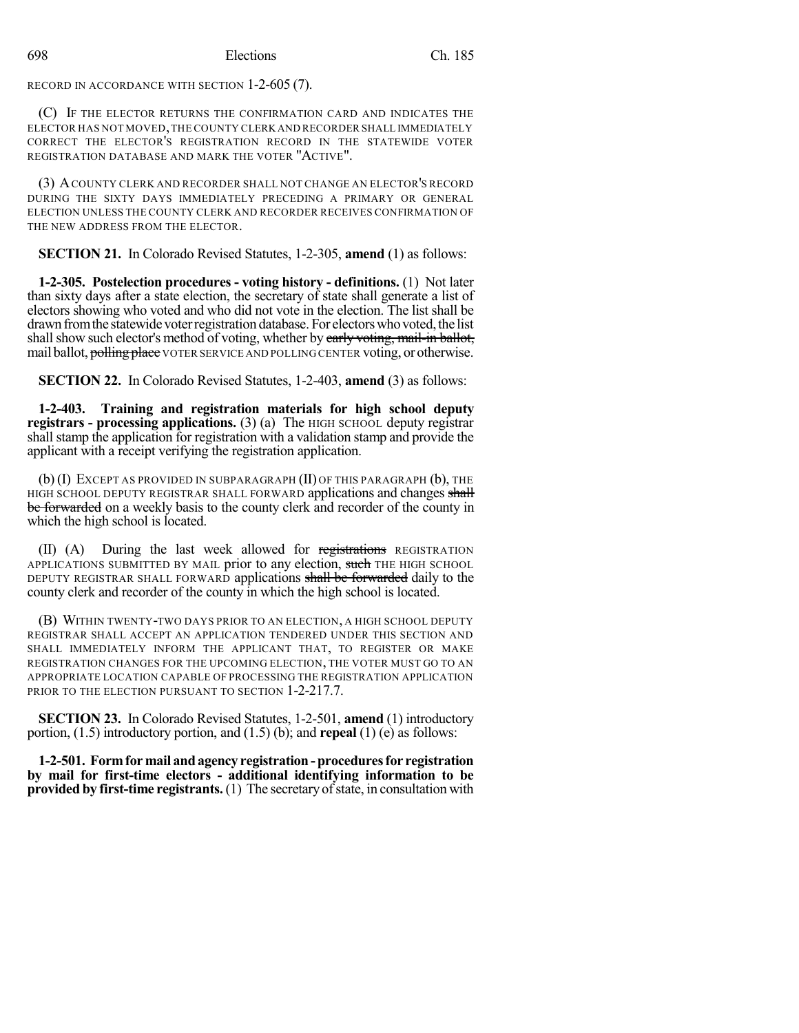RECORD IN ACCORDANCE WITH SECTION 1-2-605 (7).

(C) IF THE ELECTOR RETURNS THE CONFIRMATION CARD AND INDICATES THE ELECTOR HAS NOT MOVED,THE COUNTY CLERK AND RECORDER SHALL IMMEDIATELY CORRECT THE ELECTOR'S REGISTRATION RECORD IN THE STATEWIDE VOTER REGISTRATION DATABASE AND MARK THE VOTER "ACTIVE".

(3) ACOUNTY CLERK AND RECORDER SHALL NOT CHANGE AN ELECTOR'S RECORD DURING THE SIXTY DAYS IMMEDIATELY PRECEDING A PRIMARY OR GENERAL ELECTION UNLESS THE COUNTY CLERK AND RECORDER RECEIVES CONFIRMATION OF THE NEW ADDRESS FROM THE ELECTOR.

**SECTION 21.** In Colorado Revised Statutes, 1-2-305, **amend** (1) as follows:

**1-2-305. Postelection procedures - voting history - definitions.** (1) Not later than sixty days after a state election, the secretary of state shall generate a list of electors showing who voted and who did not vote in the election. The list shall be drawn from the statewide voter registration database. For electors who voted, the list shall show such elector's method of voting, whether by early voting, mail-in ballot, mail ballot, **polling place** VOTER SERVICE AND POLLING CENTER voting, or otherwise.

**SECTION 22.** In Colorado Revised Statutes, 1-2-403, **amend** (3) as follows:

**1-2-403. Training and registration materials for high school deputy registrars - processing applications.** (3) (a) The HIGH SCHOOL deputy registrar shall stamp the application for registration with a validation stamp and provide the applicant with a receipt verifying the registration application.

(b) (I) EXCEPT AS PROVIDED IN SUBPARAGRAPH (II) OF THIS PARAGRAPH (b), THE HIGH SCHOOL DEPUTY REGISTRAR SHALL FORWARD applications and changes shall be forwarded on a weekly basis to the county clerk and recorder of the county in which the high school is located.

 $(II)$  (A) During the last week allowed for registrations REGISTRATION APPLICATIONS SUBMITTED BY MAIL prior to any election, such THE HIGH SCHOOL DEPUTY REGISTRAR SHALL FORWARD applications shall be forwarded daily to the county clerk and recorder of the county in which the high school is located.

(B) WITHIN TWENTY-TWO DAYS PRIOR TO AN ELECTION, A HIGH SCHOOL DEPUTY REGISTRAR SHALL ACCEPT AN APPLICATION TENDERED UNDER THIS SECTION AND SHALL IMMEDIATELY INFORM THE APPLICANT THAT, TO REGISTER OR MAKE REGISTRATION CHANGES FOR THE UPCOMING ELECTION, THE VOTER MUST GO TO AN APPROPRIATE LOCATION CAPABLE OF PROCESSING THE REGISTRATION APPLICATION PRIOR TO THE ELECTION PURSUANT TO SECTION 1-2-217.7.

**SECTION 23.** In Colorado Revised Statutes, 1-2-501, **amend** (1) introductory portion, (1.5) introductory portion, and (1.5) (b); and **repeal** (1) (e) as follows:

**1-2-501. Formfor mail andagency registration-proceduresfor registration by mail for first-time electors - additional identifying information to be provided** by first-time registrants. (1) The secretary of state, in consultation with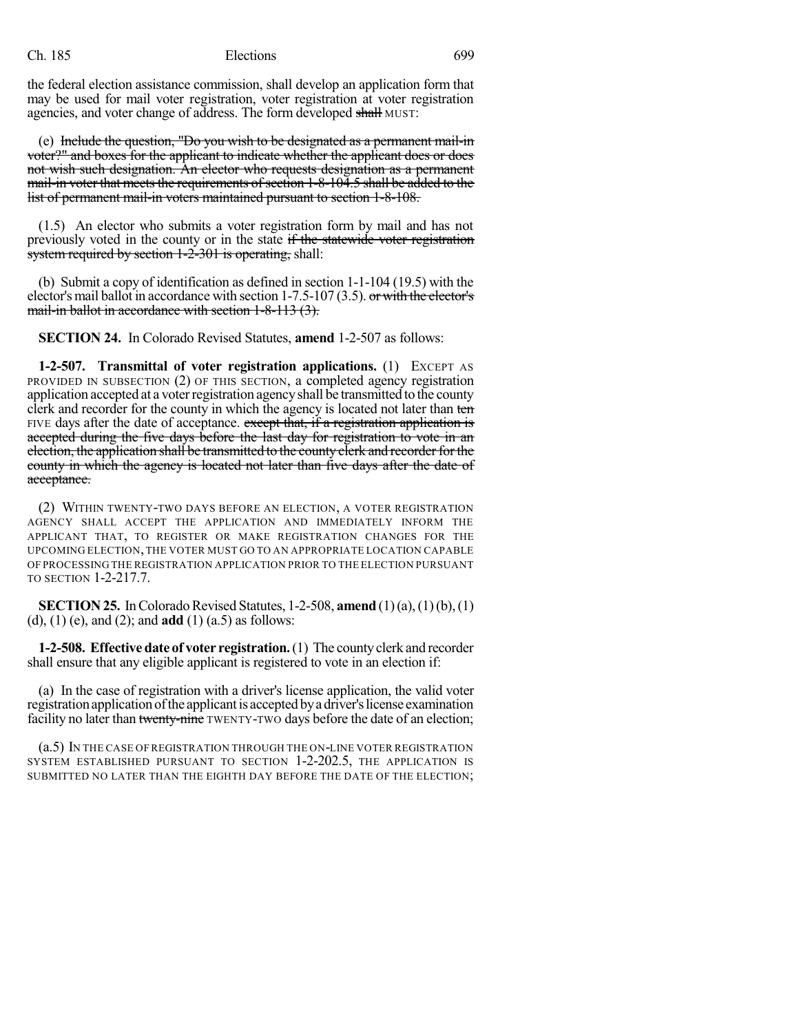the federal election assistance commission, shall develop an application form that may be used for mail voter registration, voter registration at voter registration agencies, and voter change of address. The form developed shall MUST:

(e) Include the question, "Do you wish to be designated as a permanent mail-in voter?" and boxes for the applicant to indicate whether the applicant does or does not wish such designation. An elector who requests designation as a permanent mail-in voter that meets the requirements of section 1-8-104.5 shall be added to the list of permanent mail-in voters maintained pursuant to section 1-8-108.

(1.5) An elector who submits a voter registration form by mail and has not previously voted in the county or in the state if the statewide voter registration system required by section 1-2-301 is operating, shall:

(b) Submit a copy of identification as defined in section 1-1-104 (19.5) with the elector's mail ballot in accordance with section 1-7.5-107 (3.5). or with the elector's mail-in ballot in accordance with section 1-8-113 (3).

**SECTION 24.** In Colorado Revised Statutes, **amend** 1-2-507 as follows:

**1-2-507. Transmittal of voter registration applications.** (1) EXCEPT AS PROVIDED IN SUBSECTION (2) OF THIS SECTION, a completed agency registration application accepted at a voterregistration agencyshall be transmitted to the county clerk and recorder for the county in which the agency is located not later than ten FIVE days after the date of acceptance. except that, if a registration application is accepted during the five days before the last day for registration to vote in an election, the application shall be transmitted to the county clerk and recorder for the county in which the agency is located not later than five days after the date of acceptance.

(2) WITHIN TWENTY-TWO DAYS BEFORE AN ELECTION, A VOTER REGISTRATION AGENCY SHALL ACCEPT THE APPLICATION AND IMMEDIATELY INFORM THE APPLICANT THAT, TO REGISTER OR MAKE REGISTRATION CHANGES FOR THE UPCOMING ELECTION,THE VOTER MUST GO TO AN APPROPRIATE LOCATION CAPABLE OF PROCESSING THE REGISTRATION APPLICATION PRIOR TO THE ELECTION PURSUANT TO SECTION 1-2-217.7.

**SECTION 25.** In Colorado Revised Statutes, 1-2-508, **amend** (1)(a), (1)(b), (1) (d), (1) (e), and (2); and **add** (1) (a.5) as follows:

**1-2-508. Effective date of voter registration.**(1) The countyclerk and recorder shall ensure that any eligible applicant is registered to vote in an election if:

(a) In the case of registration with a driver's license application, the valid voter registration application of the applicant is accepted by a driver's license examination facility no later than twenty-nine TWENTY-TWO days before the date of an election;

(a.5) IN THE CASE OF REGISTRATION THROUGH THE ON-LINE VOTER REGISTRATION SYSTEM ESTABLISHED PURSUANT TO SECTION 1-2-202.5, THE APPLICATION IS SUBMITTED NO LATER THAN THE EIGHTH DAY BEFORE THE DATE OF THE ELECTION;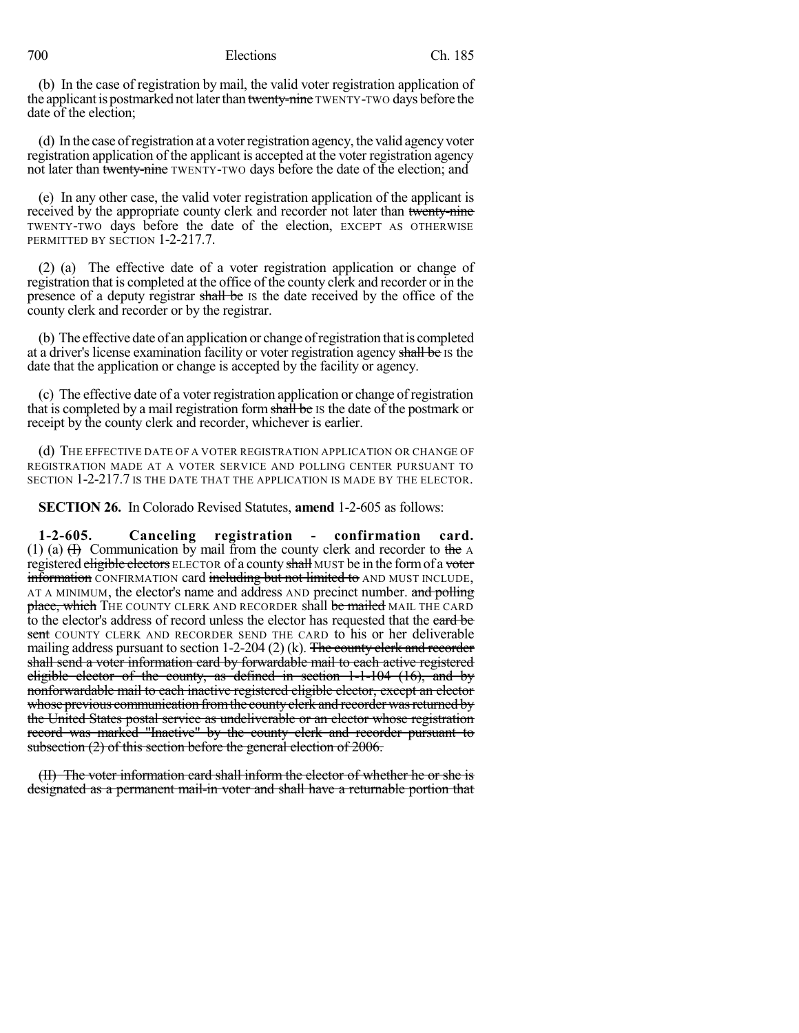700 Elections Ch. 185

(b) In the case of registration by mail, the valid voter registration application of the applicant is postmarked not later than twenty-nine TWENTY-TWO days before the date of the election;

(d) In the case of registration at a voter registration agency, the valid agency voter registration application of the applicant is accepted at the voter registration agency not later than twenty-nine TWENTY-TWO days before the date of the election; and

(e) In any other case, the valid voter registration application of the applicant is received by the appropriate county clerk and recorder not later than twenty-nine TWENTY-TWO days before the date of the election, EXCEPT AS OTHERWISE PERMITTED BY SECTION 1-2-217.7.

(2) (a) The effective date of a voter registration application or change of registration that is completed at the office of the county clerk and recorder or in the presence of a deputy registrar shall be IS the date received by the office of the county clerk and recorder or by the registrar.

(b) The effective date of an application or change ofregistration thatis completed at a driver's license examination facility or voter registration agency shall be IS the date that the application or change is accepted by the facility or agency.

(c) The effective date of a voter registration application or change of registration that is completed by a mail registration form shall be IS the date of the postmark or receipt by the county clerk and recorder, whichever is earlier.

(d) THE EFFECTIVE DATE OF A VOTER REGISTRATION APPLICATION OR CHANGE OF REGISTRATION MADE AT A VOTER SERVICE AND POLLING CENTER PURSUANT TO SECTION 1-2-217.7 IS THE DATE THAT THE APPLICATION IS MADE BY THE ELECTOR.

**SECTION 26.** In Colorado Revised Statutes, **amend** 1-2-605 as follows:

**1-2-605. Canceling registration - confirmation card.** (1) (a)  $(H)$  Communication by mail from the county clerk and recorder to the A registered eligible electors ELECTOR of a county shall MUST be in the form of a voter information CONFIRMATION card including but not limited to AND MUST INCLUDE, AT A MINIMUM, the elector's name and address AND precinct number. and polling place, which THE COUNTY CLERK AND RECORDER shall be mailed MAIL THE CARD to the elector's address of record unless the elector has requested that the eard be sent COUNTY CLERK AND RECORDER SEND THE CARD to his or her deliverable mailing address pursuant to section  $1-2-204$  (2) (k). The county clerk and recorder shall send a voter information card by forwardable mail to each active registered eligible elector of the county, as defined in section 1-1-104 (16), and by nonforwardable mail to each inactive registered eligible elector, except an elector whose previous communication from the county clerk and recorder was returned by the United States postal service as undeliverable or an elector whose registration record was marked "Inactive" by the county clerk and recorder pursuant to subsection (2) of this section before the general election of 2006.

(II) The voter information card shall inform the elector of whether he or she is designated as a permanent mail-in voter and shall have a returnable portion that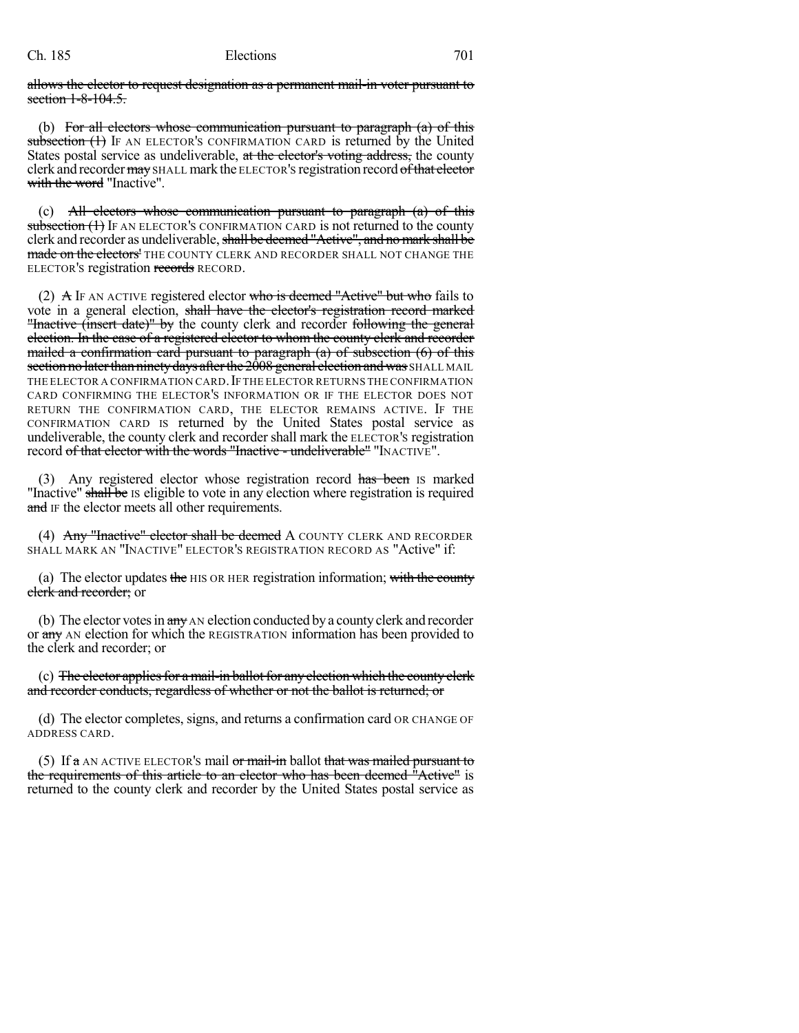allows the elector to request designation as a permanent mail-in voter pursuant to section 1-8-104.5.

(b) For all electors whose communication pursuant to paragraph  $(a)$  of this subsection (1) IF AN ELECTOR'S CONFIRMATION CARD is returned by the United States postal service as undeliverable, at the elector's voting address, the county clerk and recorder may SHALL mark the ELECTOR's registration record of that elector with the word "Inactive".

(c) All electors whose communication pursuant to paragraph  $(a)$  of this subsection (1) IF AN ELECTOR'S CONFIRMATION CARD is not returned to the county clerk and recorder as undeliverable, shall be deemed "Active", and no mark shall be made on the electors' THE COUNTY CLERK AND RECORDER SHALL NOT CHANGE THE ELECTOR'S registration records RECORD.

(2)  $\overline{A}$  IF AN ACTIVE registered elector who is deemed "Active" but who fails to vote in a general election, shall have the elector's registration record marked "Inactive (insert date)" by the county clerk and recorder following the general election. In the case of a registered elector to whom the county clerk and recorder mailed a confirmation card pursuant to paragraph (a) of subsection (6) of this section no later than ninety days after the 2008 general election and was SHALL MAIL THE ELECTOR A CONFIRMATION CARD. IF THE ELECTOR RETURNS THE CONFIRMATION CARD CONFIRMING THE ELECTOR'S INFORMATION OR IF THE ELECTOR DOES NOT RETURN THE CONFIRMATION CARD, THE ELECTOR REMAINS ACTIVE. IF THE CONFIRMATION CARD IS returned by the United States postal service as undeliverable, the county clerk and recorder shall mark the ELECTOR'S registration record of that elector with the words "Inactive - undeliverable" "INACTIVE".

(3) Any registered elector whose registration record has been is marked "Inactive" shall be Is eligible to vote in any election where registration is required and IF the elector meets all other requirements.

(4) Any "Inactive" elector shall be deemed A COUNTY CLERK AND RECORDER SHALL MARK AN "INACTIVE" ELECTOR'S REGISTRATION RECORD AS "Active" if:

(a) The elector updates the HIS OR HER registration information; with the county clerk and recorder; or

(b) The elector votes in  $\frac{a_n}{b_n}$  AN election conducted by a county clerk and recorder or any AN election for which the REGISTRATION information has been provided to the clerk and recorder; or

(c) The elector applies for a mail-in ballot for any election which the county elerk and recorder conducts, regardless of whether or not the ballot is returned; or

(d) The elector completes, signs, and returns a confirmation card OR CHANGE OF ADDRESS CARD.

(5) If  $\alpha$  AN ACTIVE ELECTOR's mail or mail-in ballot that was mailed pursuant to the requirements of this article to an elector who has been deemed "Active" is returned to the county clerk and recorder by the United States postal service as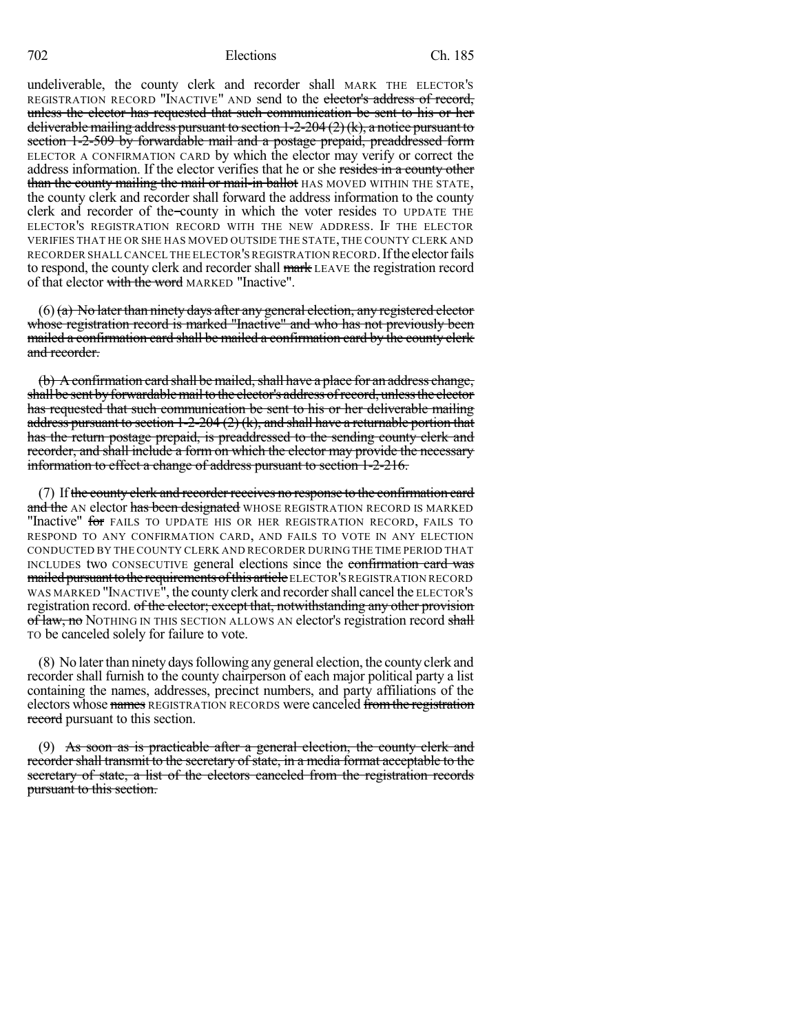702 Elections Ch. 185

undeliverable, the county clerk and recorder shall MARK THE ELECTOR'S REGISTRATION RECORD "INACTIVE" AND send to the elector's address of record, unless the elector has requested that such communication be sent to his or her deliverable mailing address pursuant to section 1-2-204 (2)(k), a notice pursuant to section 1-2-509 by forwardable mail and a postage prepaid, preaddressed form ELECTOR A CONFIRMATION CARD by which the elector may verify or correct the address information. If the elector verifies that he or she resides in a county other than the county mailing the mail or mail-in ballot HAS MOVED WITHIN THE STATE, the county clerk and recorder shall forward the address information to the county clerk and recorder of the county in which the voter resides TO UPDATE THE ELECTOR'S REGISTRATION RECORD WITH THE NEW ADDRESS. IF THE ELECTOR VERIFIES THAT HE OR SHE HAS MOVED OUTSIDE THE STATE, THE COUNTY CLERK AND RECORDER SHALL CANCEL THE ELECTOR'S REGISTRATION RECORD. If the elector fails to respond, the county clerk and recorder shall mark LEAVE the registration record of that elector with the word MARKED "Inactive".

 $(6)$  (a) No later than ninety days after any general election, any registered elector whose registration record is marked "Inactive" and who has not previously been mailed a confirmation card shall be mailed a confirmation card by the county clerk and recorder.

 $(b)$  A confirmation card shall be mailed, shall have a place for an address change, shall be sent by forwardable mail to the elector's address of record, unless the elector has requested that such communication be sent to his or her deliverable mailing address pursuant to section 1-2-204 (2) (k), and shall have a returnable portion that has the return postage prepaid, is preaddressed to the sending county clerk and recorder, and shall include a form on which the elector may provide the necessary information to effect a change of address pursuant to section 1-2-216.

(7) If the county clerk and recorder receives no response to the confirmation card and the AN elector has been designated WHOSE REGISTRATION RECORD IS MARKED "Inactive" for FAILS TO UPDATE HIS OR HER REGISTRATION RECORD, FAILS TO RESPOND TO ANY CONFIRMATION CARD, AND FAILS TO VOTE IN ANY ELECTION CONDUCTED BY THE COUNTY CLERK AND RECORDER DURING THE TIME PERIOD THAT INCLUDES two CONSECUTIVE general elections since the confirmation card was mailed pursuant to the requirements of this article ELECTOR'S REGISTRATION RECORD WAS MARKED "INACTIVE", the county clerk and recordershall cancel the ELECTOR'S registration record. of the elector; except that, notwithstanding any other provision of law, no NOTHING IN THIS SECTION ALLOWS AN elector's registration record shall TO be canceled solely for failure to vote.

(8) No later than ninety days following any general election, the county clerk and recorder shall furnish to the county chairperson of each major political party a list containing the names, addresses, precinct numbers, and party affiliations of the electors whose names REGISTRATION RECORDS were canceled from the registration record pursuant to this section.

(9) As soon as is practicable after a general election, the county clerk and recorder shall transmit to the secretary of state, in a media format acceptable to the secretary of state, a list of the electors canceled from the registration records pursuant to this section.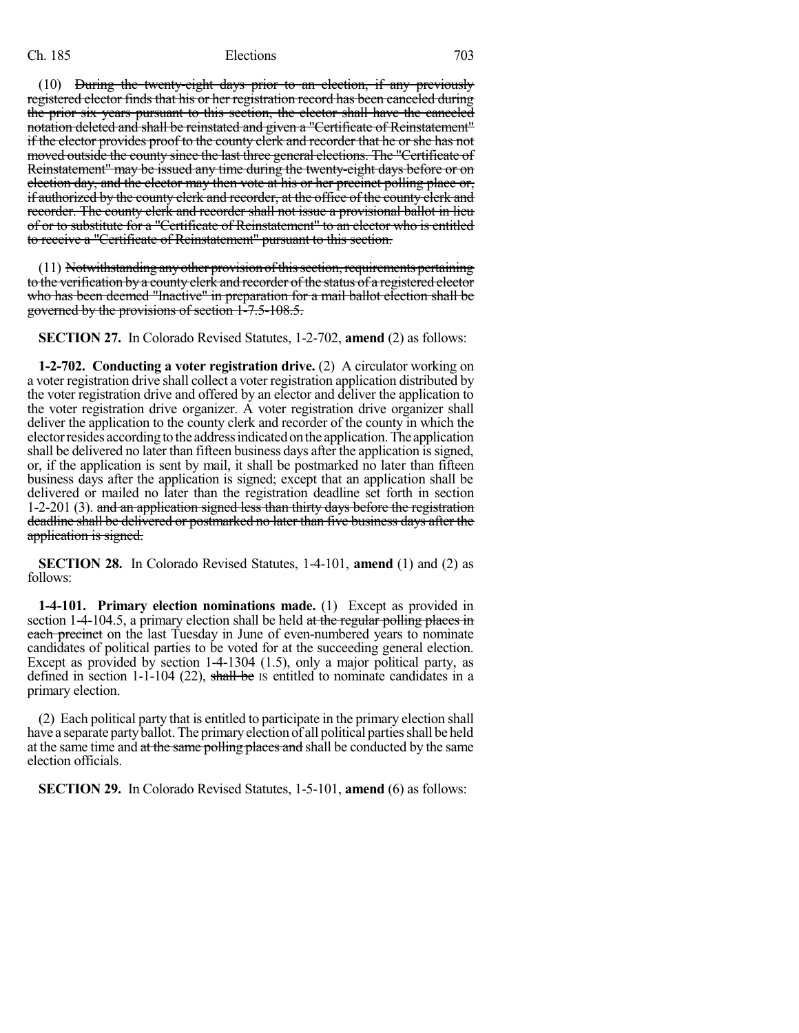(10) During the twenty-eight days prior to an election, if any previously registered elector finds that his or her registration record has been canceled during the prior six years pursuant to this section, the elector shall have the canceled notation deleted and shall be reinstated and given a "Certificate of Reinstatement" if the elector provides proof to the county clerk and recorder that he or she has not moved outside the county since the last three general elections. The "Certificate of Reinstatement" may be issued any time during the twenty-eight days before or on election day, and the elector may then vote at his or her precinct polling place or, if authorized by the county clerk and recorder, at the office of the county clerk and recorder. The county clerk and recorder shall not issue a provisional ballot in lieu of or to substitute for a "Certificate of Reinstatement" to an elector who is entitled to receive a "Certificate of Reinstatement" pursuant to this section.

(11) Notwithstanding any other provision of this section, requirements pertaining to the verification by a county clerk and recorder of the status of a registered elector who has been deemed "Inactive" in preparation for a mail ballot election shall be governed by the provisions of section 1-7.5-108.5.

**SECTION 27.** In Colorado Revised Statutes, 1-2-702, **amend** (2) as follows:

**1-2-702. Conducting a voter registration drive.** (2) A circulator working on a voter registration drive shall collect a voter registration application distributed by the voter registration drive and offered by an elector and deliver the application to the voter registration drive organizer. A voter registration drive organizer shall deliver the application to the county clerk and recorder of the county in which the elector resides according to the address indicated on the application. The application shall be delivered no later than fifteen business days after the application is signed, or, if the application is sent by mail, it shall be postmarked no later than fifteen business days after the application is signed; except that an application shall be delivered or mailed no later than the registration deadline set forth in section 1-2-201 (3). and an application signed less than thirty days before the registration deadline shall be delivered or postmarked no later than five business days after the application is signed.

**SECTION 28.** In Colorado Revised Statutes, 1-4-101, **amend** (1) and (2) as follows:

**1-4-101. Primary election nominations made.** (1) Except as provided in section 1-4-104.5, a primary election shall be held  $at$  the regular polling places in each precinct on the last Tuesday in June of even-numbered years to nominate candidates of political parties to be voted for at the succeeding general election. Except as provided by section 1-4-1304 (1.5), only a major political party, as defined in section 1-1-104 (22), shall be is entitled to nominate candidates in a primary election.

(2) Each political party that is entitled to participate in the primary election shall have a separate party ballot. The primary election of all political parties shall be held at the same time and at the same polling places and shall be conducted by the same election officials.

**SECTION 29.** In Colorado Revised Statutes, 1-5-101, **amend** (6) as follows: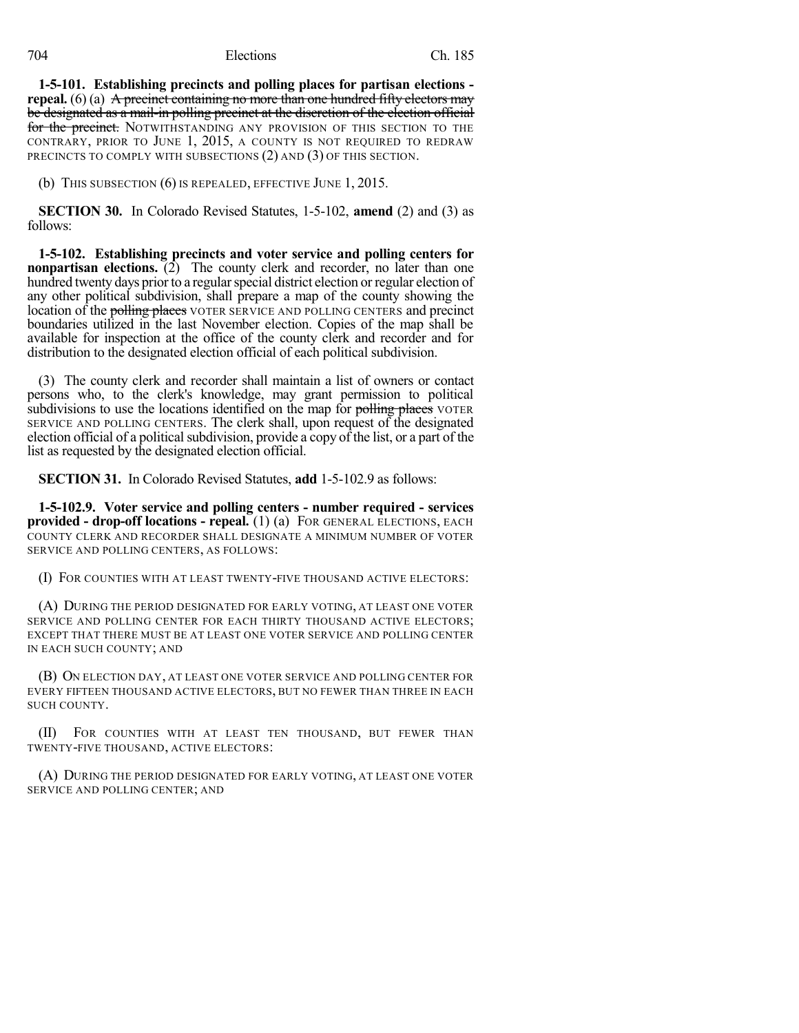### 704 Elections Ch. 185

**1-5-101. Establishing precincts and polling places for partisan elections repeal.** (6) (a) A precinct containing no more than one hundred fifty electors may be designated as a mail-in polling precinct at the discretion of the election official for the precinct. NOTWITHSTANDING ANY PROVISION OF THIS SECTION TO THE CONTRARY, PRIOR TO JUNE 1, 2015, A COUNTY IS NOT REQUIRED TO REDRAW PRECINCTS TO COMPLY WITH SUBSECTIONS (2) AND (3) OF THIS SECTION.

(b) THIS SUBSECTION (6) IS REPEALED, EFFECTIVE JUNE 1, 2015.

**SECTION 30.** In Colorado Revised Statutes, 1-5-102, **amend** (2) and (3) as follows:

**1-5-102. Establishing precincts and voter service and polling centers for nonpartisan elections.** (2) The county clerk and recorder, no later than one hundred twenty days prior to a regular special district election or regular election of any other political subdivision, shall prepare a map of the county showing the location of the polling places VOTER SERVICE AND POLLING CENTERS and precinct boundaries utilized in the last November election. Copies of the map shall be available for inspection at the office of the county clerk and recorder and for distribution to the designated election official of each political subdivision.

(3) The county clerk and recorder shall maintain a list of owners or contact persons who, to the clerk's knowledge, may grant permission to political subdivisions to use the locations identified on the map for polling places VOTER SERVICE AND POLLING CENTERS. The clerk shall, upon request of the designated election official of a political subdivision, provide a copy of the list, or a part of the list as requested by the designated election official.

**SECTION 31.** In Colorado Revised Statutes, **add** 1-5-102.9 as follows:

**1-5-102.9. Voter service and polling centers - number required - services provided - drop-off locations - repeal.** (1) (a) FOR GENERAL ELECTIONS, EACH COUNTY CLERK AND RECORDER SHALL DESIGNATE A MINIMUM NUMBER OF VOTER SERVICE AND POLLING CENTERS, AS FOLLOWS:

(I) FOR COUNTIES WITH AT LEAST TWENTY-FIVE THOUSAND ACTIVE ELECTORS:

(A) DURING THE PERIOD DESIGNATED FOR EARLY VOTING, AT LEAST ONE VOTER SERVICE AND POLLING CENTER FOR EACH THIRTY THOUSAND ACTIVE ELECTORS; EXCEPT THAT THERE MUST BE AT LEAST ONE VOTER SERVICE AND POLLING CENTER IN EACH SUCH COUNTY; AND

(B) ON ELECTION DAY, AT LEAST ONE VOTER SERVICE AND POLLING CENTER FOR EVERY FIFTEEN THOUSAND ACTIVE ELECTORS, BUT NO FEWER THAN THREE IN EACH SUCH COUNTY.

(II) FOR COUNTIES WITH AT LEAST TEN THOUSAND, BUT FEWER THAN TWENTY-FIVE THOUSAND, ACTIVE ELECTORS:

(A) DURING THE PERIOD DESIGNATED FOR EARLY VOTING, AT LEAST ONE VOTER SERVICE AND POLLING CENTER; AND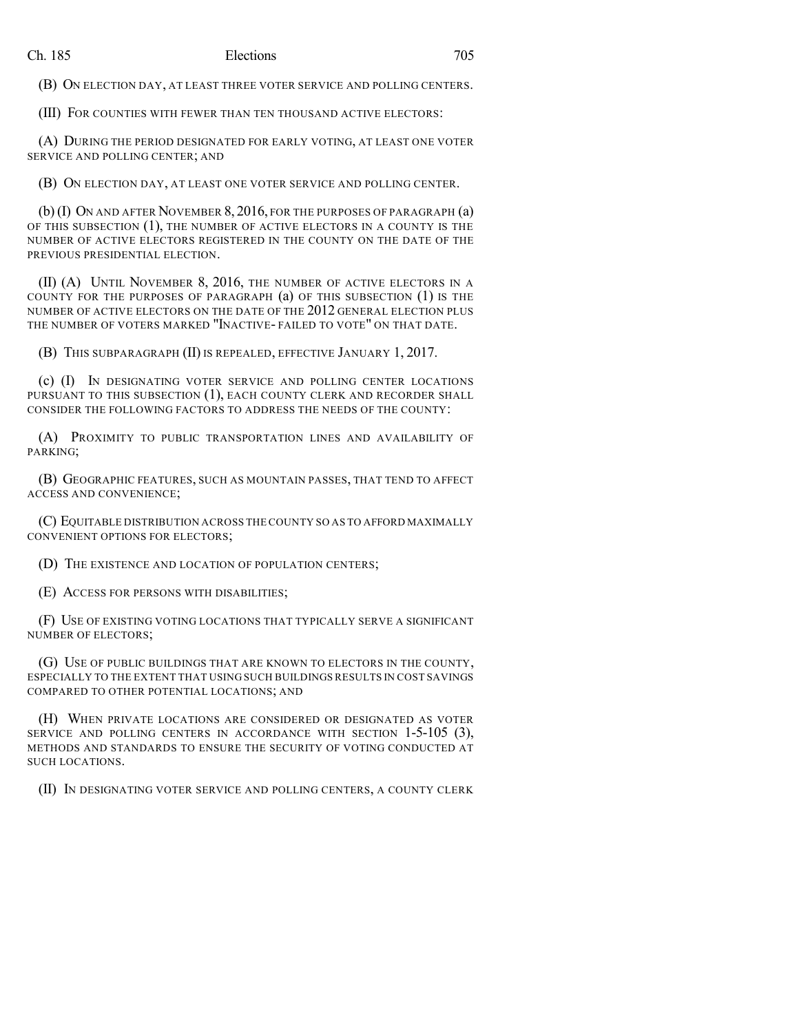(B) ON ELECTION DAY, AT LEAST THREE VOTER SERVICE AND POLLING CENTERS.

(III) FOR COUNTIES WITH FEWER THAN TEN THOUSAND ACTIVE ELECTORS:

(A) DURING THE PERIOD DESIGNATED FOR EARLY VOTING, AT LEAST ONE VOTER SERVICE AND POLLING CENTER; AND

(B) ON ELECTION DAY, AT LEAST ONE VOTER SERVICE AND POLLING CENTER.

(b) (I) ON AND AFTER NOVEMBER 8, 2016, FOR THE PURPOSES OF PARAGRAPH (a) OF THIS SUBSECTION (1), THE NUMBER OF ACTIVE ELECTORS IN A COUNTY IS THE NUMBER OF ACTIVE ELECTORS REGISTERED IN THE COUNTY ON THE DATE OF THE PREVIOUS PRESIDENTIAL ELECTION.

(II) (A) UNTIL NOVEMBER 8, 2016, THE NUMBER OF ACTIVE ELECTORS IN A COUNTY FOR THE PURPOSES OF PARAGRAPH (a) OF THIS SUBSECTION (1) IS THE NUMBER OF ACTIVE ELECTORS ON THE DATE OF THE 2012 GENERAL ELECTION PLUS THE NUMBER OF VOTERS MARKED "INACTIVE- FAILED TO VOTE" ON THAT DATE.

(B) THIS SUBPARAGRAPH (II) IS REPEALED, EFFECTIVE JANUARY 1, 2017.

(c) (I) IN DESIGNATING VOTER SERVICE AND POLLING CENTER LOCATIONS PURSUANT TO THIS SUBSECTION (1), EACH COUNTY CLERK AND RECORDER SHALL CONSIDER THE FOLLOWING FACTORS TO ADDRESS THE NEEDS OF THE COUNTY:

(A) PROXIMITY TO PUBLIC TRANSPORTATION LINES AND AVAILABILITY OF PARKING;

(B) GEOGRAPHIC FEATURES, SUCH AS MOUNTAIN PASSES, THAT TEND TO AFFECT ACCESS AND CONVENIENCE;

(C) EQUITABLE DISTRIBUTION ACROSS THE COUNTY SO AS TO AFFORD MAXIMALLY CONVENIENT OPTIONS FOR ELECTORS;

(D) THE EXISTENCE AND LOCATION OF POPULATION CENTERS;

(E) ACCESS FOR PERSONS WITH DISABILITIES;

(F) USE OF EXISTING VOTING LOCATIONS THAT TYPICALLY SERVE A SIGNIFICANT NUMBER OF ELECTORS;

(G) USE OF PUBLIC BUILDINGS THAT ARE KNOWN TO ELECTORS IN THE COUNTY, ESPECIALLY TO THE EXTENT THAT USING SUCH BUILDINGS RESULTS IN COST SAVINGS COMPARED TO OTHER POTENTIAL LOCATIONS; AND

(H) WHEN PRIVATE LOCATIONS ARE CONSIDERED OR DESIGNATED AS VOTER SERVICE AND POLLING CENTERS IN ACCORDANCE WITH SECTION 1-5-105 (3), METHODS AND STANDARDS TO ENSURE THE SECURITY OF VOTING CONDUCTED AT SUCH LOCATIONS.

(II) IN DESIGNATING VOTER SERVICE AND POLLING CENTERS, A COUNTY CLERK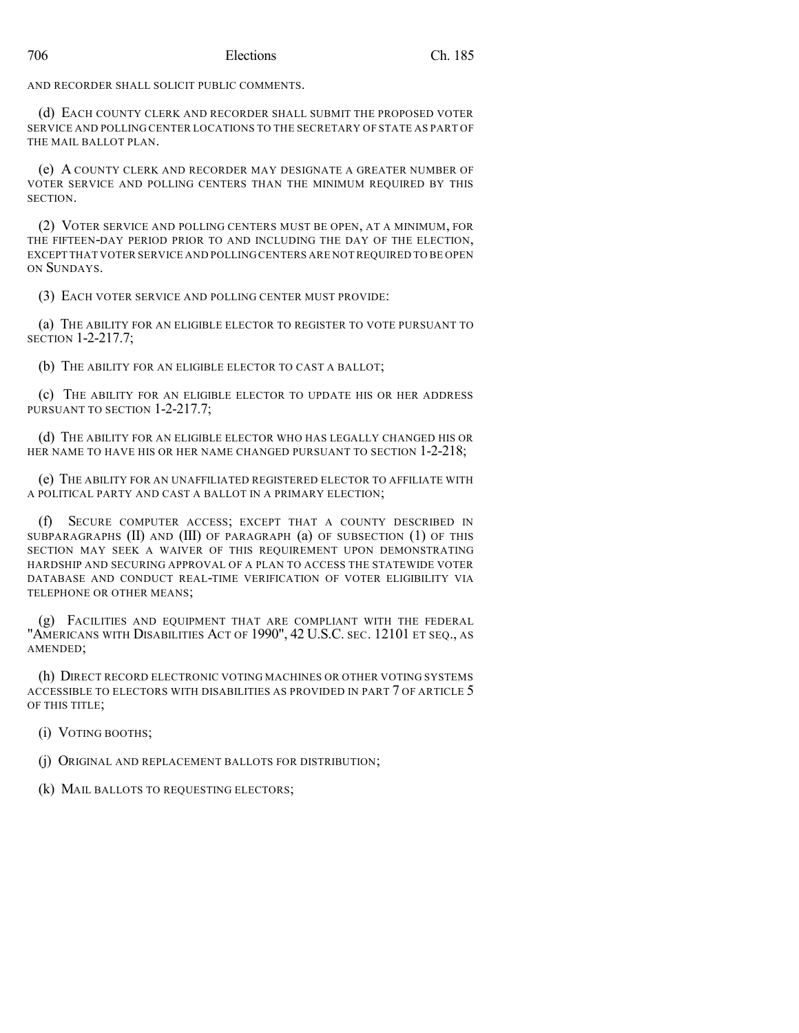AND RECORDER SHALL SOLICIT PUBLIC COMMENTS.

(d) EACH COUNTY CLERK AND RECORDER SHALL SUBMIT THE PROPOSED VOTER SERVICE AND POLLING CENTER LOCATIONS TO THE SECRETARY OF STATE AS PART OF THE MAIL BALLOT PLAN.

(e) A COUNTY CLERK AND RECORDER MAY DESIGNATE A GREATER NUMBER OF VOTER SERVICE AND POLLING CENTERS THAN THE MINIMUM REQUIRED BY THIS SECTION.

(2) VOTER SERVICE AND POLLING CENTERS MUST BE OPEN, AT A MINIMUM, FOR THE FIFTEEN-DAY PERIOD PRIOR TO AND INCLUDING THE DAY OF THE ELECTION, EXCEPT THAT VOTER SERVICE AND POLLING CENTERS ARE NOT REQUIRED TO BE OPEN ON SUNDAYS.

(3) EACH VOTER SERVICE AND POLLING CENTER MUST PROVIDE:

(a) THE ABILITY FOR AN ELIGIBLE ELECTOR TO REGISTER TO VOTE PURSUANT TO SECTION 1-2-217.7;

(b) THE ABILITY FOR AN ELIGIBLE ELECTOR TO CAST A BALLOT;

(c) THE ABILITY FOR AN ELIGIBLE ELECTOR TO UPDATE HIS OR HER ADDRESS PURSUANT TO SECTION 1-2-217.7;

(d) THE ABILITY FOR AN ELIGIBLE ELECTOR WHO HAS LEGALLY CHANGED HIS OR HER NAME TO HAVE HIS OR HER NAME CHANGED PURSUANT TO SECTION 1-2-218;

(e) THE ABILITY FOR AN UNAFFILIATED REGISTERED ELECTOR TO AFFILIATE WITH A POLITICAL PARTY AND CAST A BALLOT IN A PRIMARY ELECTION;

(f) SECURE COMPUTER ACCESS; EXCEPT THAT A COUNTY DESCRIBED IN SUBPARAGRAPHS (II) AND (III) OF PARAGRAPH (a) OF SUBSECTION (1) OF THIS SECTION MAY SEEK A WAIVER OF THIS REQUIREMENT UPON DEMONSTRATING HARDSHIP AND SECURING APPROVAL OF A PLAN TO ACCESS THE STATEWIDE VOTER DATABASE AND CONDUCT REAL-TIME VERIFICATION OF VOTER ELIGIBILITY VIA TELEPHONE OR OTHER MEANS;

(g) FACILITIES AND EQUIPMENT THAT ARE COMPLIANT WITH THE FEDERAL "AMERICANS WITH DISABILITIES ACT OF 1990", 42 U.S.C. SEC. 12101 ET SEQ., AS AMENDED;

(h) DIRECT RECORD ELECTRONIC VOTING MACHINES OR OTHER VOTING SYSTEMS ACCESSIBLE TO ELECTORS WITH DISABILITIES AS PROVIDED IN PART 7 OF ARTICLE 5 OF THIS TITLE;

(i) VOTING BOOTHS;

(j) ORIGINAL AND REPLACEMENT BALLOTS FOR DISTRIBUTION;

(k) MAIL BALLOTS TO REQUESTING ELECTORS;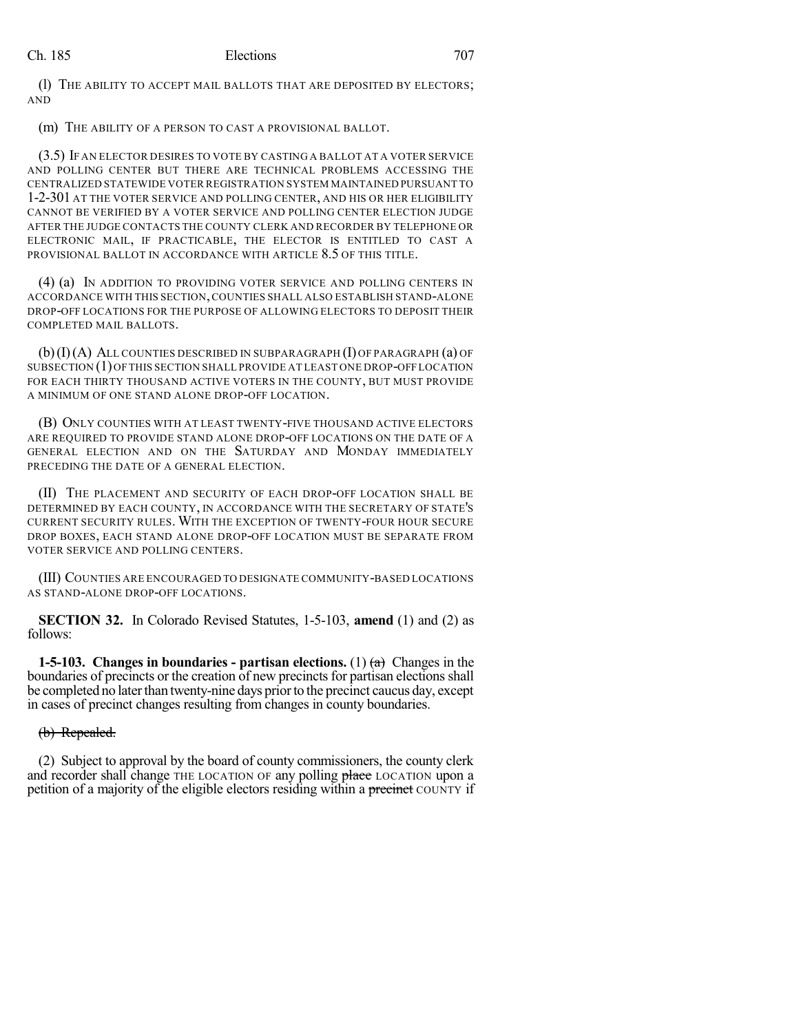(l) THE ABILITY TO ACCEPT MAIL BALLOTS THAT ARE DEPOSITED BY ELECTORS; AND

(m) THE ABILITY OF A PERSON TO CAST A PROVISIONAL BALLOT.

(3.5) IF AN ELECTOR DESIRES TO VOTE BY CASTING A BALLOT AT A VOTER SERVICE AND POLLING CENTER BUT THERE ARE TECHNICAL PROBLEMS ACCESSING THE CENTRALIZED STATEWIDE VOTER REGISTRATION SYSTEM MAINTAINED PURSUANT TO 1-2-301 AT THE VOTER SERVICE AND POLLING CENTER, AND HIS OR HER ELIGIBILITY CANNOT BE VERIFIED BY A VOTER SERVICE AND POLLING CENTER ELECTION JUDGE AFTER THE JUDGE CONTACTS THE COUNTY CLERK AND RECORDER BY TELEPHONE OR ELECTRONIC MAIL, IF PRACTICABLE, THE ELECTOR IS ENTITLED TO CAST A PROVISIONAL BALLOT IN ACCORDANCE WITH ARTICLE 8.5 OF THIS TITLE.

(4) (a) IN ADDITION TO PROVIDING VOTER SERVICE AND POLLING CENTERS IN ACCORDANCE WITH THIS SECTION,COUNTIES SHALL ALSO ESTABLISH STAND-ALONE DROP-OFF LOCATIONS FOR THE PURPOSE OF ALLOWING ELECTORS TO DEPOSIT THEIR COMPLETED MAIL BALLOTS.

(b)(I)(A) ALL COUNTIES DESCRIBED IN SUBPARAGRAPH (I) OF PARAGRAPH (a) OF SUBSECTION (1)OF THIS SECTION SHALL PROVIDE AT LEAST ONE DROP-OFF LOCATION FOR EACH THIRTY THOUSAND ACTIVE VOTERS IN THE COUNTY, BUT MUST PROVIDE A MINIMUM OF ONE STAND ALONE DROP-OFF LOCATION.

(B) ONLY COUNTIES WITH AT LEAST TWENTY-FIVE THOUSAND ACTIVE ELECTORS ARE REQUIRED TO PROVIDE STAND ALONE DROP-OFF LOCATIONS ON THE DATE OF A GENERAL ELECTION AND ON THE SATURDAY AND MONDAY IMMEDIATELY PRECEDING THE DATE OF A GENERAL ELECTION.

(II) THE PLACEMENT AND SECURITY OF EACH DROP-OFF LOCATION SHALL BE DETERMINED BY EACH COUNTY, IN ACCORDANCE WITH THE SECRETARY OF STATE'S CURRENT SECURITY RULES. WITH THE EXCEPTION OF TWENTY-FOUR HOUR SECURE DROP BOXES, EACH STAND ALONE DROP-OFF LOCATION MUST BE SEPARATE FROM VOTER SERVICE AND POLLING CENTERS.

(III) COUNTIES ARE ENCOURAGED TO DESIGNATE COMMUNITY-BASED LOCATIONS AS STAND-ALONE DROP-OFF LOCATIONS.

**SECTION 32.** In Colorado Revised Statutes, 1-5-103, **amend** (1) and (2) as follows:

**1-5-103. Changes in boundaries - partisan elections.** (1)  $\left(\frac{\bf{a}}{\bf{a}}\right)$  Changes in the boundaries of precincts or the creation of new precincts for partisan elections shall be completed no later than twenty-nine days prior to the precinct caucus day, except in cases of precinct changes resulting from changes in county boundaries.

#### (b) Repealed.

(2) Subject to approval by the board of county commissioners, the county clerk and recorder shall change THE LOCATION OF any polling place LOCATION upon a petition of a majority of the eligible electors residing within a precinct COUNTY if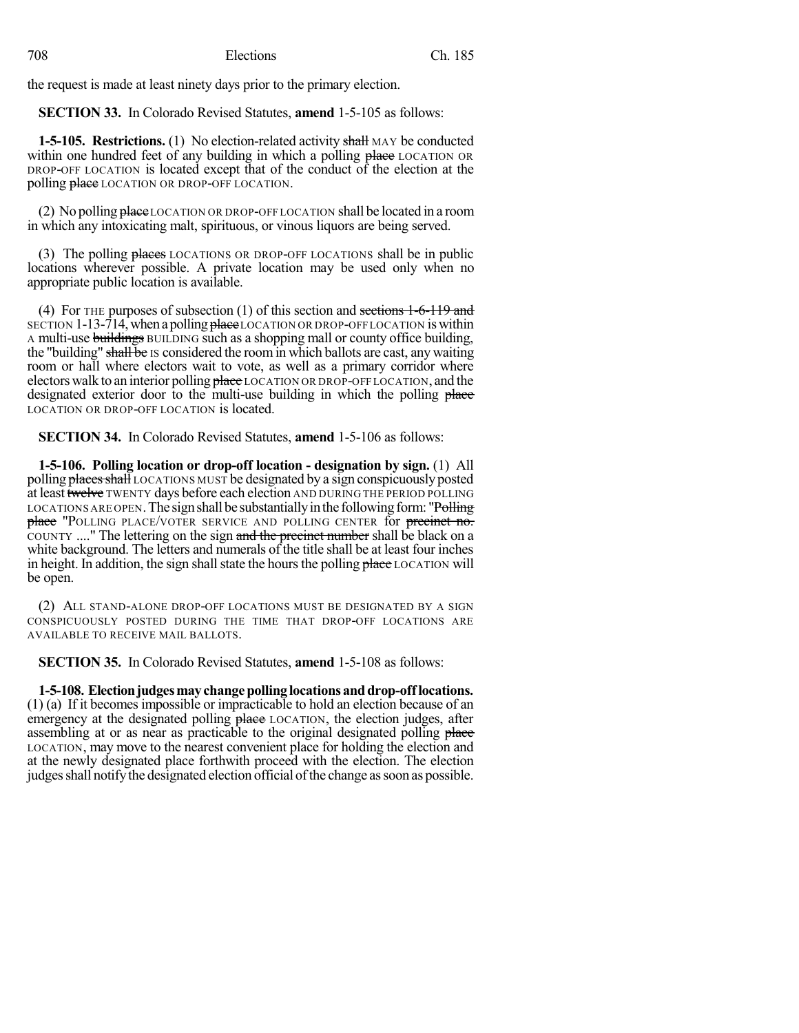the request is made at least ninety days prior to the primary election.

**SECTION 33.** In Colorado Revised Statutes, **amend** 1-5-105 as follows:

**1-5-105. Restrictions.** (1) No election-related activity shall MAY be conducted within one hundred feet of any building in which a polling place LOCATION OR DROP-OFF LOCATION is located except that of the conduct of the election at the polling place LOCATION OR DROP-OFF LOCATION.

(2) No polling  $\theta$  has elected to  $\theta$  are now or DROP-OFF LOCATION shall be located in a room in which any intoxicating malt, spirituous, or vinous liquors are being served.

(3) The polling places LOCATIONS OR DROP-OFF LOCATIONS shall be in public locations wherever possible. A private location may be used only when no appropriate public location is available.

(4) For THE purposes of subsection (1) of this section and sections 1-6-119 and SECTION 1-13-714, when a polling place LOCATION OR DROP-OFF LOCATION is within A multi-use buildings BUILDING such as a shopping mall or county office building, the "building" shall be IS considered the room in which ballots are cast, any waiting room or hall where electors wait to vote, as well as a primary corridor where electors walk to an interior polling place LOCATION OR DROP-OFF LOCATION, and the designated exterior door to the multi-use building in which the polling place LOCATION OR DROP-OFF LOCATION is located.

**SECTION 34.** In Colorado Revised Statutes, **amend** 1-5-106 as follows:

**1-5-106. Polling location or drop-off location - designation by sign.** (1) All polling **places shall** LOCATIONS MUST be designated by a sign conspicuously posted at least twelve TWENTY days before each election AND DURING THE PERIOD POLLING LOCATIONS ARE OPEN. The sign shall be substantially in the following form: "Polling place "POLLING PLACE/VOTER SERVICE AND POLLING CENTER for precinct no. COUNTY ...." The lettering on the sign and the precinct number shall be black on a white background. The letters and numerals of the title shall be at least four inches in height. In addition, the sign shall state the hours the polling place LOCATION will be open.

(2) ALL STAND-ALONE DROP-OFF LOCATIONS MUST BE DESIGNATED BY A SIGN CONSPICUOUSLY POSTED DURING THE TIME THAT DROP-OFF LOCATIONS ARE AVAILABLE TO RECEIVE MAIL BALLOTS.

**SECTION 35.** In Colorado Revised Statutes, **amend** 1-5-108 as follows:

**1-5-108. Electionjudgesmaychangepollinglocationsanddrop-offlocations.** (1) (a) If it becomes impossible or impracticable to hold an election because of an emergency at the designated polling place LOCATION, the election judges, after assembling at or as near as practicable to the original designated polling place LOCATION, may move to the nearest convenient place for holding the election and at the newly designated place forthwith proceed with the election. The election judges shall notify the designated election official of the change as soon as possible.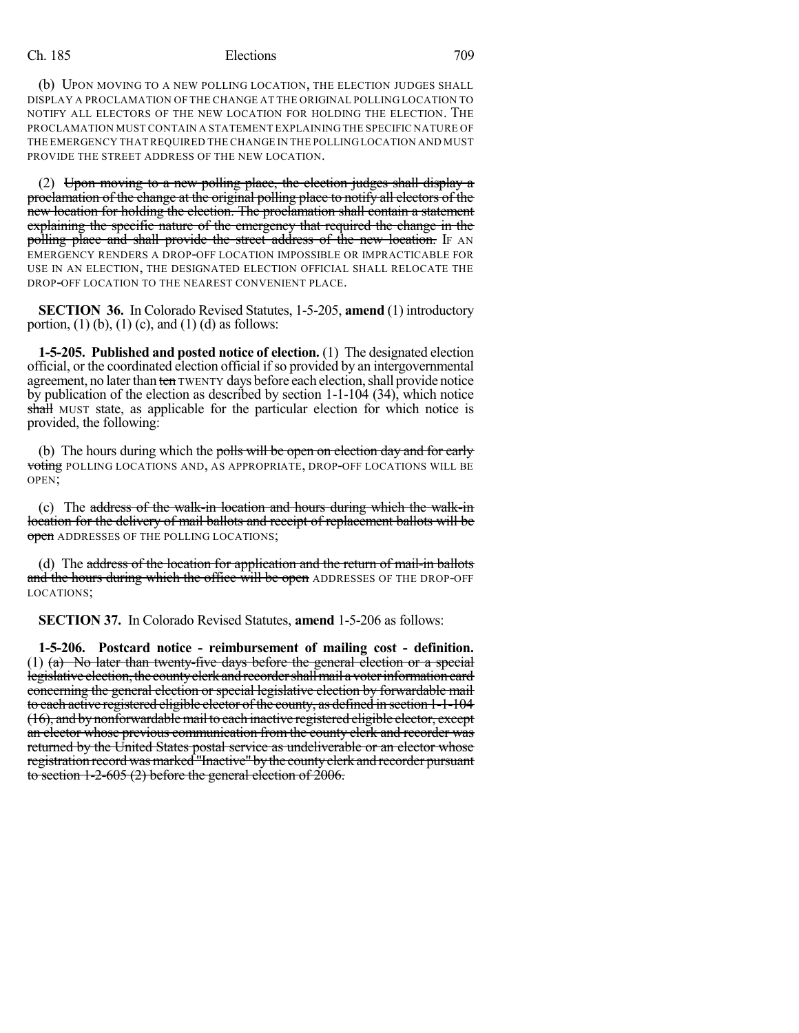(b) UPON MOVING TO A NEW POLLING LOCATION, THE ELECTION JUDGES SHALL DISPLAY A PROCLAMATION OF THE CHANGE AT THE ORIGINAL POLLING LOCATION TO NOTIFY ALL ELECTORS OF THE NEW LOCATION FOR HOLDING THE ELECTION. THE PROCLAMATION MUST CONTAIN A STATEMENT EXPLAINING THE SPECIFIC NATURE OF THE EMERGENCY THAT REQUIRED THE CHANGE IN THE POLLING LOCATION AND MUST PROVIDE THE STREET ADDRESS OF THE NEW LOCATION.

(2) Upon moving to a new polling place, the election judges shall display a proclamation of the change at the original polling place to notify all electors of the new location for holding the election. The proclamation shall contain a statement explaining the specific nature of the emergency that required the change in the polling place and shall provide the street address of the new location. If AN EMERGENCY RENDERS A DROP-OFF LOCATION IMPOSSIBLE OR IMPRACTICABLE FOR USE IN AN ELECTION, THE DESIGNATED ELECTION OFFICIAL SHALL RELOCATE THE DROP-OFF LOCATION TO THE NEAREST CONVENIENT PLACE.

**SECTION 36.** In Colorado Revised Statutes, 1-5-205, **amend** (1) introductory portion,  $(1)$  (b),  $(1)$  (c), and  $(1)$  (d) as follows:

**1-5-205. Published and posted notice of election.** (1) The designated election official, or the coordinated election official if so provided by an intergovernmental agreement, no later than ten TWENTY days before each election, shall provide notice by publication of the election as described by section 1-1-104 (34), which notice shall MUST state, as applicable for the particular election for which notice is provided, the following:

(b) The hours during which the polls will be open on election day and for early voting POLLING LOCATIONS AND, AS APPROPRIATE, DROP-OFF LOCATIONS WILL BE OPEN;

(c) The address of the walk-in location and hours during which the walk-in location for the delivery of mail ballots and receipt of replacement ballots will be open ADDRESSES OF THE POLLING LOCATIONS;

(d) The address of the location for application and the return of mail-in ballots and the hours during which the office will be open ADDRESSES OF THE DROP-OFF LOCATIONS;

**SECTION 37.** In Colorado Revised Statutes, **amend** 1-5-206 as follows:

**1-5-206. Postcard notice - reimbursement of mailing cost - definition.** (1) (a) No later than twenty-five days before the general election or a special legislative election, the county elerk and recorder shall mail a voter information card concerning the general election or special legislative election by forwardable mail to each active registered eligible elector ofthe county, as defined in section 1-1-104 (16), and bynonforwardablemail to each inactive registered eligible elector, except an elector whose previous communication from the county clerk and recorder was returned by the United States postal service as undeliverable or an elector whose registration record was marked "Inactive" by the county clerk and recorder pursuant to section 1-2-605 (2) before the general election of 2006.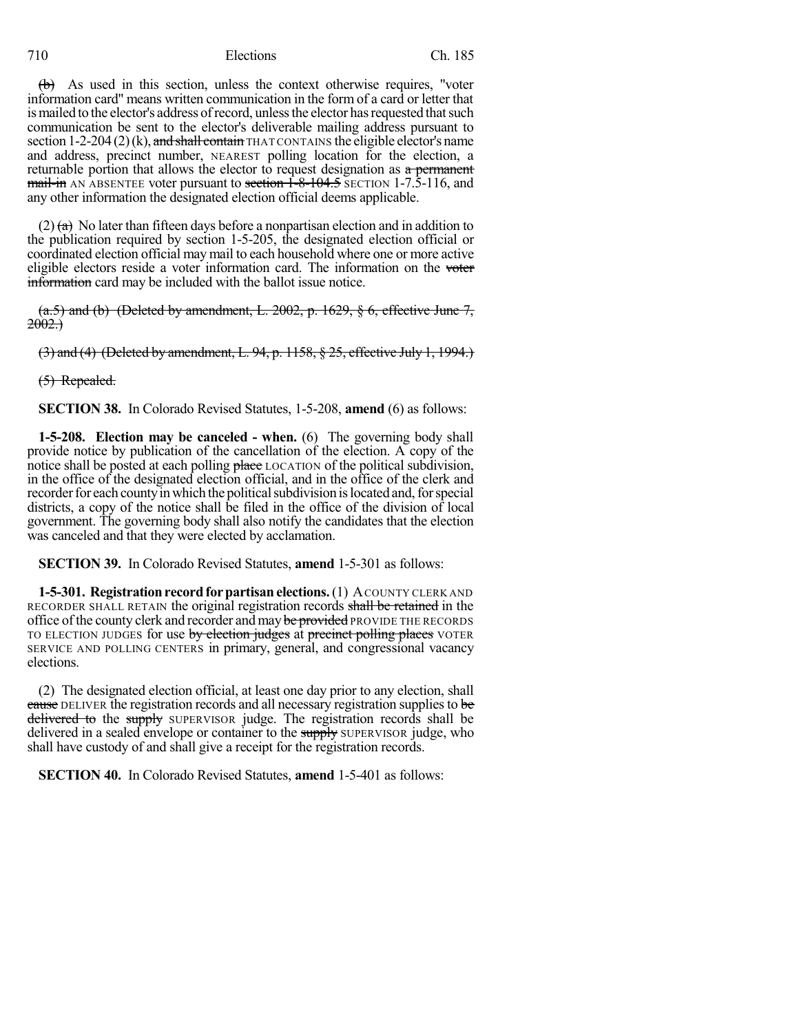### 710 Elections Ch. 185

(b) As used in this section, unless the context otherwise requires, "voter information card" means written communication in the form of a card or letter that is mailed to the elector's address of record, unless the elector has requested that such communication be sent to the elector's deliverable mailing address pursuant to section 1-2-204 (2)(k), and shall contain THAT CONTAINS the eligible elector's name and address, precinct number, NEAREST polling location for the election, a returnable portion that allows the elector to request designation as a permanent  $m$ ail-in AN ABSENTEE voter pursuant to section  $1-8-104.5$  SECTION 1-7.5-116, and any other information the designated election official deems applicable.

 $(2)$  (a) No later than fifteen days before a nonpartisan election and in addition to the publication required by section 1-5-205, the designated election official or coordinated election official maymail to each household where one or more active eligible electors reside a voter information card. The information on the voter information card may be included with the ballot issue notice.

 $(a.5)$  and (b) (Deleted by amendment, L. 2002, p. 1629, § 6, effective June 7,  $2002.$ 

(3) and (4) (Deleted by amendment, L. 94, p. 1158, § 25, effective July 1, 1994.)

(5) Repealed.

**SECTION 38.** In Colorado Revised Statutes, 1-5-208, **amend** (6) as follows:

**1-5-208. Election may be canceled - when.** (6) The governing body shall provide notice by publication of the cancellation of the election. A copy of the notice shall be posted at each polling place LOCATION of the political subdivision, in the office of the designated election official, and in the office of the clerk and recorder for each county in which the political subdivision is located and, for special districts, a copy of the notice shall be filed in the office of the division of local government. The governing body shall also notify the candidates that the election was canceled and that they were elected by acclamation.

**SECTION 39.** In Colorado Revised Statutes, **amend** 1-5-301 as follows:

**1-5-301. Registration record for partisan elections.** (1) A COUNTY CLERK AND RECORDER SHALL RETAIN the original registration records shall be retained in the office of the county clerk and recorder and may be provided PROVIDE THE RECORDS TO ELECTION JUDGES for use by election judges at precinct polling places VOTER SERVICE AND POLLING CENTERS in primary, general, and congressional vacancy elections.

(2) The designated election official, at least one day prior to any election, shall cause DELIVER the registration records and all necessary registration supplies to be delivered to the supply SUPERVISOR judge. The registration records shall be delivered in a sealed envelope or container to the supply SUPERVISOR judge, who shall have custody of and shall give a receipt for the registration records.

**SECTION 40.** In Colorado Revised Statutes, **amend** 1-5-401 as follows: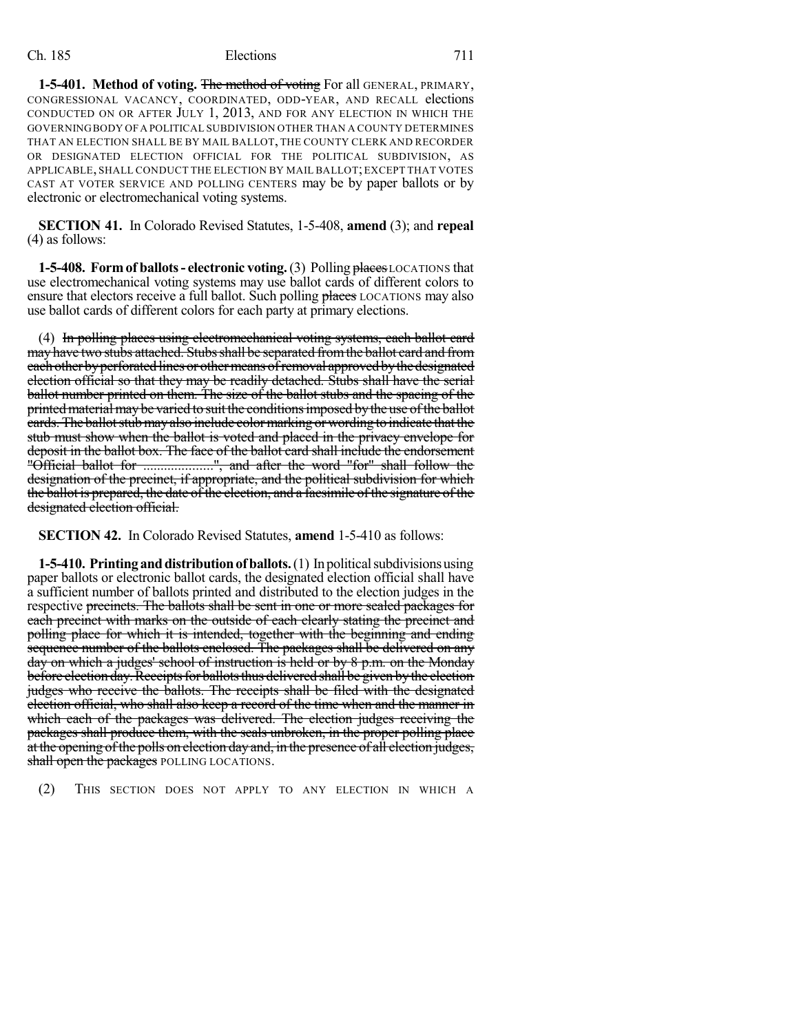**1-5-401. Method of voting.** The method of voting For all GENERAL, PRIMARY, CONGRESSIONAL VACANCY, COORDINATED, ODD-YEAR, AND RECALL elections CONDUCTED ON OR AFTER JULY 1, 2013, AND FOR ANY ELECTION IN WHICH THE GOVERNINGBODY OFA POLITICAL SUBDIVISION OTHER THAN A COUNTY DETERMINES THAT AN ELECTION SHALL BE BY MAIL BALLOT, THE COUNTY CLERK AND RECORDER OR DESIGNATED ELECTION OFFICIAL FOR THE POLITICAL SUBDIVISION, AS APPLICABLE, SHALL CONDUCT THE ELECTION BY MAIL BALLOT;EXCEPT THAT VOTES CAST AT VOTER SERVICE AND POLLING CENTERS may be by paper ballots or by electronic or electromechanical voting systems.

**SECTION 41.** In Colorado Revised Statutes, 1-5-408, **amend** (3); and **repeal** (4) as follows:

**1-5-408. Formof ballots- electronic voting.**(3) Polling places LOCATIONS that use electromechanical voting systems may use ballot cards of different colors to ensure that electors receive a full ballot. Such polling places LOCATIONS may also use ballot cards of different colors for each party at primary elections.

(4) In polling places using electromechanical voting systems, each ballot card may have two stubs attached. Stubs shall be separated from the ballot card and from each other by perforated lines or other means of removal approved by the designated election official so that they may be readily detached. Stubs shall have the serial ballot number printed on them. The size of the ballot stubs and the spacing of the printed material may be varied to suit the conditions imposed by the use of the ballot cards. The ballot stub may also include color marking or wording to indicate that the stub must show when the ballot is voted and placed in the privacy envelope for deposit in the ballot box. The face of the ballot card shall include the endorsement "Official ballot for ....................", and after the word "for" shall follow the designation of the precinct, if appropriate, and the political subdivision for which the ballot is prepared, the date of the election, and a facsimile of the signature of the designated election official.

**SECTION 42.** In Colorado Revised Statutes, **amend** 1-5-410 as follows:

**1-5-410. Printing and distribution of ballots.** (1) In political subdivisions using paper ballots or electronic ballot cards, the designated election official shall have a sufficient number of ballots printed and distributed to the election judges in the respective precincts. The ballots shall be sent in one or more sealed packages for each precinct with marks on the outside of each clearly stating the precinct and polling place for which it is intended, together with the beginning and ending sequence number of the ballots enclosed. The packages shall be delivered on any day on which a judges' school of instruction is held or by 8 p.m. on the Monday before election day. Receipts for ballots thus delivered shall be given by the election judges who receive the ballots. The receipts shall be filed with the designated election official, who shall also keep a record of the time when and the manner in which each of the packages was delivered. The election judges receiving the packages shall produce them, with the seals unbroken, in the proper polling place at the opening of the polls on election day and, in the presence of all election judges, shall open the packages POLLING LOCATIONS.

(2) THIS SECTION DOES NOT APPLY TO ANY ELECTION IN WHICH A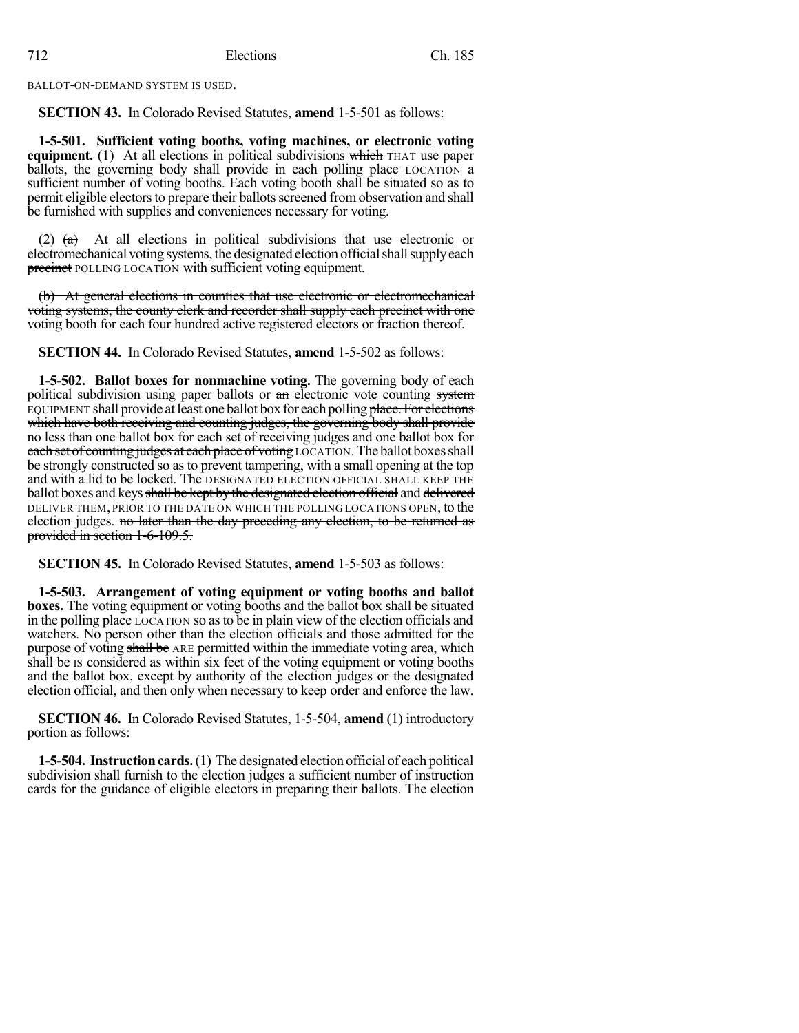BALLOT-ON-DEMAND SYSTEM IS USED.

**SECTION 43.** In Colorado Revised Statutes, **amend** 1-5-501 as follows:

**1-5-501. Sufficient voting booths, voting machines, or electronic voting equipment.** (1) At all elections in political subdivisions which THAT use paper ballots, the governing body shall provide in each polling place LOCATION a sufficient number of voting booths. Each voting booth shall be situated so as to permit eligible electors to prepare their ballots screened from observation and shall be furnished with supplies and conveniences necessary for voting.

(2)  $(a)$  At all elections in political subdivisions that use electronic or electromechanical voting systems, the designated election official shall supply each **precinct** POLLING LOCATION with sufficient voting equipment.

(b) At general elections in counties that use electronic or electromechanical voting systems, the county clerk and recorder shall supply each precinct with one voting booth for each four hundred active registered electors or fraction thereof.

**SECTION 44.** In Colorado Revised Statutes, **amend** 1-5-502 as follows:

**1-5-502. Ballot boxes for nonmachine voting.** The governing body of each political subdivision using paper ballots or an electronic vote counting system EQUIPMENT shall provide at least one ballot box for each polling place. For elections which have both receiving and counting judges, the governing body shall provide no less than one ballot box for each set of receiving judges and one ballot box for each set of counting judges at each place of voting LOCATION. The ballot boxes shall be strongly constructed so as to prevent tampering, with a small opening at the top and with a lid to be locked. The DESIGNATED ELECTION OFFICIAL SHALL KEEP THE ballot boxes and keys shall be kept by the designated election official and delivered DELIVER THEM, PRIOR TO THE DATE ON WHICH THE POLLING LOCATIONS OPEN, to the election judges. no later than the day preceding any election, to be returned as provided in section 1-6-109.5.

**SECTION 45.** In Colorado Revised Statutes, **amend** 1-5-503 as follows:

**1-5-503. Arrangement of voting equipment or voting booths and ballot boxes.** The voting equipment or voting booths and the ballot box shall be situated in the polling place LOCATION so asto be in plain view of the election officials and watchers. No person other than the election officials and those admitted for the purpose of voting shall be ARE permitted within the immediate voting area, which shall be IS considered as within six feet of the voting equipment or voting booths and the ballot box, except by authority of the election judges or the designated election official, and then only when necessary to keep order and enforce the law.

**SECTION 46.** In Colorado Revised Statutes, 1-5-504, **amend** (1) introductory portion as follows:

**1-5-504.** Instruction cards. (1) The designated election official of each political subdivision shall furnish to the election judges a sufficient number of instruction cards for the guidance of eligible electors in preparing their ballots. The election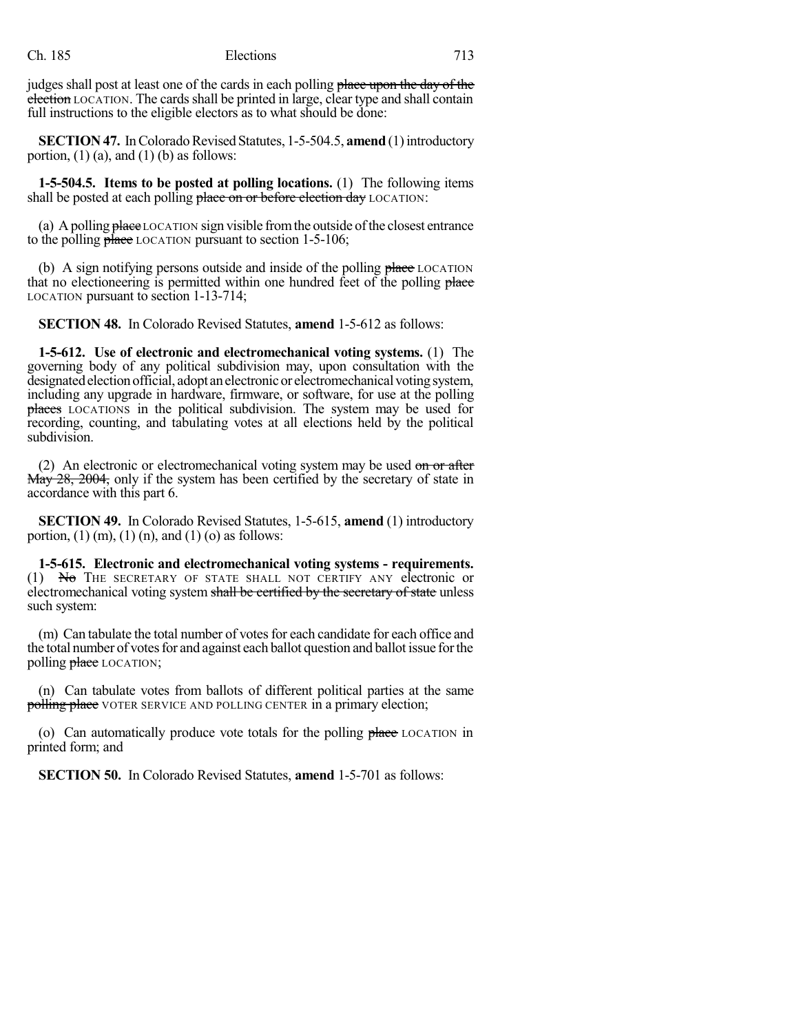judges shall post at least one of the cards in each polling place upon the day of the election LOCATION. The cards shall be printed in large, clear type and shall contain full instructions to the eligible electors as to what should be done:

**SECTION 47.** In Colorado Revised Statutes, 1-5-504.5, **amend** (1) introductory portion,  $(1)$  (a), and  $(1)$  (b) as follows:

**1-5-504.5. Items to be posted at polling locations.** (1) The following items shall be posted at each polling place on or before election day LOCATION:

(a) A polling place LOCATION sign visible from the outside of the closest entrance to the polling  $\frac{\partial \phi}{\partial x}$  LOCATION pursuant to section 1-5-106;

(b) A sign notifying persons outside and inside of the polling place LOCATION that no electioneering is permitted within one hundred feet of the polling place LOCATION pursuant to section 1-13-714;

**SECTION 48.** In Colorado Revised Statutes, **amend** 1-5-612 as follows:

**1-5-612. Use of electronic and electromechanical voting systems.** (1) The governing body of any political subdivision may, upon consultation with the designated election official, adopt an electronic or electromechanical voting system, including any upgrade in hardware, firmware, or software, for use at the polling places LOCATIONS in the political subdivision. The system may be used for recording, counting, and tabulating votes at all elections held by the political subdivision.

(2) An electronic or electromechanical voting system may be used on or after May 28, 2004, only if the system has been certified by the secretary of state in accordance with this part 6.

**SECTION 49.** In Colorado Revised Statutes, 1-5-615, **amend** (1) introductory portion,  $(1)$  (m),  $(1)$  (n), and  $(1)$  (o) as follows:

**1-5-615. Electronic and electromechanical voting systems - requirements.** (1) No THE SECRETARY OF STATE SHALL NOT CERTIFY ANY electronic or electromechanical voting system shall be certified by the secretary of state unless such system:

(m) Can tabulate the total number of votes for each candidate for each office and the total number of votes for and against each ballot question and ballot issue for the polling place LOCATION;

(n) Can tabulate votes from ballots of different political parties at the same **polling place** VOTER SERVICE AND POLLING CENTER in a primary election;

(o) Can automatically produce vote totals for the polling place LOCATION in printed form; and

**SECTION 50.** In Colorado Revised Statutes, **amend** 1-5-701 as follows: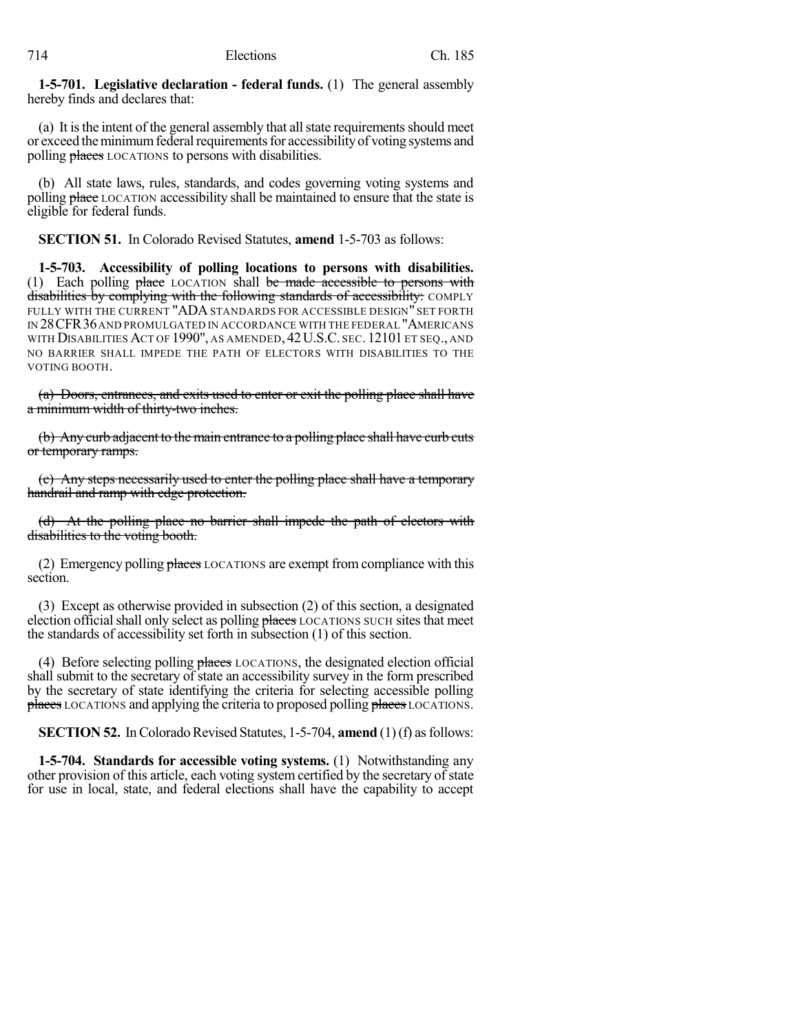**1-5-701. Legislative declaration - federal funds.** (1) The general assembly hereby finds and declares that:

(a) It is the intent of the general assembly that all state requirements should meet or exceed the minimum federal requirements for accessibility of voting systems and polling places LOCATIONS to persons with disabilities.

(b) All state laws, rules, standards, and codes governing voting systems and polling place LOCATION accessibility shall be maintained to ensure that the state is eligible for federal funds.

**SECTION 51.** In Colorado Revised Statutes, **amend** 1-5-703 as follows:

**1-5-703. Accessibility of polling locations to persons with disabilities.** (1) Each polling  $plane$  LOCATION shall be made accessible to persons with disabilities by complying with the following standards of accessibility: COMPLY FULLY WITH THE CURRENT "ADA STANDARDS FOR ACCESSIBLE DESIGN" SET FORTH IN 28CFR36AND PROMULGATED IN ACCORDANCE WITH THE FEDERAL "AMERICANS WITH DISABILITIES ACT OF 1990", AS AMENDED, 42U.S.C. SEC. 12101 ET SEQ., AND NO BARRIER SHALL IMPEDE THE PATH OF ELECTORS WITH DISABILITIES TO THE VOTING BOOTH.

(a) Doors, entrances, and exits used to enter or exit the polling place shall have a minimum width of thirty-two inches.

(b) Any curb adjacent to the main entrance to a polling place shall have curb cuts or temporary ramps.

(c) Any steps necessarily used to enter the polling place shall have a temporary handrail and ramp with edge protection.

(d) At the polling place no barrier shall impede the path of electors with disabilities to the voting booth.

(2) Emergency polling  $$ section.

(3) Except as otherwise provided in subsection (2) of this section, a designated election official shall only select as polling places LOCATIONS SUCH sites that meet the standards of accessibility set forth in subsection (1) of this section.

(4) Before selecting polling places LOCATIONS, the designated election official shall submit to the secretary of state an accessibility survey in the form prescribed by the secretary of state identifying the criteria for selecting accessible polling places LOCATIONS and applying the criteria to proposed polling places LOCATIONS.

**SECTION 52.** In Colorado Revised Statutes, 1-5-704, **amend** (1)(f) as follows:

**1-5-704. Standards for accessible voting systems.** (1) Notwithstanding any other provision of this article, each voting system certified by the secretary of state for use in local, state, and federal elections shall have the capability to accept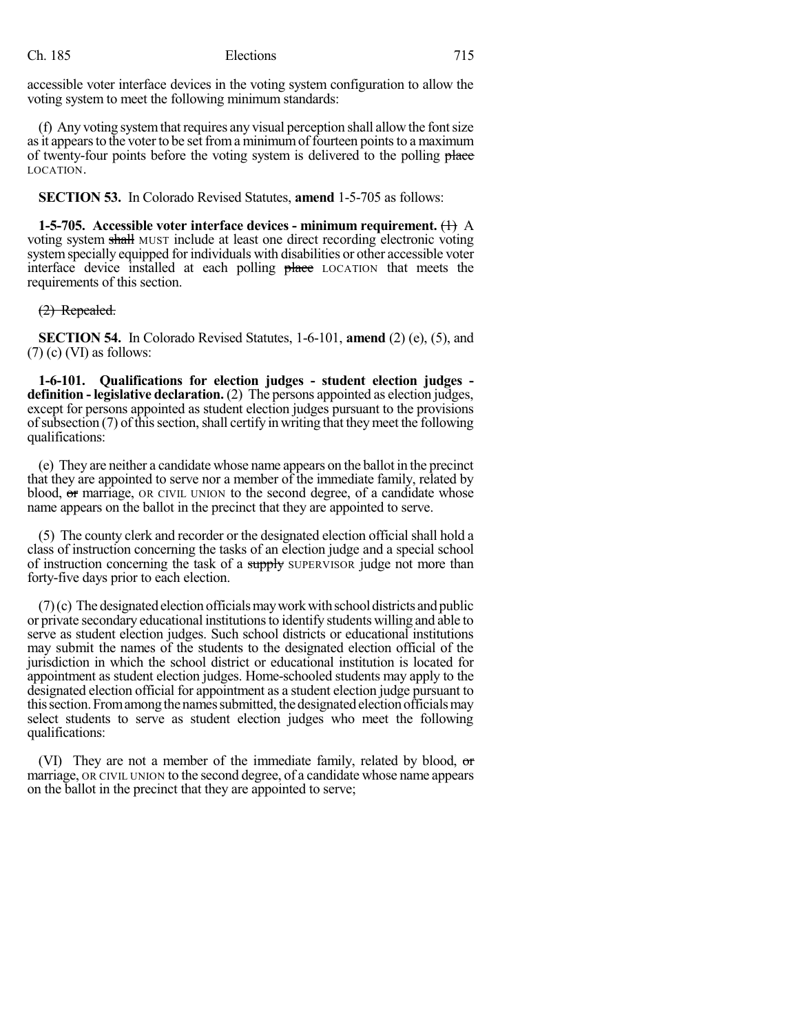accessible voter interface devices in the voting system configuration to allow the voting system to meet the following minimum standards:

(f) Any voting system that requires any visual perception shall allow the font size as it appears to the voter to be set from a minimum of fourteen points to a maximum of twenty-four points before the voting system is delivered to the polling place LOCATION.

**SECTION 53.** In Colorado Revised Statutes, **amend** 1-5-705 as follows:

**1-5-705.** Accessible voter interface devices - minimum requirement.  $\left(\frac{1}{1}\right)$  A voting system shall MUST include at least one direct recording electronic voting systemspecially equipped for individuals with disabilities or other accessible voter interface device installed at each polling place LOCATION that meets the requirements of this section.

#### (2) Repealed.

**SECTION 54.** In Colorado Revised Statutes, 1-6-101, **amend** (2) (e), (5), and  $(7)$  (c) (VI) as follows:

**1-6-101. Qualifications for election judges - student election judges definition - legislative declaration.** (2) The persons appointed as election judges, except for persons appointed as student election judges pursuant to the provisions of subsection  $(7)$  of this section, shall certify in writing that they meet the following qualifications:

(e) They are neither a candidate whose name appears on the ballot in the precinct that they are appointed to serve nor a member of the immediate family, related by blood, or marriage, OR CIVIL UNION to the second degree, of a candidate whose name appears on the ballot in the precinct that they are appointed to serve.

(5) The county clerk and recorder or the designated election official shall hold a class of instruction concerning the tasks of an election judge and a special school of instruction concerning the task of a supply SUPERVISOR judge not more than forty-five days prior to each election.

 $(7)(c)$  The designated election officials may work with school districts and public or private secondary educational institutionsto identify students willing and able to serve as student election judges. Such school districts or educational institutions may submit the names of the students to the designated election official of the jurisdiction in which the school district or educational institution is located for appointment as student election judges. Home-schooled students may apply to the designated election official for appointment as a student election judge pursuant to this section. From among the names submitted, the designated election officials may select students to serve as student election judges who meet the following qualifications:

(VI) They are not a member of the immediate family, related by blood, or marriage, OR CIVIL UNION to the second degree, of a candidate whose name appears on the ballot in the precinct that they are appointed to serve;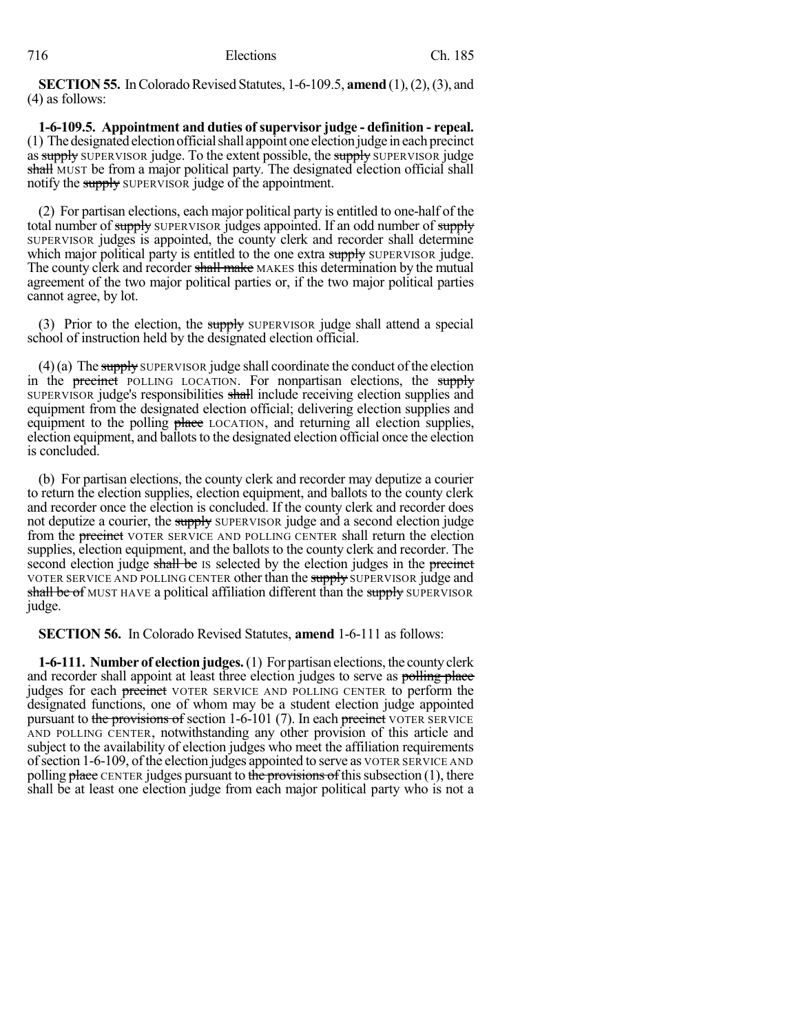**SECTION 55.** In Colorado Revised Statutes, 1-6-109.5, **amend** (1), (2), (3), and (4) as follows:

**1-6-109.5. Appointment and duties of supervisor judge - definition - repeal.** (1) Thedesignatedelectionofficialshall appoint one election judge in each precinct as supply SUPERVISOR judge. To the extent possible, the supply SUPERVISOR judge shall MUST be from a major political party. The designated election official shall notify the supply SUPERVISOR judge of the appointment.

(2) For partisan elections, each major political party is entitled to one-half of the total number of supply SUPERVISOR judges appointed. If an odd number of supply SUPERVISOR judges is appointed, the county clerk and recorder shall determine which major political party is entitled to the one extra supply SUPERVISOR judge. The county clerk and recorder shall make MAKES this determination by the mutual agreement of the two major political parties or, if the two major political parties cannot agree, by lot.

(3) Prior to the election, the supply SUPERVISOR judge shall attend a special school of instruction held by the designated election official.

 $(4)(a)$  The supply SUPERVISOR judge shall coordinate the conduct of the election in the **precinct** POLLING LOCATION. For nonpartisan elections, the supply SUPERVISOR judge's responsibilities shall include receiving election supplies and equipment from the designated election official; delivering election supplies and equipment to the polling place LOCATION, and returning all election supplies, election equipment, and ballots to the designated election official once the election is concluded.

(b) For partisan elections, the county clerk and recorder may deputize a courier to return the election supplies, election equipment, and ballots to the county clerk and recorder once the election is concluded. If the county clerk and recorder does not deputize a courier, the supply SUPERVISOR judge and a second election judge from the **precinct** VOTER SERVICE AND POLLING CENTER shall return the election supplies, election equipment, and the ballots to the county clerk and recorder. The second election judge shall be IS selected by the election judges in the precinct VOTER SERVICE AND POLLING CENTER other than the supply SUPERVISOR judge and shall be of MUST HAVE a political affiliation different than the supply SUPERVISOR judge.

**SECTION 56.** In Colorado Revised Statutes, **amend** 1-6-111 as follows:

**1-6-111. Number of electionjudges.**(1) For partisan elections, the countyclerk and recorder shall appoint at least three election judges to serve as polling place judges for each precinct VOTER SERVICE AND POLLING CENTER to perform the designated functions, one of whom may be a student election judge appointed pursuant to the provisions of section 1-6-101 (7). In each precinct VOTER SERVICE AND POLLING CENTER, notwithstanding any other provision of this article and subject to the availability of election judges who meet the affiliation requirements ofsection 1-6-109, ofthe election judges appointed to serve as VOTER SERVICE AND polling  $\frac{\partial^2 u}{\partial x^2}$  CENTER judges pursuant to the provisions of this subsection (1), there shall be at least one election judge from each major political party who is not a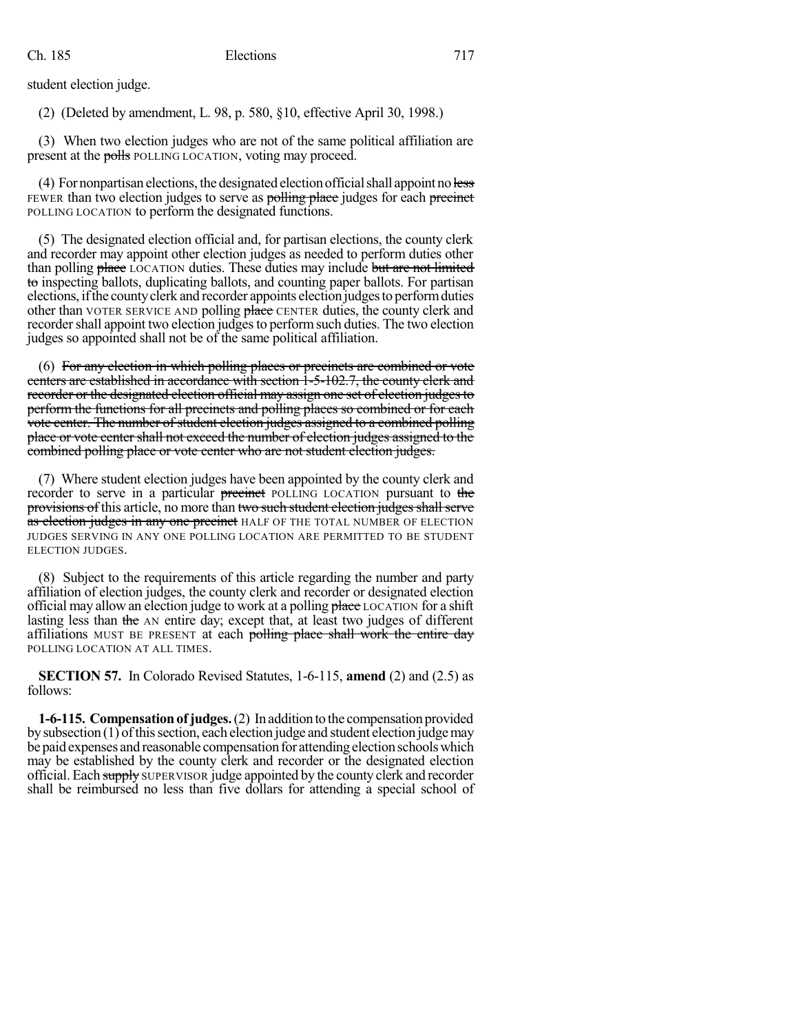student election judge.

(2) (Deleted by amendment, L. 98, p. 580, §10, effective April 30, 1998.)

(3) When two election judges who are not of the same political affiliation are present at the polls POLLING LOCATION, voting may proceed.

 $(4)$  For nonpartisan elections, the designated election official shall appoint no less FEWER than two election judges to serve as polling place judges for each precinct POLLING LOCATION to perform the designated functions.

(5) The designated election official and, for partisan elections, the county clerk and recorder may appoint other election judges as needed to perform duties other than polling place LOCATION duties. These duties may include but are not limited to inspecting ballots, duplicating ballots, and counting paper ballots. For partisan elections,ifthe countyclerk and recorder appoints election judgesto performduties other than VOTER SERVICE AND polling place CENTER duties, the county clerk and recorder shall appoint two election judges to perform such duties. The two election judges so appointed shall not be of the same political affiliation.

(6) For any election in which polling places or precincts are combined or vote centers are established in accordance with section 1-5-102.7, the county clerk and recorder or the designated election official may assign one set of election judges to perform the functions for all precincts and polling places so combined or for each vote center. The number of student election judges assigned to a combined polling place or vote center shall not exceed the number of election judges assigned to the combined polling place or vote center who are not student election judges.

(7) Where student election judges have been appointed by the county clerk and recorder to serve in a particular precinct POLLING LOCATION pursuant to the provisions of this article, no more than two such student election judges shall serve as election judges in any one precinct HALF OF THE TOTAL NUMBER OF ELECTION JUDGES SERVING IN ANY ONE POLLING LOCATION ARE PERMITTED TO BE STUDENT ELECTION JUDGES.

(8) Subject to the requirements of this article regarding the number and party affiliation of election judges, the county clerk and recorder or designated election official may allow an election judge to work at a polling place LOCATION for a shift lasting less than the AN entire day; except that, at least two judges of different affiliations MUST BE PRESENT at each polling place shall work the entire day POLLING LOCATION AT ALL TIMES.

**SECTION 57.** In Colorado Revised Statutes, 1-6-115, **amend** (2) and (2.5) as follows:

**1-6-115. Compensationof judges.**(2) In additionto the compensation provided by subsection  $(1)$  of this section, each election judge and student election judge may be paid expenses and reasonable compensation for attending election schools which may be established by the county clerk and recorder or the designated election official. Each supply SUPERVISOR judge appointed by the county clerk and recorder shall be reimbursed no less than five dollars for attending a special school of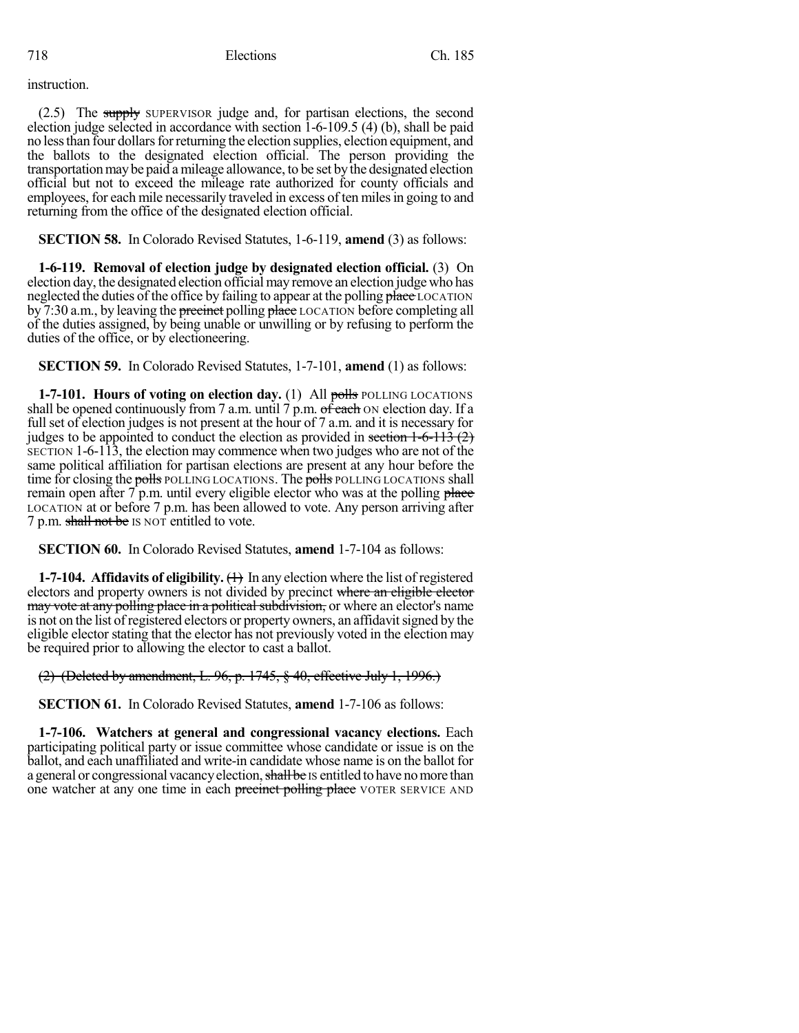instruction.

(2.5) The supply SUPERVISOR judge and, for partisan elections, the second election judge selected in accordance with section 1-6-109.5 (4) (b), shall be paid no less than four dollars for returning the election supplies, election equipment, and the ballots to the designated election official. The person providing the transportation may be paid a mileage allowance, to be set by the designated election official but not to exceed the mileage rate authorized for county officials and employees, for each mile necessarily traveled in excess of ten miles in going to and returning from the office of the designated election official.

**SECTION 58.** In Colorado Revised Statutes, 1-6-119, **amend** (3) as follows:

**1-6-119. Removal of election judge by designated election official.** (3) On election day, the designated election official may remove an election judge who has neglected the duties of the office by failing to appear at the polling place LOCATION by 7:30 a.m., by leaving the precinct polling place LOCATION before completing all of the duties assigned, by being unable or unwilling or by refusing to perform the duties of the office, or by electioneering.

**SECTION 59.** In Colorado Revised Statutes, 1-7-101, **amend** (1) as follows:

**1-7-101. Hours of voting on election day.** (1) All polls POLLING LOCATIONS shall be opened continuously from 7 a.m. until 7 p.m.  $\sigma\bar{f}$  each  $\sigma$ N election day. If a full set of election judges is not present at the hour of 7 a.m. and it is necessary for judges to be appointed to conduct the election as provided in section  $1-6-113(2)$ SECTION 1-6-113, the election may commence when two judges who are not of the same political affiliation for partisan elections are present at any hour before the time for closing the polls POLLING LOCATIONS. The polls POLLING LOCATIONS shall remain open after  $7$  p.m. until every eligible elector who was at the polling place LOCATION at or before 7 p.m. has been allowed to vote. Any person arriving after 7 p.m. shall not be IS NOT entitled to vote.

**SECTION 60.** In Colorado Revised Statutes, **amend** 1-7-104 as follows:

**1-7-104. Affidavits of eligibility.** (1) In any election where the list of registered electors and property owners is not divided by precinct where an eligible elector may vote at any polling place in a political subdivision, or where an elector's name is not on the list of registered electors or property owners, an affidavit signed by the eligible elector stating that the elector has not previously voted in the election may be required prior to allowing the elector to cast a ballot.

(2) (Deleted by amendment, L. 96, p. 1745, § 40, effective July 1, 1996.)

**SECTION 61.** In Colorado Revised Statutes, **amend** 1-7-106 as follows:

**1-7-106. Watchers at general and congressional vacancy elections.** Each participating political party or issue committee whose candidate or issue is on the ballot, and each unaffiliated and write-in candidate whose name is on the ballot for a general or congressional vacancy election, shall be IS entitled to have no more than one watcher at any one time in each precinct polling place VOTER SERVICE AND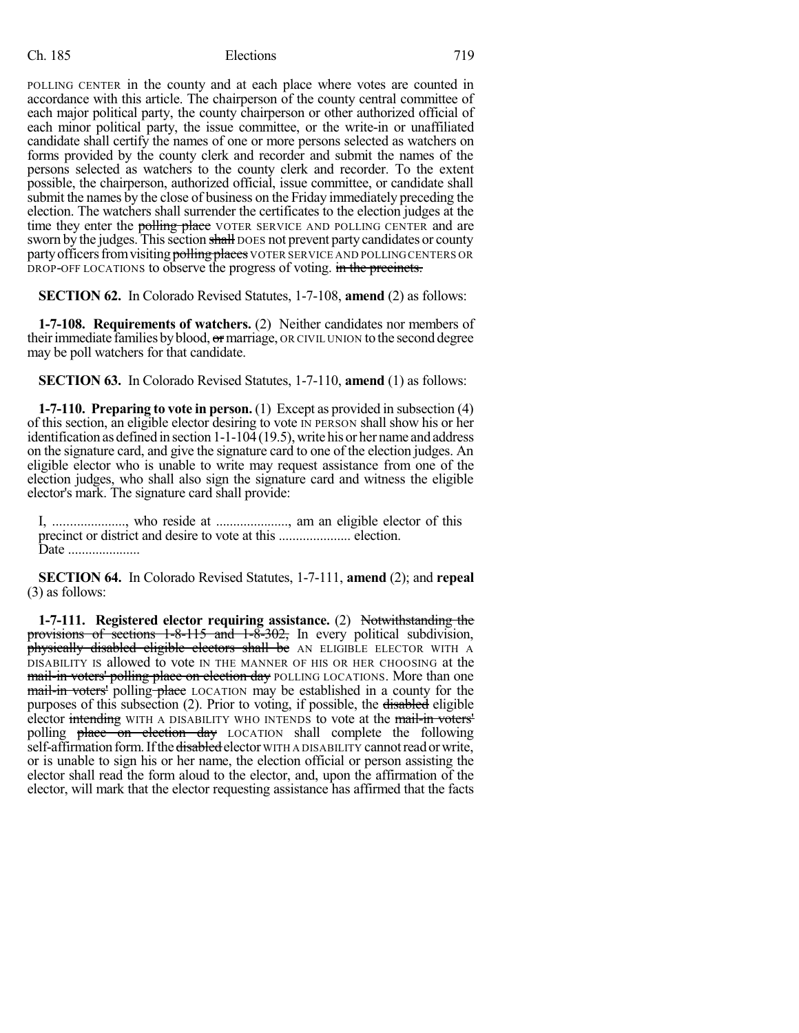POLLING CENTER in the county and at each place where votes are counted in accordance with this article. The chairperson of the county central committee of each major political party, the county chairperson or other authorized official of each minor political party, the issue committee, or the write-in or unaffiliated candidate shall certify the names of one or more persons selected as watchers on forms provided by the county clerk and recorder and submit the names of the persons selected as watchers to the county clerk and recorder. To the extent possible, the chairperson, authorized official, issue committee, or candidate shall submit the names by the close of business on the Friday immediately preceding the election. The watchers shall surrender the certificates to the election judges at the time they enter the polling place VOTER SERVICE AND POLLING CENTER and are sworn by the judges. This section shall DOES not prevent party candidates or county party officers from visiting polling places VOTER SERVICE AND POLLING CENTERS OR DROP-OFF LOCATIONS to observe the progress of voting. in the precincts.

**SECTION 62.** In Colorado Revised Statutes, 1-7-108, **amend** (2) as follows:

**1-7-108. Requirements of watchers.** (2) Neither candidates nor members of their immediate families by blood,  $\sigma$  marriage, OR CIVIL UNION to the second degree may be poll watchers for that candidate.

**SECTION 63.** In Colorado Revised Statutes, 1-7-110, **amend** (1) as follows:

**1-7-110. Preparing to vote in person.** (1) Except as provided in subsection (4) of this section, an eligible elector desiring to vote IN PERSON shall show his or her identification as defined in section  $1-1-10\overline{4}$  (19.5), write his or her name and address on the signature card, and give the signature card to one of the election judges. An eligible elector who is unable to write may request assistance from one of the election judges, who shall also sign the signature card and witness the eligible elector's mark. The signature card shall provide:

I, ....................., who reside at ....................., am an eligible elector of this precinct or district and desire to vote at this ..................... election. Date .....................

**SECTION 64.** In Colorado Revised Statutes, 1-7-111, **amend** (2); and **repeal** (3) as follows:

**1-7-111. Registered elector requiring assistance.** (2) Notwithstanding the provisions of sections 1-8-115 and 1-8-302, In every political subdivision, physically disabled eligible electors shall be AN ELIGIBLE ELECTOR WITH A DISABILITY IS allowed to vote IN THE MANNER OF HIS OR HER CHOOSING at the mail-in voters' polling place on election day POLLING LOCATIONS. More than one mail-in voters' polling place LOCATION may be established in a county for the purposes of this subsection (2). Prior to voting, if possible, the disabled eligible elector intending WITH A DISABILITY WHO INTENDS to vote at the mail-in voters' polling place on election day LOCATION shall complete the following self-affirmation form. If the disabled elector WITH A DISABILITY cannot read or write, or is unable to sign his or her name, the election official or person assisting the elector shall read the form aloud to the elector, and, upon the affirmation of the elector, will mark that the elector requesting assistance has affirmed that the facts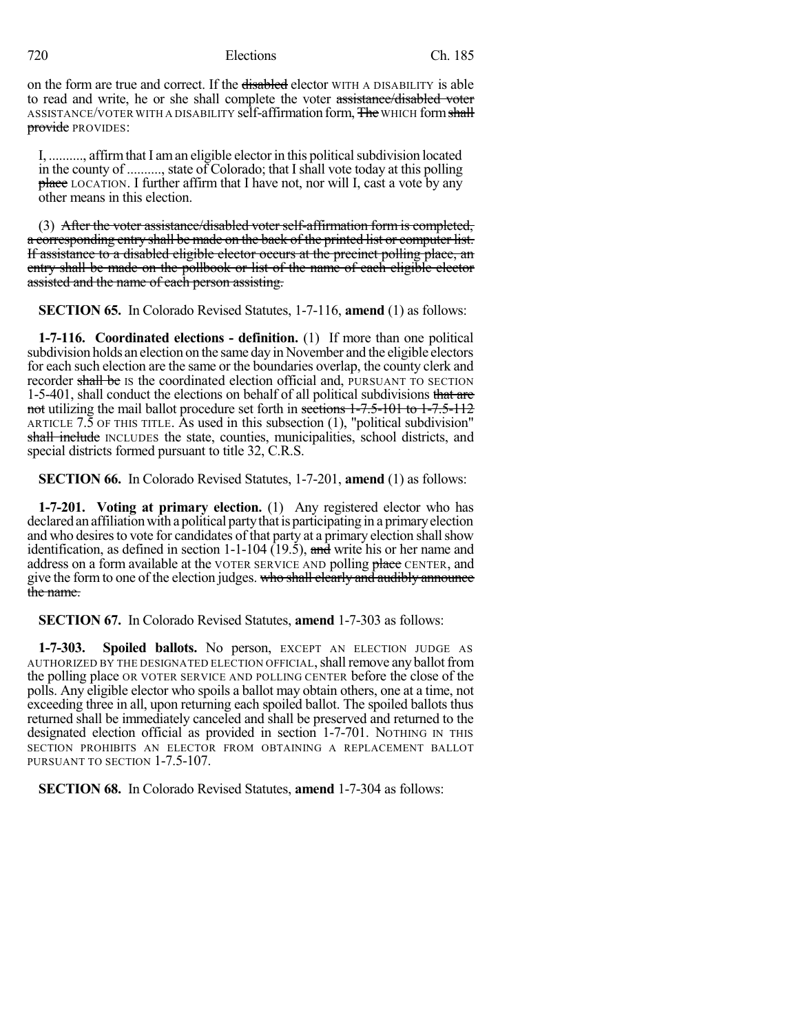on the form are true and correct. If the disabled elector WITH A DISABILITY is able to read and write, he or she shall complete the voter assistance/disabled voter ASSISTANCE/VOTER WITH A DISABILITY self-affirmation form, The WHICH form shall provide PROVIDES:

I, .........., affirm that I am an eligible elector in this political subdivision located in the county of .........., state of Colorado; that I shall vote today at this polling place LOCATION. I further affirm that I have not, nor will I, cast a vote by any other means in this election.

(3) After the voter assistance/disabled voter self-affirmation form is completed, a corresponding entry shall be made on the back of the printed list or computer list. If assistance to a disabled eligible elector occurs at the precinct polling place, an entry shall be made on the pollbook or list of the name of each eligible elector assisted and the name of each person assisting.

**SECTION 65.** In Colorado Revised Statutes, 1-7-116, **amend** (1) as follows:

**1-7-116. Coordinated elections - definition.** (1) If more than one political subdivision holds an election on the same day in November and the eligible electors for each such election are the same or the boundaries overlap, the county clerk and recorder shall be Is the coordinated election official and, PURSUANT TO SECTION 1-5-401, shall conduct the elections on behalf of all political subdivisions that are not utilizing the mail ballot procedure set forth in sections 1-7.5-101 to 1-7.5-112 ARTICLE 7.5 OF THIS TITLE. As used in this subsection (1), "political subdivision" shall include INCLUDES the state, counties, municipalities, school districts, and special districts formed pursuant to title 32, C.R.S.

**SECTION 66.** In Colorado Revised Statutes, 1-7-201, **amend** (1) as follows:

**1-7-201. Voting at primary election.** (1) Any registered elector who has declared an affiliation with a political party that is participating in a primary election and who desires to vote for candidates of that party at a primary election shall show identification, as defined in section  $1-1-104$  (19.5), and write his or her name and address on a form available at the VOTER SERVICE AND polling place CENTER, and give the form to one of the election judges. who shall clearly and audibly announce the name.

**SECTION 67.** In Colorado Revised Statutes, **amend** 1-7-303 as follows:

**1-7-303. Spoiled ballots.** No person, EXCEPT AN ELECTION JUDGE AS AUTHORIZED BY THE DESIGNATED ELECTION OFFICIAL, shall remove any ballot from the polling place OR VOTER SERVICE AND POLLING CENTER before the close of the polls. Any eligible elector who spoils a ballot may obtain others, one at a time, not exceeding three in all, upon returning each spoiled ballot. The spoiled ballots thus returned shall be immediately canceled and shall be preserved and returned to the designated election official as provided in section 1-7-701. NOTHING IN THIS SECTION PROHIBITS AN ELECTOR FROM OBTAINING A REPLACEMENT BALLOT PURSUANT TO SECTION 1-7.5-107.

**SECTION 68.** In Colorado Revised Statutes, **amend** 1-7-304 as follows: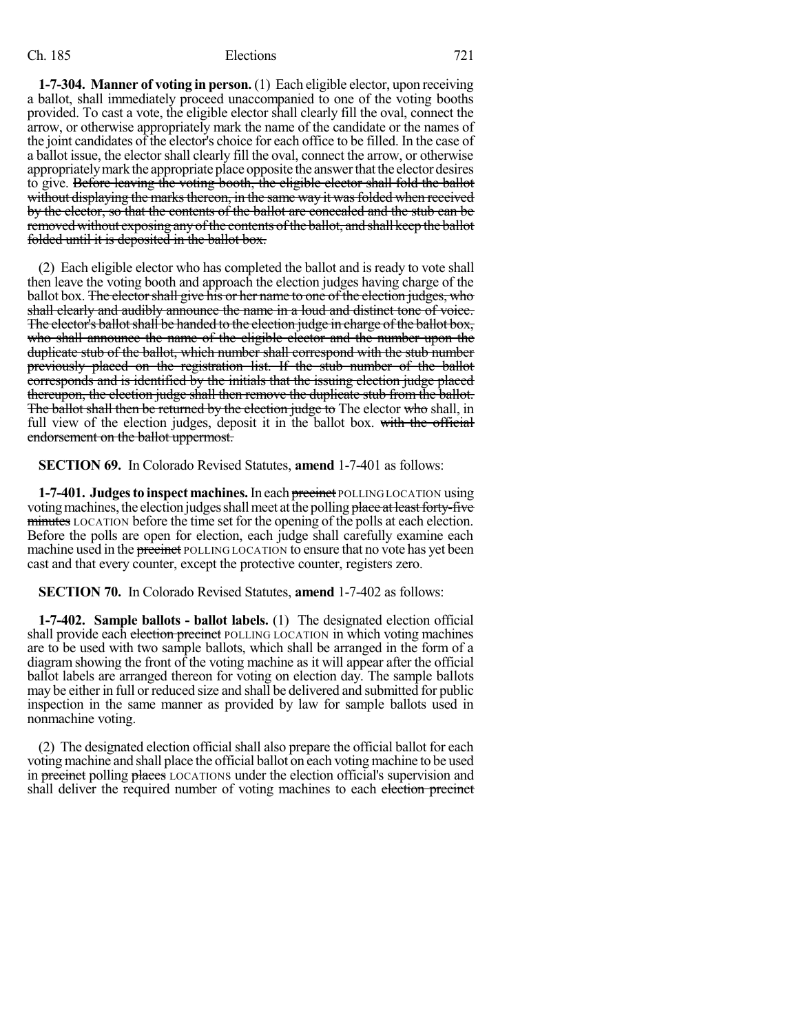**1-7-304. Manner of voting in person.** (1) Each eligible elector, upon receiving a ballot, shall immediately proceed unaccompanied to one of the voting booths provided. To cast a vote, the eligible elector shall clearly fill the oval, connect the arrow, or otherwise appropriately mark the name of the candidate or the names of the joint candidates of the elector's choice for each office to be filled. In the case of a ballot issue, the elector shall clearly fill the oval, connect the arrow, or otherwise appropriately mark the appropriate place opposite the answer that the elector desires to give. Before leaving the voting booth, the eligible elector shall fold the ballot without displaying the marks thereon, in the same way it was folded when received by the elector, so that the contents of the ballot are concealed and the stub can be removed without exposing any of the contents of the ballot, and shall keep the ballot folded until it is deposited in the ballot box.

(2) Each eligible elector who has completed the ballot and is ready to vote shall then leave the voting booth and approach the election judges having charge of the ballot box. The elector shall give his or her name to one of the election judges, who shall clearly and audibly announce the name in a loud and distinct tone of voice. The elector's ballot shall be handed to the election judge in charge of the ballot box, who shall announce the name of the eligible elector and the number upon the duplicate stub of the ballot, which number shall correspond with the stub number previously placed on the registration list. If the stub number of the ballot corresponds and is identified by the initials that the issuing election judge placed thereupon, the election judge shall then remove the duplicate stub from the ballot. The ballot shall then be returned by the election judge to The elector who shall, in full view of the election judges, deposit it in the ballot box. with the official endorsement on the ballot uppermost.

**SECTION 69.** In Colorado Revised Statutes, **amend** 1-7-401 as follows:

**1-7-401. Judgesto inspect machines.**In each precinct POLLING LOCATION using voting machines, the election judges shall meet at the polling place at least forty-five minutes LOCATION before the time set for the opening of the polls at each election. Before the polls are open for election, each judge shall carefully examine each machine used in the precinct POLLING LOCATION to ensure that no vote has yet been cast and that every counter, except the protective counter, registers zero.

**SECTION 70.** In Colorado Revised Statutes, **amend** 1-7-402 as follows:

**1-7-402. Sample ballots - ballot labels.** (1) The designated election official shall provide each election precinct POLLING LOCATION in which voting machines are to be used with two sample ballots, which shall be arranged in the form of a diagram showing the front of the voting machine as it will appear after the official ballot labels are arranged thereon for voting on election day. The sample ballots may be either in full or reduced size and shall be delivered and submitted for public inspection in the same manner as provided by law for sample ballots used in nonmachine voting.

(2) The designated election official shall also prepare the official ballot for each voting machine and shall place the official ballot on each voting machine to be used in precinct polling places LOCATIONS under the election official's supervision and shall deliver the required number of voting machines to each election precinct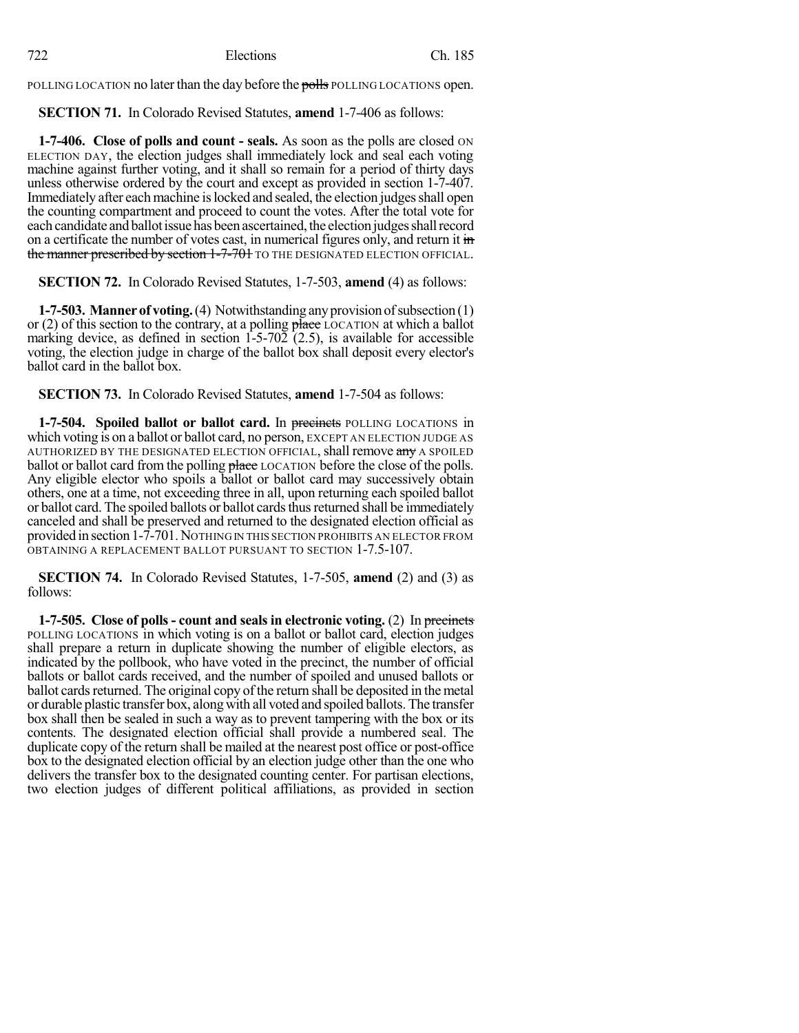POLLING LOCATION no later than the day before the polls POLLING LOCATIONS open.

**SECTION 71.** In Colorado Revised Statutes, **amend** 1-7-406 as follows:

**1-7-406. Close of polls and count - seals.** As soon as the polls are closed ON ELECTION DAY, the election judges shall immediately lock and seal each voting machine against further voting, and it shall so remain for a period of thirty days unless otherwise ordered by the court and except as provided in section 1-7-407. Immediately after each machine is locked and sealed, the election judges shall open the counting compartment and proceed to count the votes. After the total vote for each candidate and ballot issue has been ascertained, the election judges shall record on a certificate the number of votes cast, in numerical figures only, and return it in the manner prescribed by section 1-7-701 TO THE DESIGNATED ELECTION OFFICIAL.

**SECTION 72.** In Colorado Revised Statutes, 1-7-503, **amend** (4) as follows:

**1-7-503. Manner of voting.** (4) Notwithstanding any provision of subsection (1) or (2) of this section to the contrary, at a polling place LOCATION at which a ballot marking device, as defined in section  $1-5-70\overline{2}$  (2.5), is available for accessible voting, the election judge in charge of the ballot box shall deposit every elector's ballot card in the ballot box.

**SECTION 73.** In Colorado Revised Statutes, **amend** 1-7-504 as follows:

**1-7-504. Spoiled ballot or ballot card.** In precincts POLLING LOCATIONS in which voting is on a ballot or ballot card, no person, EXCEPT AN ELECTION JUDGE AS AUTHORIZED BY THE DESIGNATED ELECTION OFFICIAL, shall remove any A SPOILED ballot or ballot card from the polling place LOCATION before the close of the polls. Any eligible elector who spoils a ballot or ballot card may successively obtain others, one at a time, not exceeding three in all, upon returning each spoiled ballot or ballot card. The spoiled ballots or ballot cards thus returned shall be immediately canceled and shall be preserved and returned to the designated election official as provided in section 1-7-701.NOTHING IN THIS SECTION PROHIBITS AN ELECTOR FROM OBTAINING A REPLACEMENT BALLOT PURSUANT TO SECTION 1-7.5-107.

**SECTION 74.** In Colorado Revised Statutes, 1-7-505, **amend** (2) and (3) as follows:

**1-7-505. Close of polls- count and seals in electronic voting.** (2) In precincts POLLING LOCATIONS in which voting is on a ballot or ballot card, election judges shall prepare a return in duplicate showing the number of eligible electors, as indicated by the pollbook, who have voted in the precinct, the number of official ballots or ballot cards received, and the number of spoiled and unused ballots or ballot cards returned. The original copy of the return shall be deposited in the metal or durable plastic transfer box, along with all voted and spoiled ballots. The transfer box shall then be sealed in such a way as to prevent tampering with the box or its contents. The designated election official shall provide a numbered seal. The duplicate copy of the return shall be mailed at the nearest post office or post-office box to the designated election official by an election judge other than the one who delivers the transfer box to the designated counting center. For partisan elections, two election judges of different political affiliations, as provided in section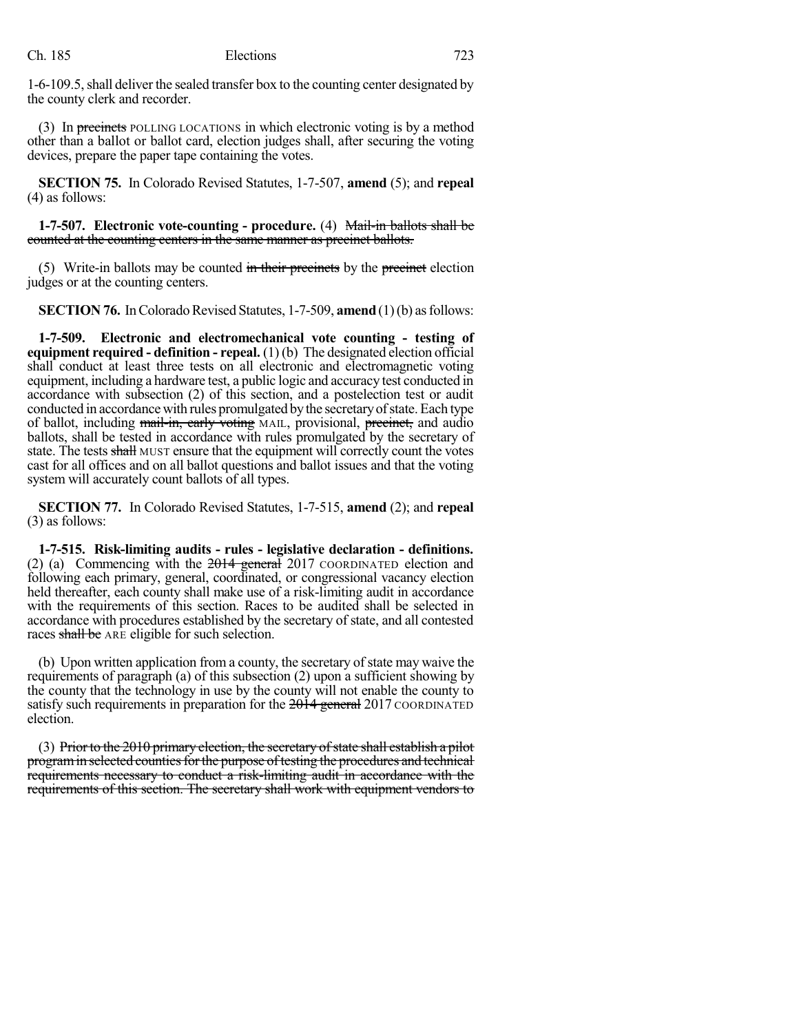1-6-109.5,shall deliver the sealed transfer box to the counting center designated by the county clerk and recorder.

(3) In precincts POLLING LOCATIONS in which electronic voting is by a method other than a ballot or ballot card, election judges shall, after securing the voting devices, prepare the paper tape containing the votes.

**SECTION 75.** In Colorado Revised Statutes, 1-7-507, **amend** (5); and **repeal** (4) as follows:

**1-7-507. Electronic vote-counting - procedure.** (4) Mail-in ballots shall be counted at the counting centers in the same manner as precinct ballots.

(5) Write-in ballots may be counted in their precincts by the precinct election judges or at the counting centers.

**SECTION 76.** In Colorado Revised Statutes, 1-7-509, **amend** (1)(b) as follows:

**1-7-509. Electronic and electromechanical vote counting - testing of equipment required - definition - repeal.** (1) (b) The designated election official shall conduct at least three tests on all electronic and electromagnetic voting equipment, including a hardware test, a public logic and accuracy test conducted in accordance with subsection (2) of this section, and a postelection test or audit conducted in accordance with rules promulgated bythe secretaryofstate. Each type of ballot, including mail-in, early voting MAIL, provisional, precinct, and audio ballots, shall be tested in accordance with rules promulgated by the secretary of state. The tests shall MUST ensure that the equipment will correctly count the votes cast for all offices and on all ballot questions and ballot issues and that the voting system will accurately count ballots of all types.

**SECTION 77.** In Colorado Revised Statutes, 1-7-515, **amend** (2); and **repeal** (3) as follows:

**1-7-515. Risk-limiting audits - rules - legislative declaration - definitions.** (2) (a) Commencing with the  $2014$  general 2017 COORDINATED election and following each primary, general, coordinated, or congressional vacancy election held thereafter, each county shall make use of a risk-limiting audit in accordance with the requirements of this section. Races to be audited shall be selected in accordance with procedures established by the secretary of state, and all contested races shall be ARE eligible for such selection.

(b) Upon written application from a county, the secretary of state may waive the requirements of paragraph (a) of this subsection (2) upon a sufficient showing by the county that the technology in use by the county will not enable the county to satisfy such requirements in preparation for the 2014 general 2017 COORDINATED election.

(3) Prior to the  $2010$  primary election, the secretary of state shall establish a pilot program in selected counties for the purpose of testing the procedures and technical requirements necessary to conduct a risk-limiting audit in accordance with the requirements of this section. The secretary shall work with equipment vendors to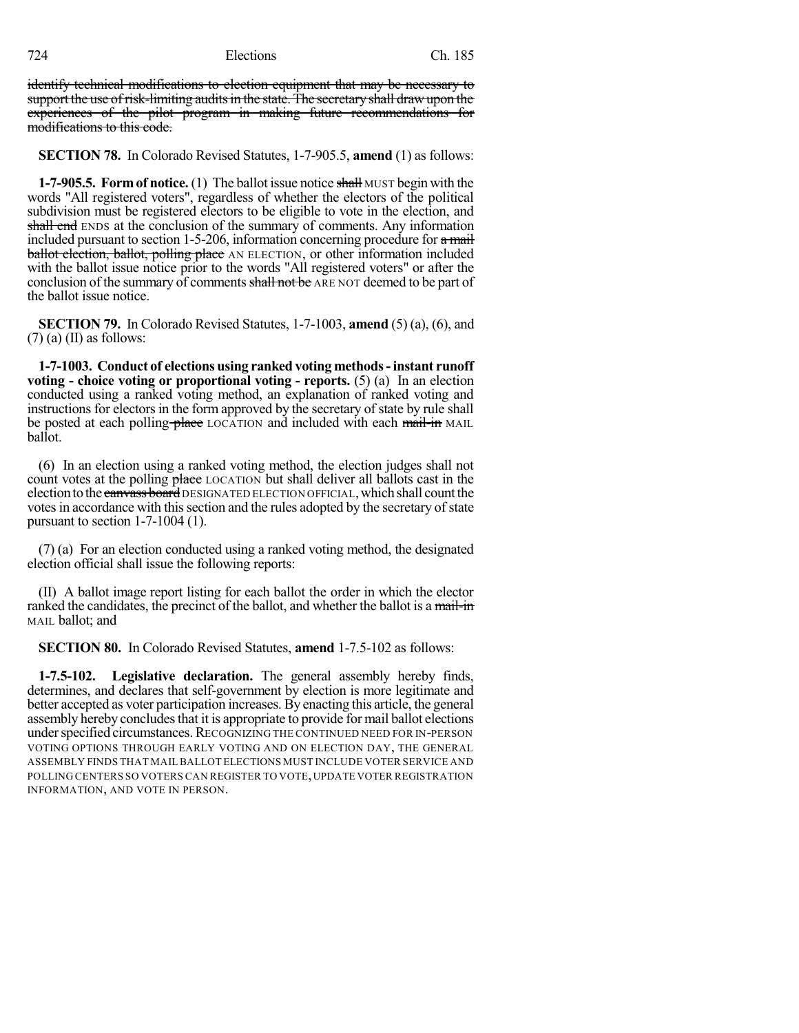identify technical modifications to election equipment that may be necessary to support the use of risk-limiting audits in the state. The secretary shall draw upon the experiences of the pilot program in making future recommendations for modifications to this code.

**SECTION 78.** In Colorado Revised Statutes, 1-7-905.5, **amend** (1) as follows:

**1-7-905.5. Form of notice.** (1) The ballot issue notice shall MUST begin with the words "All registered voters", regardless of whether the electors of the political subdivision must be registered electors to be eligible to vote in the election, and shall end ENDS at the conclusion of the summary of comments. Any information included pursuant to section 1-5-206, information concerning procedure for  $\alpha$  mail **ballot election, ballot, polling place** AN ELECTION, or other information included with the ballot issue notice prior to the words "All registered voters" or after the conclusion of the summary of comments shall not be ARE NOT deemed to be part of the ballot issue notice.

**SECTION 79.** In Colorado Revised Statutes, 1-7-1003, **amend** (5) (a), (6), and  $(7)$  (a) (II) as follows:

**1-7-1003. Conduct of elections using ranked voting methods-instant runoff voting - choice voting or proportional voting - reports.** (5) (a) In an election conducted using a ranked voting method, an explanation of ranked voting and instructions for electors in the form approved by the secretary of state by rule shall be posted at each polling place LOCATION and included with each mail-in MAIL ballot.

(6) In an election using a ranked voting method, the election judges shall not count votes at the polling place LOCATION but shall deliver all ballots cast in the election to the canvass board DESIGNATED ELECTION OFFICIAL, which shall count the votes in accordance with this section and the rules adopted by the secretary of state pursuant to section 1-7-1004 (1).

(7) (a) For an election conducted using a ranked voting method, the designated election official shall issue the following reports:

(II) A ballot image report listing for each ballot the order in which the elector ranked the candidates, the precinct of the ballot, and whether the ballot is a mail-in MAIL ballot; and

**SECTION 80.** In Colorado Revised Statutes, **amend** 1-7.5-102 as follows:

**1-7.5-102. Legislative declaration.** The general assembly hereby finds, determines, and declares that self-government by election is more legitimate and better accepted as voter participation increases. By enacting this article, the general assembly hereby concludes that it is appropriate to provide for mail ballot elections under specified circumstances. RECOGNIZING THE CONTINUED NEED FOR IN-PERSON VOTING OPTIONS THROUGH EARLY VOTING AND ON ELECTION DAY, THE GENERAL ASSEMBLY FINDS THAT MAIL BALLOT ELECTIONS MUST INCLUDE VOTER SERVICE AND POLLING CENTERS SO VOTERS CAN REGISTER TO VOTE,UPDATE VOTER REGISTRATION INFORMATION, AND VOTE IN PERSON.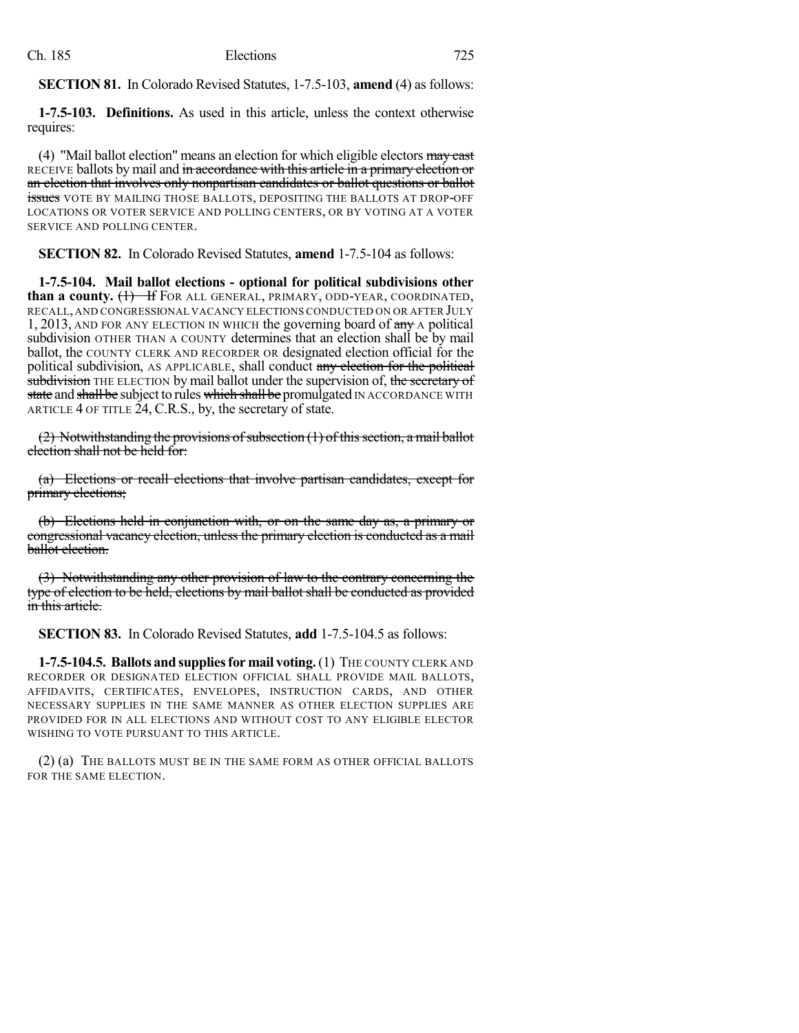**SECTION 81.** In Colorado Revised Statutes, 1-7.5-103, **amend** (4) as follows:

**1-7.5-103. Definitions.** As used in this article, unless the context otherwise requires:

(4) "Mail ballot election" means an election for which eligible electors  $\frac{may}{text}$ RECEIVE ballots by mail and in accordance with this article in a primary election or an election that involves only nonpartisan candidates or ballot questions or ballot issues VOTE BY MAILING THOSE BALLOTS, DEPOSITING THE BALLOTS AT DROP-OFF LOCATIONS OR VOTER SERVICE AND POLLING CENTERS, OR BY VOTING AT A VOTER SERVICE AND POLLING CENTER.

**SECTION 82.** In Colorado Revised Statutes, **amend** 1-7.5-104 as follows:

**1-7.5-104. Mail ballot elections - optional for political subdivisions other than a county.** (1) If FOR ALL GENERAL, PRIMARY, ODD-YEAR, COORDINATED, RECALL,AND CONGRESSIONAL VACANCY ELECTIONS CONDUCTED ON OR AFTER JULY 1, 2013, AND FOR ANY ELECTION IN WHICH the governing board of any A political subdivision OTHER THAN A COUNTY determines that an election shall be by mail ballot, the COUNTY CLERK AND RECORDER OR designated election official for the political subdivision, AS APPLICABLE, shall conduct any election for the political subdivision THE ELECTION by mail ballot under the supervision of, the secretary of state and shall be subject to rules which shall be promulgated IN ACCORDANCE WITH ARTICLE 4 OF TITLE 24, C.R.S., by, the secretary of state.

 $(2)$  Notwithstanding the provisions of subsection  $(1)$  of this section, a mail ballot election shall not be held for:

(a) Elections or recall elections that involve partisan candidates, except for primary elections;

(b) Elections held in conjunction with, or on the same day as, a primary or congressional vacancy election, unless the primary election is conducted as a mail ballot election.

(3) Notwithstanding any other provision of law to the contrary concerning the type of election to be held, elections by mail ballot shall be conducted as provided in this article.

**SECTION 83.** In Colorado Revised Statutes, **add** 1-7.5-104.5 as follows:

**1-7.5-104.5. Ballots and suppliesfor mail voting.**(1) THE COUNTY CLERK AND RECORDER OR DESIGNATED ELECTION OFFICIAL SHALL PROVIDE MAIL BALLOTS, AFFIDAVITS, CERTIFICATES, ENVELOPES, INSTRUCTION CARDS, AND OTHER NECESSARY SUPPLIES IN THE SAME MANNER AS OTHER ELECTION SUPPLIES ARE PROVIDED FOR IN ALL ELECTIONS AND WITHOUT COST TO ANY ELIGIBLE ELECTOR WISHING TO VOTE PURSUANT TO THIS ARTICLE.

(2) (a) THE BALLOTS MUST BE IN THE SAME FORM AS OTHER OFFICIAL BALLOTS FOR THE SAME ELECTION.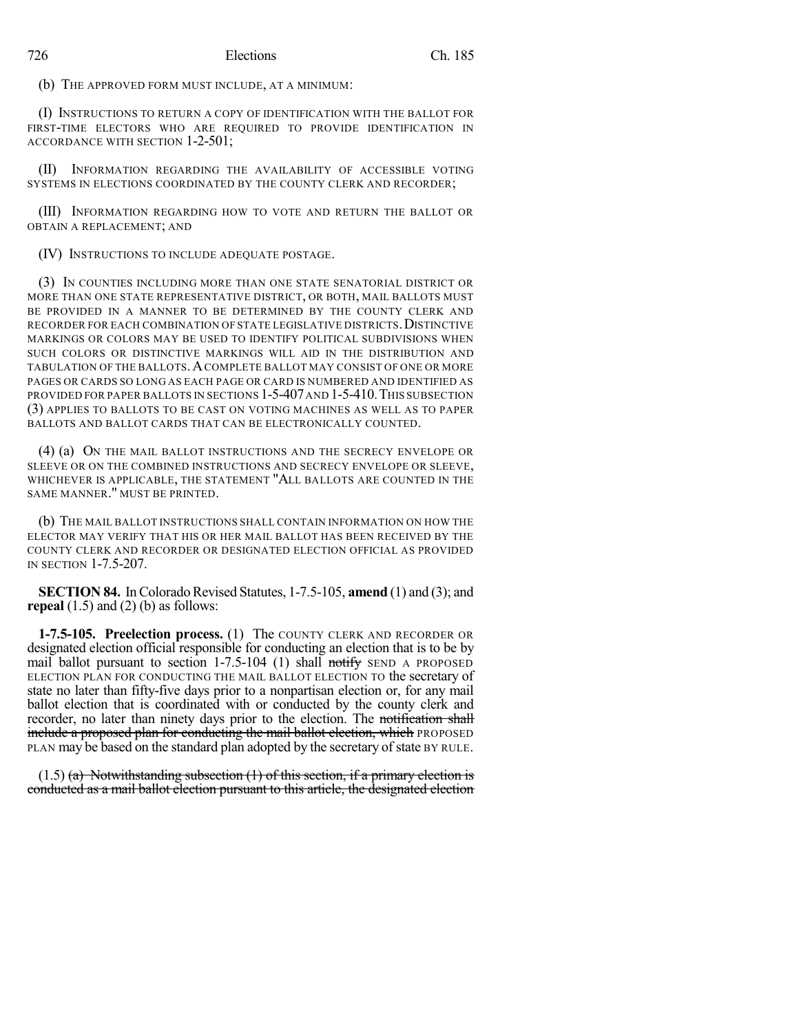(b) THE APPROVED FORM MUST INCLUDE, AT A MINIMUM:

(I) INSTRUCTIONS TO RETURN A COPY OF IDENTIFICATION WITH THE BALLOT FOR FIRST-TIME ELECTORS WHO ARE REQUIRED TO PROVIDE IDENTIFICATION IN ACCORDANCE WITH SECTION 1-2-501;

(II) INFORMATION REGARDING THE AVAILABILITY OF ACCESSIBLE VOTING SYSTEMS IN ELECTIONS COORDINATED BY THE COUNTY CLERK AND RECORDER;

(III) INFORMATION REGARDING HOW TO VOTE AND RETURN THE BALLOT OR OBTAIN A REPLACEMENT; AND

(IV) INSTRUCTIONS TO INCLUDE ADEQUATE POSTAGE.

(3) IN COUNTIES INCLUDING MORE THAN ONE STATE SENATORIAL DISTRICT OR MORE THAN ONE STATE REPRESENTATIVE DISTRICT, OR BOTH, MAIL BALLOTS MUST BE PROVIDED IN A MANNER TO BE DETERMINED BY THE COUNTY CLERK AND RECORDER FOR EACH COMBINATION OF STATE LEGISLATIVE DISTRICTS. DISTINCTIVE MARKINGS OR COLORS MAY BE USED TO IDENTIFY POLITICAL SUBDIVISIONS WHEN SUCH COLORS OR DISTINCTIVE MARKINGS WILL AID IN THE DISTRIBUTION AND TABULATION OF THE BALLOTS. A COMPLETE BALLOT MAY CONSIST OF ONE OR MORE PAGES OR CARDS SO LONG AS EACH PAGE OR CARD IS NUMBERED AND IDENTIFIED AS PROVIDED FOR PAPER BALLOTS IN SECTIONS  $1-5-407$  and  $1-5-410$ . This subsection (3) APPLIES TO BALLOTS TO BE CAST ON VOTING MACHINES AS WELL AS TO PAPER BALLOTS AND BALLOT CARDS THAT CAN BE ELECTRONICALLY COUNTED.

(4) (a) ON THE MAIL BALLOT INSTRUCTIONS AND THE SECRECY ENVELOPE OR SLEEVE OR ON THE COMBINED INSTRUCTIONS AND SECRECY ENVELOPE OR SLEEVE, WHICHEVER IS APPLICABLE, THE STATEMENT "ALL BALLOTS ARE COUNTED IN THE SAME MANNER." MUST BE PRINTED.

(b) THE MAIL BALLOT INSTRUCTIONS SHALL CONTAIN INFORMATION ON HOW THE ELECTOR MAY VERIFY THAT HIS OR HER MAIL BALLOT HAS BEEN RECEIVED BY THE COUNTY CLERK AND RECORDER OR DESIGNATED ELECTION OFFICIAL AS PROVIDED IN SECTION 1-7.5-207.

**SECTION 84.** In Colorado Revised Statutes, 1-7.5-105, **amend** (1) and (3); and **repeal**  $(1.5)$  and  $(2)$   $(b)$  as follows:

**1-7.5-105. Preelection process.** (1) The COUNTY CLERK AND RECORDER OR designated election official responsible for conducting an election that is to be by mail ballot pursuant to section  $1-7.5-104$  (1) shall notify SEND A PROPOSED ELECTION PLAN FOR CONDUCTING THE MAIL BALLOT ELECTION TO the secretary of state no later than fifty-five days prior to a nonpartisan election or, for any mail ballot election that is coordinated with or conducted by the county clerk and recorder, no later than ninety days prior to the election. The notification shall include a proposed plan for conducting the mail ballot election, which PROPOSED PLAN may be based on the standard plan adopted by the secretary of state BY RULE.

 $(1.5)$  (a) Notwithstanding subsection  $(1)$  of this section, if a primary election is conducted as a mail ballot election pursuant to this article, the designated election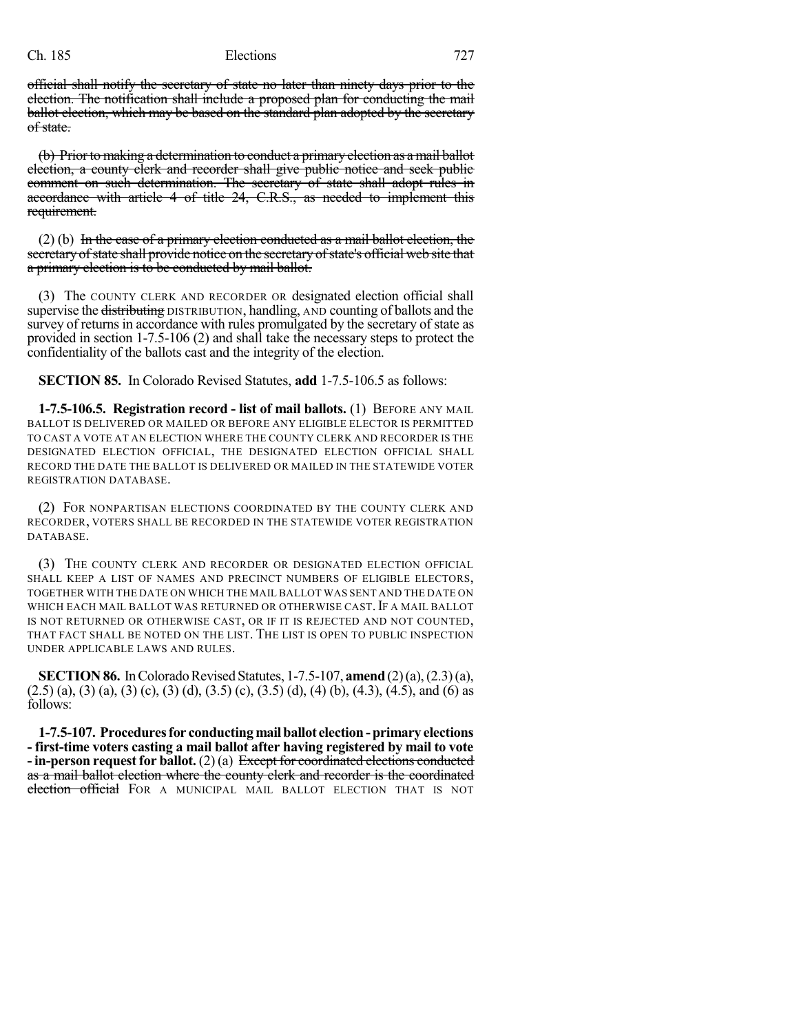official shall notify the secretary of state no later than ninety days prior to the election. The notification shall include a proposed plan for conducting the mail ballot election, which may be based on the standard plan adopted by the secretary of state.

(b) Prior to making a determination to conduct a primary election as a mail ballot election, a county clerk and recorder shall give public notice and seek public comment on such determination. The secretary of state shall adopt rules in accordance with article 4 of title 24, C.R.S., as needed to implement this requirement.

 $(2)$  (b) In the case of a primary election conducted as a mail ballot election, the secretary of state shall provide notice on the secretary of state's official web site that a primary election is to be conducted by mail ballot.

(3) The COUNTY CLERK AND RECORDER OR designated election official shall supervise the distributing DISTRIBUTION, handling, AND counting of ballots and the survey of returns in accordance with rules promulgated by the secretary of state as provided in section 1-7.5-106 (2) and shall take the necessary steps to protect the confidentiality of the ballots cast and the integrity of the election.

**SECTION 85.** In Colorado Revised Statutes, **add** 1-7.5-106.5 as follows:

**1-7.5-106.5. Registration record - list of mail ballots.** (1) BEFORE ANY MAIL BALLOT IS DELIVERED OR MAILED OR BEFORE ANY ELIGIBLE ELECTOR IS PERMITTED TO CAST A VOTE AT AN ELECTION WHERE THE COUNTY CLERK AND RECORDER IS THE DESIGNATED ELECTION OFFICIAL, THE DESIGNATED ELECTION OFFICIAL SHALL RECORD THE DATE THE BALLOT IS DELIVERED OR MAILED IN THE STATEWIDE VOTER REGISTRATION DATABASE.

(2) FOR NONPARTISAN ELECTIONS COORDINATED BY THE COUNTY CLERK AND RECORDER, VOTERS SHALL BE RECORDED IN THE STATEWIDE VOTER REGISTRATION DATABASE.

(3) THE COUNTY CLERK AND RECORDER OR DESIGNATED ELECTION OFFICIAL SHALL KEEP A LIST OF NAMES AND PRECINCT NUMBERS OF ELIGIBLE ELECTORS, TOGETHER WITH THE DATE ON WHICH THE MAIL BALLOT WAS SENT AND THE DATE ON WHICH EACH MAIL BALLOT WAS RETURNED OR OTHERWISE CAST. IF A MAIL BALLOT IS NOT RETURNED OR OTHERWISE CAST, OR IF IT IS REJECTED AND NOT COUNTED, THAT FACT SHALL BE NOTED ON THE LIST. THE LIST IS OPEN TO PUBLIC INSPECTION UNDER APPLICABLE LAWS AND RULES.

**SECTION 86.** In Colorado Revised Statutes, 1-7.5-107, **amend** (2)(a), (2.3)(a),  $(2.5)$  (a), (3) (a), (3) (c), (3) (d), (3.5) (c), (3.5) (d), (4) (b), (4.3), (4.5), and (6) as follows:

**1-7.5-107. Proceduresfor conductingmailballot election-primary elections - first-time voters casting a mail ballot after having registered by mail to vote - in-person request for ballot.** (2) (a) Except for coordinated elections conducted as a mail ballot election where the county clerk and recorder is the coordinated election official FOR A MUNICIPAL MAIL BALLOT ELECTION THAT IS NOT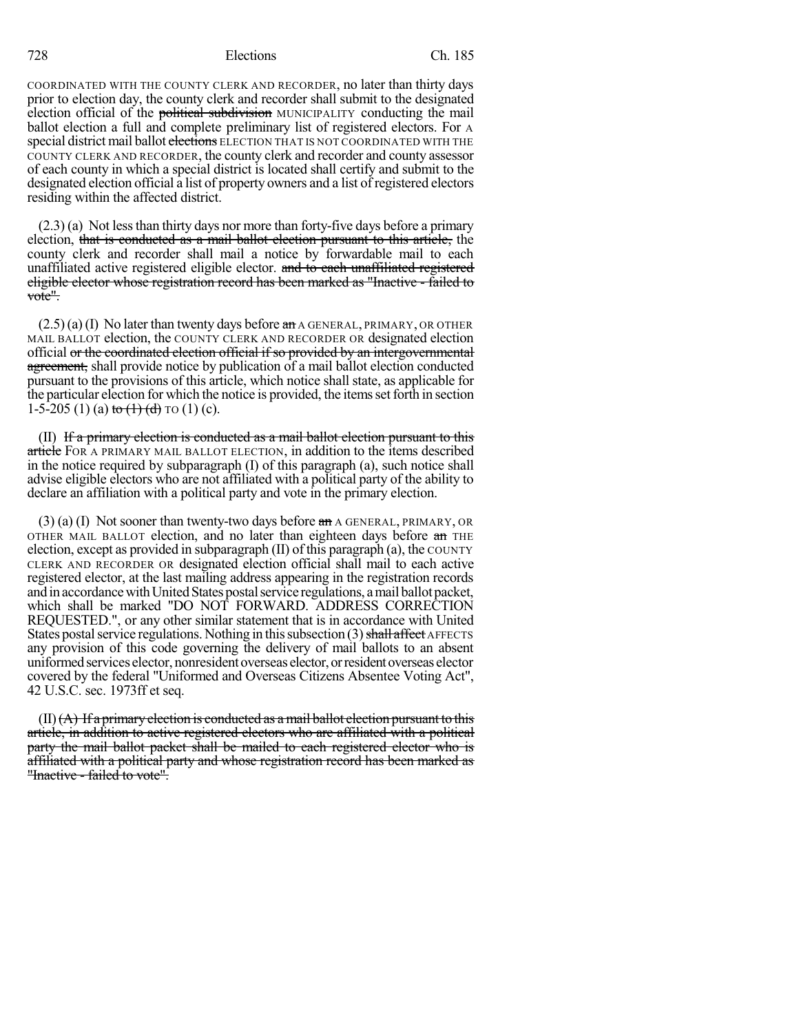COORDINATED WITH THE COUNTY CLERK AND RECORDER, no later than thirty days prior to election day, the county clerk and recorder shall submit to the designated election official of the political subdivision MUNICIPALITY conducting the mail ballot election a full and complete preliminary list of registered electors. For A special district mail ballot elections ELECTION THAT IS NOT COORDINATED WITH THE COUNTY CLERK AND RECORDER, the county clerk and recorder and county assessor of each county in which a special district is located shall certify and submit to the designated election official a list of property owners and a list of registered electors residing within the affected district.

 $(2.3)$  (a) Not less than thirty days nor more than forty-five days before a primary election, that is conducted as a mail ballot election pursuant to this article, the county clerk and recorder shall mail a notice by forwardable mail to each unaffiliated active registered eligible elector. and to each unaffiliated registered eligible elector whose registration record has been marked as "Inactive - failed to vote".

 $(2.5)(a)$  (I) No later than twenty days before  $a\text{m}$  a GENERAL, PRIMARY, OR OTHER MAIL BALLOT election, the COUNTY CLERK AND RECORDER OR designated election official or the coordinated election official if so provided by an intergovernmental agreement, shall provide notice by publication of a mail ballot election conducted pursuant to the provisions of this article, which notice shall state, as applicable for the particular election for which the notice is provided, the items set forth in section 1-5-205 (1) (a)  $\frac{\text{to (1)} (\text{d}) \text{ to (1)} (\text{c})}{\text{d}}$ .

(II) If a primary election is conducted as a mail ballot election pursuant to this article FOR A PRIMARY MAIL BALLOT ELECTION, in addition to the items described in the notice required by subparagraph (I) of this paragraph (a), such notice shall advise eligible electors who are not affiliated with a political party of the ability to declare an affiliation with a political party and vote in the primary election.

 $(3)$  (a) (I) Not sooner than twenty-two days before  $\pi$  a GENERAL, PRIMARY, OR OTHER MAIL BALLOT election, and no later than eighteen days before an THE election, except as provided in subparagraph  $(II)$  of this paragraph  $(a)$ , the COUNTY CLERK AND RECORDER OR designated election official shall mail to each active registered elector, at the last mailing address appearing in the registration records and in accordance with United States postal service regulations, a mail ballot packet, which shall be marked "DO NOT FORWARD. ADDRESS CORRECTION REQUESTED.", or any other similar statement that is in accordance with United States postal service regulations. Nothing in this subsection  $(3)$  shall affect AFFECTS any provision of this code governing the delivery of mail ballots to an absent uniformed services elector, nonresident overseas elector, or resident overseas elector covered by the federal "Uniformed and Overseas Citizens Absentee Voting Act", 42 U.S.C. sec. 1973ff et seq.

 $\text{(II)}\text{(**A**)}$  If a primary election is conducted as a mail ballot election pursuant to this article, in addition to active registered electors who are affiliated with a political party the mail ballot packet shall be mailed to each registered elector who is affiliated with a political party and whose registration record has been marked as "Inactive - failed to vote".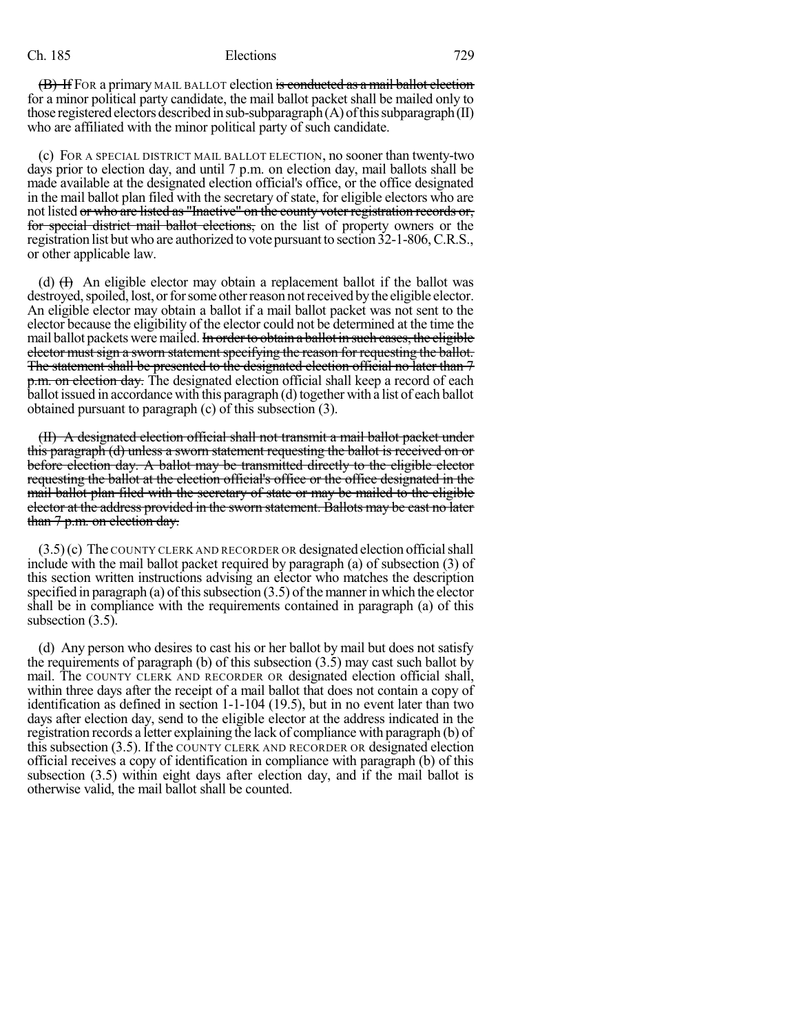(B) If FOR a primary MAIL BALLOT election is conducted as a mail ballot election for a minor political party candidate, the mail ballot packet shall be mailed only to those registered electors described in sub-subparagraph $(A)$  of this subparagraph $(II)$ who are affiliated with the minor political party of such candidate.

(c) FOR A SPECIAL DISTRICT MAIL BALLOT ELECTION, no sooner than twenty-two days prior to election day, and until 7 p.m. on election day, mail ballots shall be made available at the designated election official's office, or the office designated in the mail ballot plan filed with the secretary of state, for eligible electors who are not listed or who are listed as "Inactive" on the county voter registration records or, for special district mail ballot elections, on the list of property owners or the registration list but who are authorized to vote pursuant to section 32-1-806,C.R.S., or other applicable law.

(d)  $(H)$  An eligible elector may obtain a replacement ballot if the ballot was destroyed, spoiled, lost, or for some other reason not received by the eligible elector. An eligible elector may obtain a ballot if a mail ballot packet was not sent to the elector because the eligibility of the elector could not be determined at the time the mail ballot packets were mailed. In order to obtain a ballot in such cases, the eligible elector must sign a sworn statement specifying the reason for requesting the ballot. The statement shall be presented to the designated election official no later than 7 p.m. on election day. The designated election official shall keep a record of each ballot issued in accordance with this paragraph (d) together with a list of each ballot obtained pursuant to paragraph (c) of this subsection (3).

(II) A designated election official shall not transmit a mail ballot packet under this paragraph (d) unless a sworn statement requesting the ballot is received on or before election day. A ballot may be transmitted directly to the eligible elector requesting the ballot at the election official's office or the office designated in the mail ballot plan filed with the secretary of state or may be mailed to the eligible elector at the address provided in the sworn statement. Ballots may be cast no later than 7 p.m. on election day.

 $(3.5)(c)$  The COUNTY CLERK AND RECORDER OR designated election official shall include with the mail ballot packet required by paragraph (a) of subsection (3) of this section written instructions advising an elector who matches the description specified in paragraph (a) of this subsection  $(3.5)$  of the manner in which the elector shall be in compliance with the requirements contained in paragraph (a) of this subsection  $(3.5)$ .

(d) Any person who desires to cast his or her ballot by mail but does not satisfy the requirements of paragraph (b) of this subsection (3.5) may cast such ballot by mail. The COUNTY CLERK AND RECORDER OR designated election official shall, within three days after the receipt of a mail ballot that does not contain a copy of identification as defined in section 1-1-104 (19.5), but in no event later than two days after election day, send to the eligible elector at the address indicated in the registration records a letter explaining the lack of compliance with paragraph (b) of this subsection (3.5). If the COUNTY CLERK AND RECORDER OR designated election official receives a copy of identification in compliance with paragraph (b) of this subsection (3.5) within eight days after election day, and if the mail ballot is otherwise valid, the mail ballot shall be counted.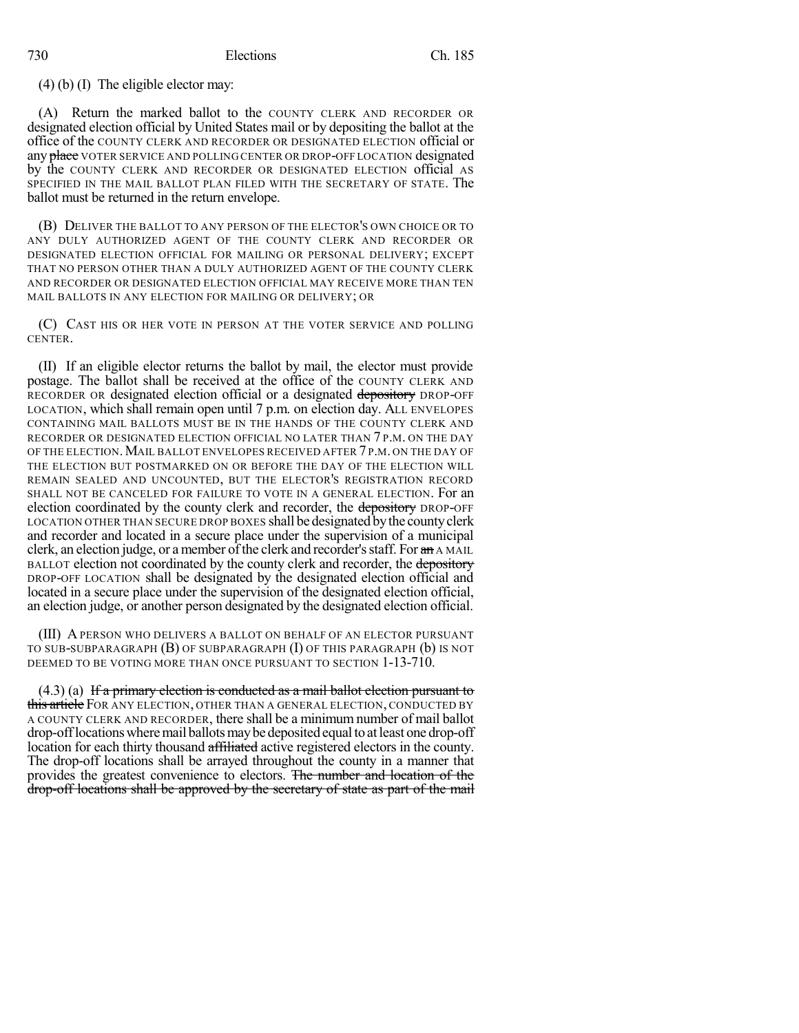# (4) (b) (I) The eligible elector may:

(A) Return the marked ballot to the COUNTY CLERK AND RECORDER OR designated election official by United States mail or by depositing the ballot at the office of the COUNTY CLERK AND RECORDER OR DESIGNATED ELECTION official or any place VOTER SERVICE AND POLLING CENTER OR DROP-OFF LOCATION designated by the COUNTY CLERK AND RECORDER OR DESIGNATED ELECTION official AS SPECIFIED IN THE MAIL BALLOT PLAN FILED WITH THE SECRETARY OF STATE. The ballot must be returned in the return envelope.

(B) DELIVER THE BALLOT TO ANY PERSON OF THE ELECTOR'S OWN CHOICE OR TO ANY DULY AUTHORIZED AGENT OF THE COUNTY CLERK AND RECORDER OR DESIGNATED ELECTION OFFICIAL FOR MAILING OR PERSONAL DELIVERY; EXCEPT THAT NO PERSON OTHER THAN A DULY AUTHORIZED AGENT OF THE COUNTY CLERK AND RECORDER OR DESIGNATED ELECTION OFFICIAL MAY RECEIVE MORE THAN TEN MAIL BALLOTS IN ANY ELECTION FOR MAILING OR DELIVERY; OR

(C) CAST HIS OR HER VOTE IN PERSON AT THE VOTER SERVICE AND POLLING CENTER.

(II) If an eligible elector returns the ballot by mail, the elector must provide postage. The ballot shall be received at the office of the COUNTY CLERK AND RECORDER OR designated election official or a designated depository DROP-OFF LOCATION, which shall remain open until 7 p.m. on election day. ALL ENVELOPES CONTAINING MAIL BALLOTS MUST BE IN THE HANDS OF THE COUNTY CLERK AND RECORDER OR DESIGNATED ELECTION OFFICIAL NO LATER THAN 7 P.M. ON THE DAY OF THE ELECTION.MAIL BALLOT ENVELOPES RECEIVED AFTER 7 P.M. ON THE DAY OF THE ELECTION BUT POSTMARKED ON OR BEFORE THE DAY OF THE ELECTION WILL REMAIN SEALED AND UNCOUNTED, BUT THE ELECTOR'S REGISTRATION RECORD SHALL NOT BE CANCELED FOR FAILURE TO VOTE IN A GENERAL ELECTION. For an election coordinated by the county clerk and recorder, the depository DROP-OFF LOCATION OTHER THAN SECURE DROP BOXES shall be designated bythe countyclerk and recorder and located in a secure place under the supervision of a municipal clerk, an election judge, or a member of the clerk and recorder's staff. For  $\mathbf{a} \cdot \mathbf{n}$  A MAIL BALLOT election not coordinated by the county clerk and recorder, the depository DROP-OFF LOCATION shall be designated by the designated election official and located in a secure place under the supervision of the designated election official, an election judge, or another person designated by the designated election official.

(III) A PERSON WHO DELIVERS A BALLOT ON BEHALF OF AN ELECTOR PURSUANT TO SUB-SUBPARAGRAPH (B) OF SUBPARAGRAPH (I) OF THIS PARAGRAPH (b) IS NOT DEEMED TO BE VOTING MORE THAN ONCE PURSUANT TO SECTION 1-13-710.

 $(4.3)$  (a) If a primary election is conducted as a mail ballot election pursuant to **this article** FOR ANY ELECTION, OTHER THAN A GENERAL ELECTION, CONDUCTED BY A COUNTY CLERK AND RECORDER, there shall be a minimum number of mail ballot drop-offlocationswheremail ballotsmaybe deposited equalto atleast one drop-off location for each thirty thousand affiliated active registered electors in the county. The drop-off locations shall be arrayed throughout the county in a manner that provides the greatest convenience to electors. The number and location of the drop-off locations shall be approved by the secretary of state as part of the mail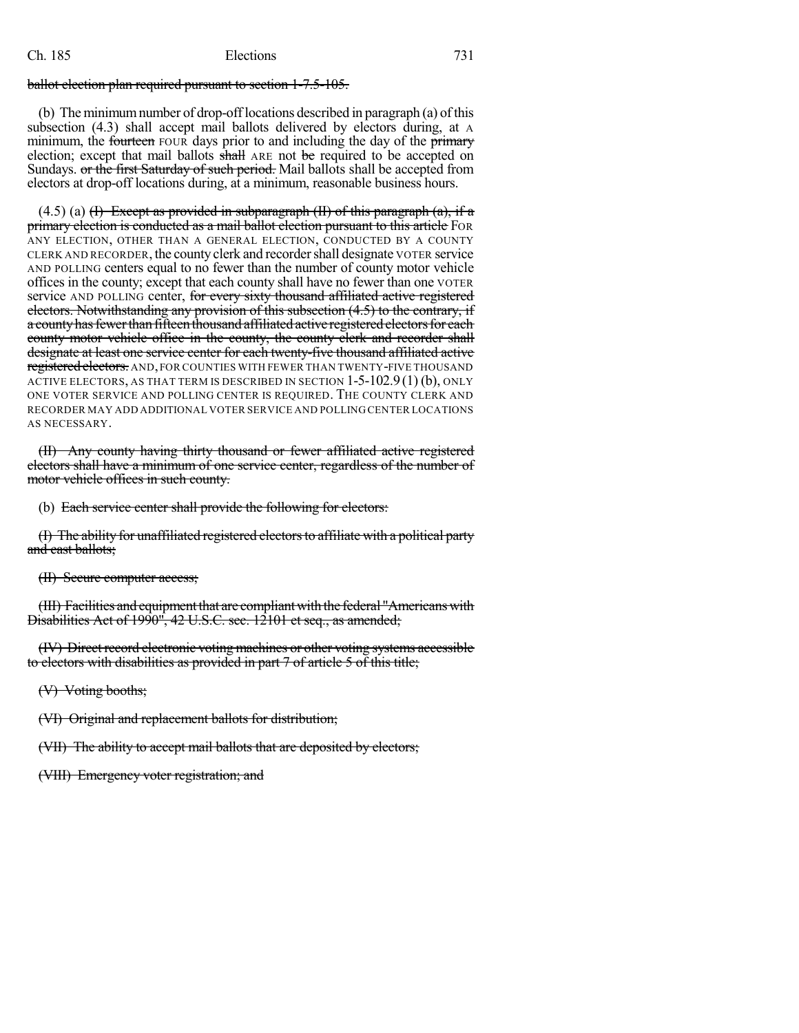#### ballot election plan required pursuant to section 1-7.5-105.

(b) The minimum number of drop-offlocations described in paragraph (a) of this subsection (4.3) shall accept mail ballots delivered by electors during, at A minimum, the fourteen FOUR days prior to and including the day of the primary election; except that mail ballots shall ARE not be required to be accepted on Sundays. or the first Saturday of such period. Mail ballots shall be accepted from electors at drop-off locations during, at a minimum, reasonable business hours.

 $(4.5)$  (a) (f) Except as provided in subparagraph (II) of this paragraph (a), if a primary election is conducted as a mail ballot election pursuant to this article FOR ANY ELECTION, OTHER THAN A GENERAL ELECTION, CONDUCTED BY A COUNTY CLERK AND RECORDER, the countyclerk and recordershall designate VOTER service AND POLLING centers equal to no fewer than the number of county motor vehicle offices in the county; except that each county shall have no fewer than one VOTER service AND POLLING center, for every sixty thousand affiliated active registered electors. Notwithstanding any provision of this subsection (4.5) to the contrary, if a county has fewer than fifteen thousand affiliated active registered electors for each county motor vehicle office in the county, the county clerk and recorder shall designate at least one service center for each twenty-five thousand affiliated active registered electors. AND, FOR COUNTIES WITH FEWER THAN TWENTY-FIVE THOUSAND ACTIVE ELECTORS, AS THAT TERM IS DESCRIBED IN SECTION  $1-5-102.9(1)(b)$ , ONLY ONE VOTER SERVICE AND POLLING CENTER IS REQUIRED. THE COUNTY CLERK AND RECORDER MAY ADD ADDITIONAL VOTER SERVICE AND POLLING CENTER LOCATIONS AS NECESSARY.

(II) Any county having thirty thousand or fewer affiliated active registered electors shall have a minimum of one service center, regardless of the number of motor vehicle offices in such county.

(b) Each service center shall provide the following for electors:

(I) The ability for unaffiliated registered electorsto affiliate with a political party and cast ballots;

(II) Secure computer access;

(III) Facilities and equipment that are compliant with the federal "Americans with Disabilities Act of 1990", 42 U.S.C. sec. 12101 et seq., as amended;

(IV) Direct record electronic voting machines or other voting systems accessible to electors with disabilities as provided in part 7 of article 5 of this title;

(V) Voting booths;

(VI) Original and replacement ballots for distribution;

(VII) The ability to accept mail ballots that are deposited by electors;

(VIII) Emergency voter registration; and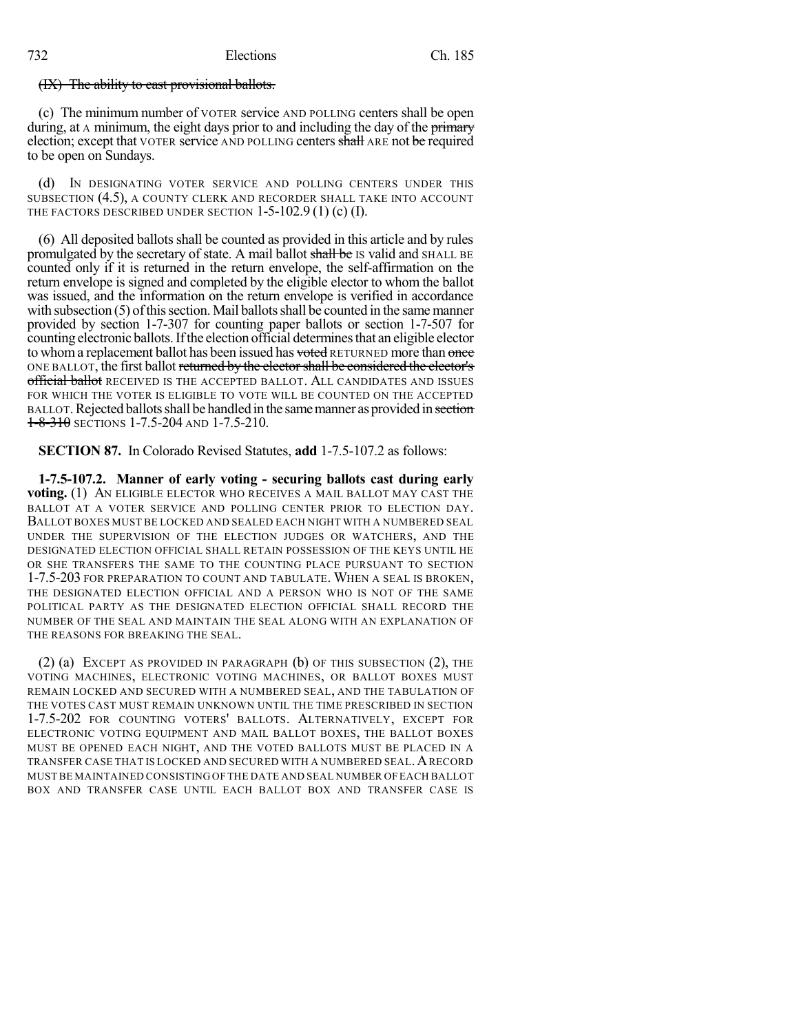#### (IX) The ability to cast provisional ballots.

(c) The minimum number of VOTER service AND POLLING centers shall be open during, at A minimum, the eight days prior to and including the day of the primary election; except that VOTER service AND POLLING centers shall ARE not be required to be open on Sundays.

(d) IN DESIGNATING VOTER SERVICE AND POLLING CENTERS UNDER THIS SUBSECTION (4.5), A COUNTY CLERK AND RECORDER SHALL TAKE INTO ACCOUNT THE FACTORS DESCRIBED UNDER SECTION 1-5-102.9 (1) (c) (I).

(6) All deposited ballots shall be counted as provided in this article and by rules promulgated by the secretary of state. A mail ballot shall be IS valid and SHALL BE counted only if it is returned in the return envelope, the self-affirmation on the return envelope is signed and completed by the eligible elector to whom the ballot was issued, and the information on the return envelope is verified in accordance with subsection (5) of this section. Mail ballots shall be counted in the same manner provided by section 1-7-307 for counting paper ballots or section 1-7-507 for counting electronic ballots. If the election official determines that an eligible elector to whom a replacement ballot has been issued has voted RETURNED more than once ONE BALLOT, the first ballot returned by the elector shall be considered the elector's official ballot RECEIVED IS THE ACCEPTED BALLOT. ALL CANDIDATES AND ISSUES FOR WHICH THE VOTER IS ELIGIBLE TO VOTE WILL BE COUNTED ON THE ACCEPTED BALLOT. Rejected ballots shall be handled in the same manner as provided in section  $1 - 8 - 310$  sections 1-7.5-204 and 1-7.5-210.

**SECTION 87.** In Colorado Revised Statutes, **add** 1-7.5-107.2 as follows:

**1-7.5-107.2. Manner of early voting - securing ballots cast during early voting.** (1) AN ELIGIBLE ELECTOR WHO RECEIVES A MAIL BALLOT MAY CAST THE BALLOT AT A VOTER SERVICE AND POLLING CENTER PRIOR TO ELECTION DAY. BALLOT BOXES MUST BE LOCKED AND SEALED EACH NIGHT WITH A NUMBERED SEAL UNDER THE SUPERVISION OF THE ELECTION JUDGES OR WATCHERS, AND THE DESIGNATED ELECTION OFFICIAL SHALL RETAIN POSSESSION OF THE KEYS UNTIL HE OR SHE TRANSFERS THE SAME TO THE COUNTING PLACE PURSUANT TO SECTION 1-7.5-203 FOR PREPARATION TO COUNT AND TABULATE. WHEN A SEAL IS BROKEN, THE DESIGNATED ELECTION OFFICIAL AND A PERSON WHO IS NOT OF THE SAME POLITICAL PARTY AS THE DESIGNATED ELECTION OFFICIAL SHALL RECORD THE NUMBER OF THE SEAL AND MAINTAIN THE SEAL ALONG WITH AN EXPLANATION OF THE REASONS FOR BREAKING THE SEAL.

(2) (a) EXCEPT AS PROVIDED IN PARAGRAPH (b) OF THIS SUBSECTION (2), THE VOTING MACHINES, ELECTRONIC VOTING MACHINES, OR BALLOT BOXES MUST REMAIN LOCKED AND SECURED WITH A NUMBERED SEAL, AND THE TABULATION OF THE VOTES CAST MUST REMAIN UNKNOWN UNTIL THE TIME PRESCRIBED IN SECTION 1-7.5-202 FOR COUNTING VOTERS' BALLOTS. ALTERNATIVELY, EXCEPT FOR ELECTRONIC VOTING EQUIPMENT AND MAIL BALLOT BOXES, THE BALLOT BOXES MUST BE OPENED EACH NIGHT, AND THE VOTED BALLOTS MUST BE PLACED IN A TRANSFER CASE THAT IS LOCKED AND SECURED WITH A NUMBERED SEAL.ARECORD MUST BE MAINTAINED CONSISTING OF THE DATE AND SEAL NUMBER OF EACH BALLOT BOX AND TRANSFER CASE UNTIL EACH BALLOT BOX AND TRANSFER CASE IS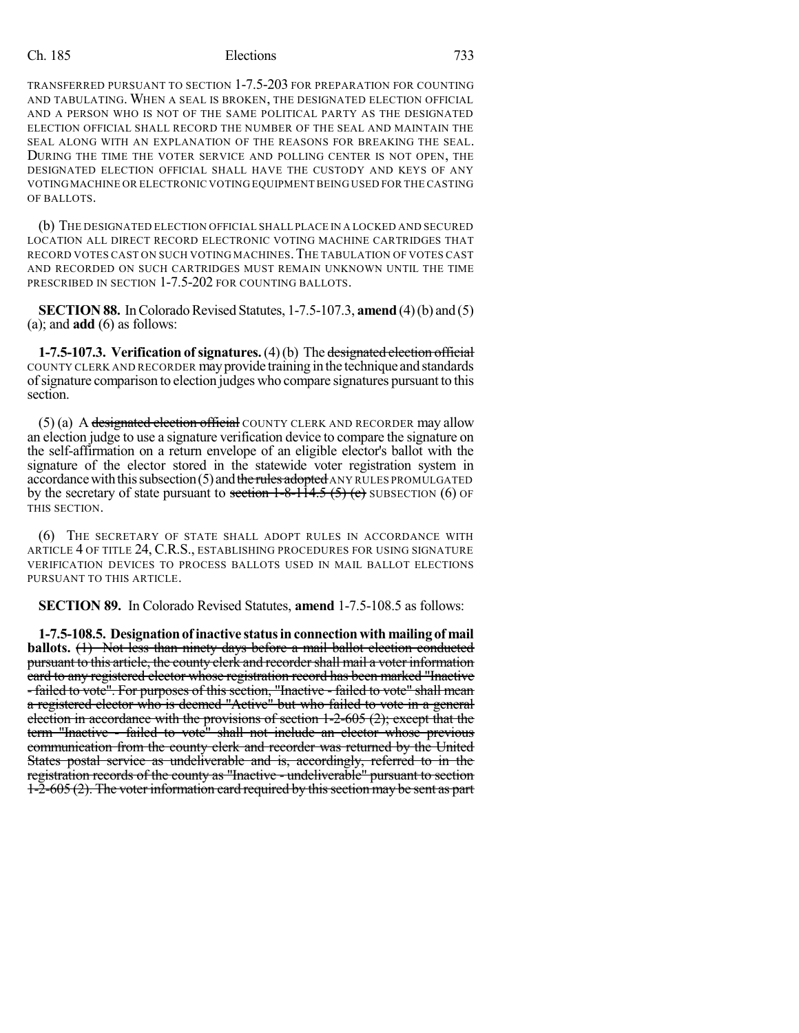TRANSFERRED PURSUANT TO SECTION 1-7.5-203 FOR PREPARATION FOR COUNTING AND TABULATING. WHEN A SEAL IS BROKEN, THE DESIGNATED ELECTION OFFICIAL AND A PERSON WHO IS NOT OF THE SAME POLITICAL PARTY AS THE DESIGNATED ELECTION OFFICIAL SHALL RECORD THE NUMBER OF THE SEAL AND MAINTAIN THE SEAL ALONG WITH AN EXPLANATION OF THE REASONS FOR BREAKING THE SEAL. DURING THE TIME THE VOTER SERVICE AND POLLING CENTER IS NOT OPEN, THE DESIGNATED ELECTION OFFICIAL SHALL HAVE THE CUSTODY AND KEYS OF ANY VOTING MACHINE OR ELECTRONIC VOTING EQUIPMENT BEING USED FOR THE CASTING OF BALLOTS.

(b) THE DESIGNATED ELECTION OFFICIAL SHALL PLACE IN A LOCKED AND SECURED LOCATION ALL DIRECT RECORD ELECTRONIC VOTING MACHINE CARTRIDGES THAT RECORD VOTES CAST ON SUCH VOTING MACHINES.THE TABULATION OF VOTES CAST AND RECORDED ON SUCH CARTRIDGES MUST REMAIN UNKNOWN UNTIL THE TIME PRESCRIBED IN SECTION 1-7.5-202 FOR COUNTING BALLOTS.

**SECTION 88.** In Colorado Revised Statutes, 1-7.5-107.3, **amend** (4)(b) and (5) (a); and **add** (6) as follows:

**1-7.5-107.3. Verification of signatures.**(4)(b) The designated election official COUNTY CLERK AND RECORDER mayprovide training in the technique and standards ofsignature comparison to election judges who compare signatures pursuant to this section.

(5) (a) A designated election official COUNTY CLERK AND RECORDER may allow an election judge to use a signature verification device to compare the signature on the self-affirmation on a return envelope of an eligible elector's ballot with the signature of the elector stored in the statewide voter registration system in accordance with this subsection  $(5)$  and the rules adopted ANY RULES PROMULGATED by the secretary of state pursuant to section  $1-8-11/4.5$  (5) (e) SUBSECTION (6) OF THIS SECTION.

(6) THE SECRETARY OF STATE SHALL ADOPT RULES IN ACCORDANCE WITH ARTICLE 4 OF TITLE 24, C.R.S., ESTABLISHING PROCEDURES FOR USING SIGNATURE VERIFICATION DEVICES TO PROCESS BALLOTS USED IN MAIL BALLOT ELECTIONS PURSUANT TO THIS ARTICLE.

**SECTION 89.** In Colorado Revised Statutes, **amend** 1-7.5-108.5 as follows:

**1-7.5-108.5.** Designation of inactive status in connection with mailing of mail **ballots.** (1) Not less than ninety days before a mail ballot election conducted pursuant to this article, the county clerk and recorder shall mail a voter information card to any registered elector whose registration record has been marked "Inactive - failed to vote". For purposes of this section, "Inactive - failed to vote" shall mean a registered elector who is deemed "Active" but who failed to vote in a general election in accordance with the provisions of section  $1-2-605(2)$ ; except that the term "Inactive - failed to vote" shall not include an elector whose previous communication from the county clerk and recorder was returned by the United States postal service as undeliverable and is, accordingly, referred to in the registration records of the county as "Inactive - undeliverable" pursuant to section  $1-\overline{2}-605(2)$ . The voter information card required by this section may be sent as part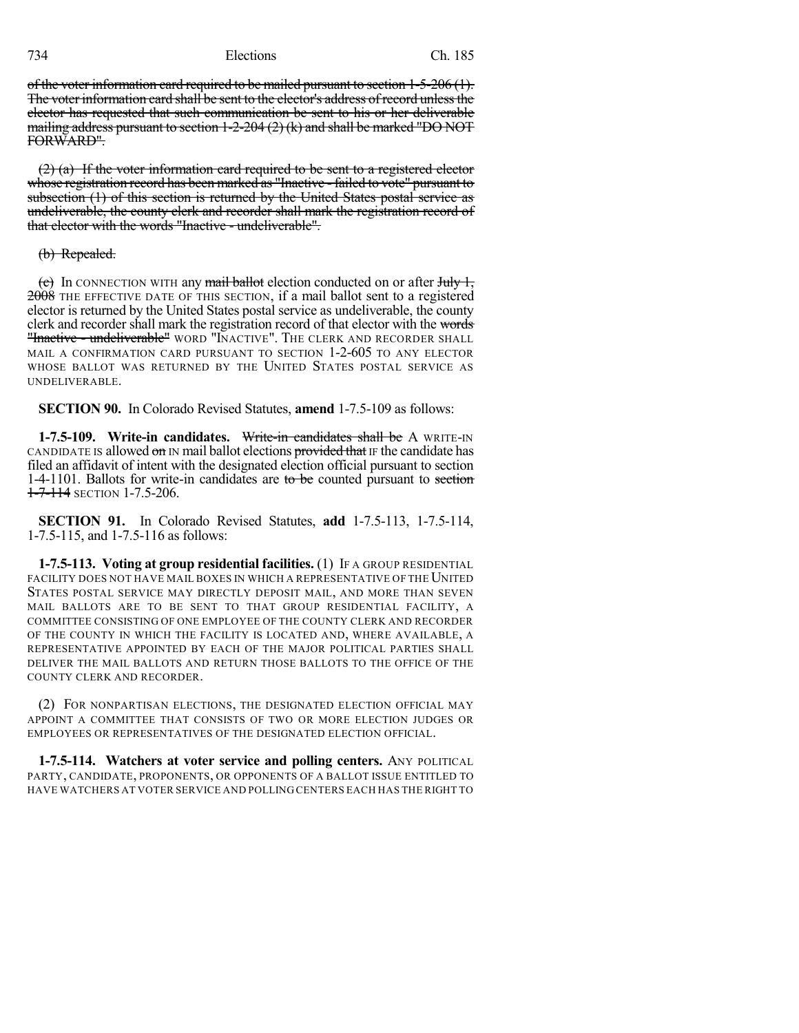of the voter information card required to be mailed pursuant to section 1-5-206 (1). The voter information card shall be sent to the elector's address of record unless the elector has requested that such communication be sent to his or her deliverable mailing address pursuant to section 1-2-204 (2) (k) and shall be marked "DO NOT FORWARD".

(2) (a) If the voter information card required to be sent to a registered elector whose registration record has been marked as "Inactive - failed to vote" pursuant to subsection (1) of this section is returned by the United States postal service as undeliverable, the county clerk and recorder shall mark the registration record of that elector with the words "Inactive - undeliverable".

#### (b) Repealed.

(c) In CONNECTION WITH any mail ballot election conducted on or after July 1, 2008 THE EFFECTIVE DATE OF THIS SECTION, if a mail ballot sent to a registered elector is returned by the United States postal service as undeliverable, the county clerk and recorder shall mark the registration record of that elector with the words "Inactive - undeliverable" WORD "INACTIVE". THE CLERK AND RECORDER SHALL MAIL A CONFIRMATION CARD PURSUANT TO SECTION 1-2-605 TO ANY ELECTOR WHOSE BALLOT WAS RETURNED BY THE UNITED STATES POSTAL SERVICE AS UNDELIVERABLE.

**SECTION 90.** In Colorado Revised Statutes, **amend** 1-7.5-109 as follows:

**1-7.5-109. Write-in candidates.** Write-in candidates shall be A WRITE-IN CANDIDATE IS allowed on IN mail ballot elections provided that IF the candidate has filed an affidavit of intent with the designated election official pursuant to section 1-4-1101. Ballots for write-in candidates are to be counted pursuant to section 1-7-114 SECTION 1-7.5-206.

**SECTION 91.** In Colorado Revised Statutes, **add** 1-7.5-113, 1-7.5-114, 1-7.5-115, and 1-7.5-116 as follows:

**1-7.5-113. Voting at group residential facilities.** (1) IF A GROUP RESIDENTIAL FACILITY DOES NOT HAVE MAIL BOXES IN WHICH A REPRESENTATIVE OF THE UNITED STATES POSTAL SERVICE MAY DIRECTLY DEPOSIT MAIL, AND MORE THAN SEVEN MAIL BALLOTS ARE TO BE SENT TO THAT GROUP RESIDENTIAL FACILITY, A COMMITTEE CONSISTING OF ONE EMPLOYEE OF THE COUNTY CLERK AND RECORDER OF THE COUNTY IN WHICH THE FACILITY IS LOCATED AND, WHERE AVAILABLE, A REPRESENTATIVE APPOINTED BY EACH OF THE MAJOR POLITICAL PARTIES SHALL DELIVER THE MAIL BALLOTS AND RETURN THOSE BALLOTS TO THE OFFICE OF THE COUNTY CLERK AND RECORDER.

(2) FOR NONPARTISAN ELECTIONS, THE DESIGNATED ELECTION OFFICIAL MAY APPOINT A COMMITTEE THAT CONSISTS OF TWO OR MORE ELECTION JUDGES OR EMPLOYEES OR REPRESENTATIVES OF THE DESIGNATED ELECTION OFFICIAL.

**1-7.5-114. Watchers at voter service and polling centers.** ANY POLITICAL PARTY, CANDIDATE, PROPONENTS, OR OPPONENTS OF A BALLOT ISSUE ENTITLED TO HAVE WATCHERS AT VOTER SERVICE AND POLLING CENTERS EACH HAS THE RIGHT TO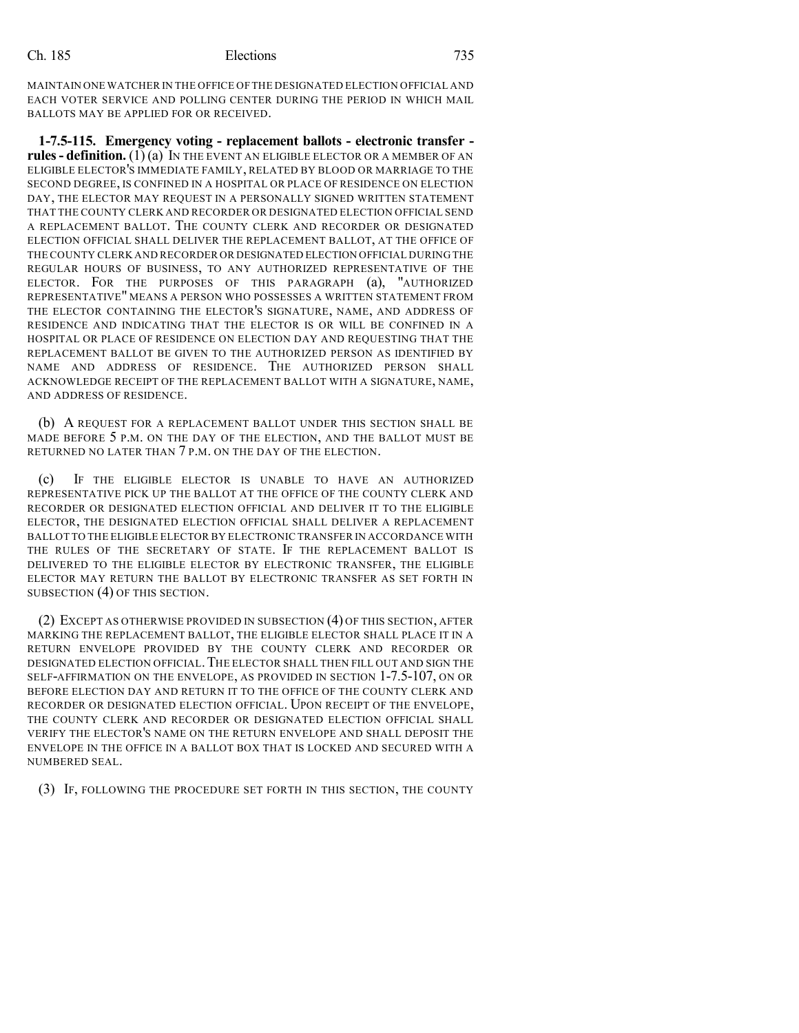MAINTAIN ONE WATCHER IN THE OFFICE OF THE DESIGNATED ELECTION OFFICIAL AND EACH VOTER SERVICE AND POLLING CENTER DURING THE PERIOD IN WHICH MAIL BALLOTS MAY BE APPLIED FOR OR RECEIVED.

**1-7.5-115. Emergency voting - replacement ballots - electronic transfer rules- definition.** (1) (a) IN THE EVENT AN ELIGIBLE ELECTOR OR A MEMBER OF AN ELIGIBLE ELECTOR'S IMMEDIATE FAMILY, RELATED BY BLOOD OR MARRIAGE TO THE SECOND DEGREE, IS CONFINED IN A HOSPITAL OR PLACE OF RESIDENCE ON ELECTION DAY, THE ELECTOR MAY REQUEST IN A PERSONALLY SIGNED WRITTEN STATEMENT THAT THE COUNTY CLERK AND RECORDER OR DESIGNATED ELECTION OFFICIAL SEND A REPLACEMENT BALLOT. THE COUNTY CLERK AND RECORDER OR DESIGNATED ELECTION OFFICIAL SHALL DELIVER THE REPLACEMENT BALLOT, AT THE OFFICE OF THE COUNTY CLERK AND RECORDER OR DESIGNATED ELECTION OFFICIAL DURING THE REGULAR HOURS OF BUSINESS, TO ANY AUTHORIZED REPRESENTATIVE OF THE ELECTOR. FOR THE PURPOSES OF THIS PARAGRAPH (a), "AUTHORIZED REPRESENTATIVE" MEANS A PERSON WHO POSSESSES A WRITTEN STATEMENT FROM THE ELECTOR CONTAINING THE ELECTOR'S SIGNATURE, NAME, AND ADDRESS OF RESIDENCE AND INDICATING THAT THE ELECTOR IS OR WILL BE CONFINED IN A HOSPITAL OR PLACE OF RESIDENCE ON ELECTION DAY AND REQUESTING THAT THE REPLACEMENT BALLOT BE GIVEN TO THE AUTHORIZED PERSON AS IDENTIFIED BY NAME AND ADDRESS OF RESIDENCE. THE AUTHORIZED PERSON SHALL ACKNOWLEDGE RECEIPT OF THE REPLACEMENT BALLOT WITH A SIGNATURE, NAME, AND ADDRESS OF RESIDENCE.

(b) A REQUEST FOR A REPLACEMENT BALLOT UNDER THIS SECTION SHALL BE MADE BEFORE 5 P.M. ON THE DAY OF THE ELECTION, AND THE BALLOT MUST BE RETURNED NO LATER THAN 7 P.M. ON THE DAY OF THE ELECTION.

(c) IF THE ELIGIBLE ELECTOR IS UNABLE TO HAVE AN AUTHORIZED REPRESENTATIVE PICK UP THE BALLOT AT THE OFFICE OF THE COUNTY CLERK AND RECORDER OR DESIGNATED ELECTION OFFICIAL AND DELIVER IT TO THE ELIGIBLE ELECTOR, THE DESIGNATED ELECTION OFFICIAL SHALL DELIVER A REPLACEMENT BALLOT TO THE ELIGIBLE ELECTOR BY ELECTRONIC TRANSFER IN ACCORDANCE WITH THE RULES OF THE SECRETARY OF STATE. IF THE REPLACEMENT BALLOT IS DELIVERED TO THE ELIGIBLE ELECTOR BY ELECTRONIC TRANSFER, THE ELIGIBLE ELECTOR MAY RETURN THE BALLOT BY ELECTRONIC TRANSFER AS SET FORTH IN SUBSECTION (4) OF THIS SECTION.

(2) EXCEPT AS OTHERWISE PROVIDED IN SUBSECTION (4) OF THIS SECTION, AFTER MARKING THE REPLACEMENT BALLOT, THE ELIGIBLE ELECTOR SHALL PLACE IT IN A RETURN ENVELOPE PROVIDED BY THE COUNTY CLERK AND RECORDER OR DESIGNATED ELECTION OFFICIAL. THE ELECTOR SHALL THEN FILL OUT AND SIGN THE SELF-AFFIRMATION ON THE ENVELOPE, AS PROVIDED IN SECTION 1-7.5-107, ON OR BEFORE ELECTION DAY AND RETURN IT TO THE OFFICE OF THE COUNTY CLERK AND RECORDER OR DESIGNATED ELECTION OFFICIAL. UPON RECEIPT OF THE ENVELOPE, THE COUNTY CLERK AND RECORDER OR DESIGNATED ELECTION OFFICIAL SHALL VERIFY THE ELECTOR'S NAME ON THE RETURN ENVELOPE AND SHALL DEPOSIT THE ENVELOPE IN THE OFFICE IN A BALLOT BOX THAT IS LOCKED AND SECURED WITH A NUMBERED SEAL.

(3) IF, FOLLOWING THE PROCEDURE SET FORTH IN THIS SECTION, THE COUNTY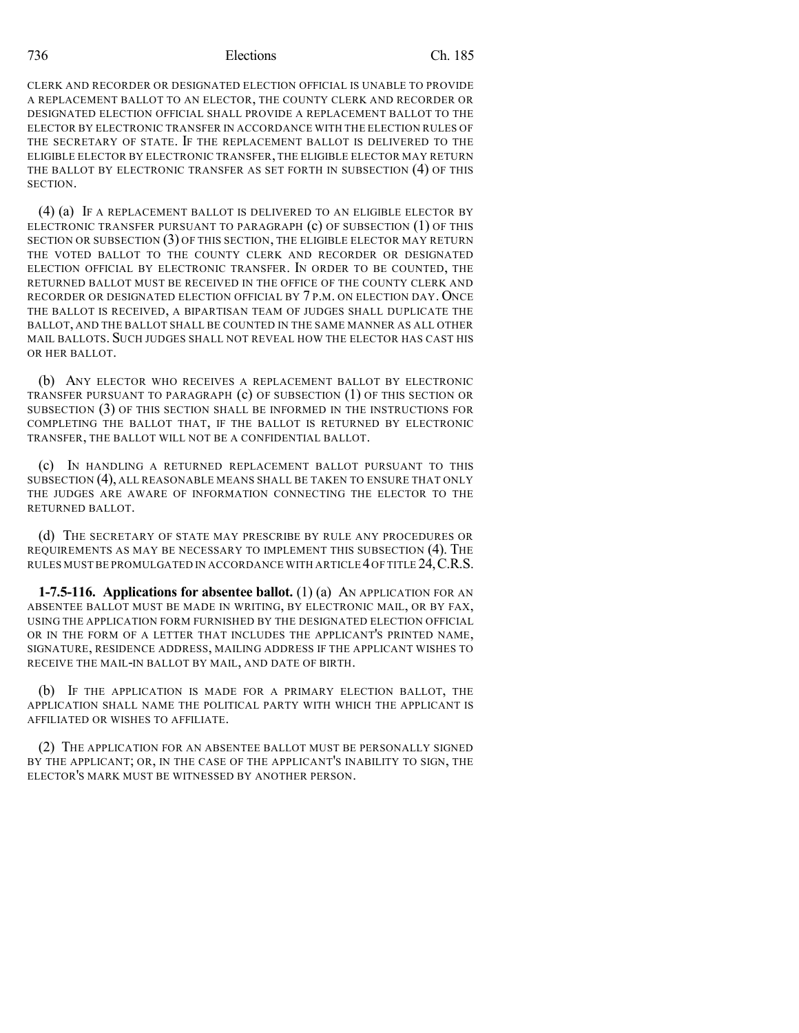CLERK AND RECORDER OR DESIGNATED ELECTION OFFICIAL IS UNABLE TO PROVIDE A REPLACEMENT BALLOT TO AN ELECTOR, THE COUNTY CLERK AND RECORDER OR DESIGNATED ELECTION OFFICIAL SHALL PROVIDE A REPLACEMENT BALLOT TO THE ELECTOR BY ELECTRONIC TRANSFER IN ACCORDANCE WITH THE ELECTION RULES OF THE SECRETARY OF STATE. IF THE REPLACEMENT BALLOT IS DELIVERED TO THE ELIGIBLE ELECTOR BY ELECTRONIC TRANSFER, THE ELIGIBLE ELECTOR MAY RETURN THE BALLOT BY ELECTRONIC TRANSFER AS SET FORTH IN SUBSECTION (4) OF THIS **SECTION** 

(4) (a) IF A REPLACEMENT BALLOT IS DELIVERED TO AN ELIGIBLE ELECTOR BY ELECTRONIC TRANSFER PURSUANT TO PARAGRAPH (c) OF SUBSECTION (1) OF THIS SECTION OR SUBSECTION (3) OF THIS SECTION, THE ELIGIBLE ELECTOR MAY RETURN THE VOTED BALLOT TO THE COUNTY CLERK AND RECORDER OR DESIGNATED ELECTION OFFICIAL BY ELECTRONIC TRANSFER. IN ORDER TO BE COUNTED, THE RETURNED BALLOT MUST BE RECEIVED IN THE OFFICE OF THE COUNTY CLERK AND RECORDER OR DESIGNATED ELECTION OFFICIAL BY 7 P.M. ON ELECTION DAY. ONCE THE BALLOT IS RECEIVED, A BIPARTISAN TEAM OF JUDGES SHALL DUPLICATE THE BALLOT, AND THE BALLOT SHALL BE COUNTED IN THE SAME MANNER AS ALL OTHER MAIL BALLOTS. SUCH JUDGES SHALL NOT REVEAL HOW THE ELECTOR HAS CAST HIS OR HER BALLOT.

(b) ANY ELECTOR WHO RECEIVES A REPLACEMENT BALLOT BY ELECTRONIC TRANSFER PURSUANT TO PARAGRAPH (c) OF SUBSECTION (1) OF THIS SECTION OR SUBSECTION (3) OF THIS SECTION SHALL BE INFORMED IN THE INSTRUCTIONS FOR COMPLETING THE BALLOT THAT, IF THE BALLOT IS RETURNED BY ELECTRONIC TRANSFER, THE BALLOT WILL NOT BE A CONFIDENTIAL BALLOT.

(c) IN HANDLING A RETURNED REPLACEMENT BALLOT PURSUANT TO THIS SUBSECTION (4), ALL REASONABLE MEANS SHALL BE TAKEN TO ENSURE THAT ONLY THE JUDGES ARE AWARE OF INFORMATION CONNECTING THE ELECTOR TO THE RETURNED BALLOT.

(d) THE SECRETARY OF STATE MAY PRESCRIBE BY RULE ANY PROCEDURES OR REQUIREMENTS AS MAY BE NECESSARY TO IMPLEMENT THIS SUBSECTION (4). THE RULES MUST BE PROMULGATED IN ACCORDANCE WITH ARTICLE 4OF TITLE 24,C.R.S.

**1-7.5-116. Applications for absentee ballot.** (1) (a) AN APPLICATION FOR AN ABSENTEE BALLOT MUST BE MADE IN WRITING, BY ELECTRONIC MAIL, OR BY FAX, USING THE APPLICATION FORM FURNISHED BY THE DESIGNATED ELECTION OFFICIAL OR IN THE FORM OF A LETTER THAT INCLUDES THE APPLICANT'S PRINTED NAME, SIGNATURE, RESIDENCE ADDRESS, MAILING ADDRESS IF THE APPLICANT WISHES TO RECEIVE THE MAIL-IN BALLOT BY MAIL, AND DATE OF BIRTH.

(b) IF THE APPLICATION IS MADE FOR A PRIMARY ELECTION BALLOT, THE APPLICATION SHALL NAME THE POLITICAL PARTY WITH WHICH THE APPLICANT IS AFFILIATED OR WISHES TO AFFILIATE.

(2) THE APPLICATION FOR AN ABSENTEE BALLOT MUST BE PERSONALLY SIGNED BY THE APPLICANT; OR, IN THE CASE OF THE APPLICANT'S INABILITY TO SIGN, THE ELECTOR'S MARK MUST BE WITNESSED BY ANOTHER PERSON.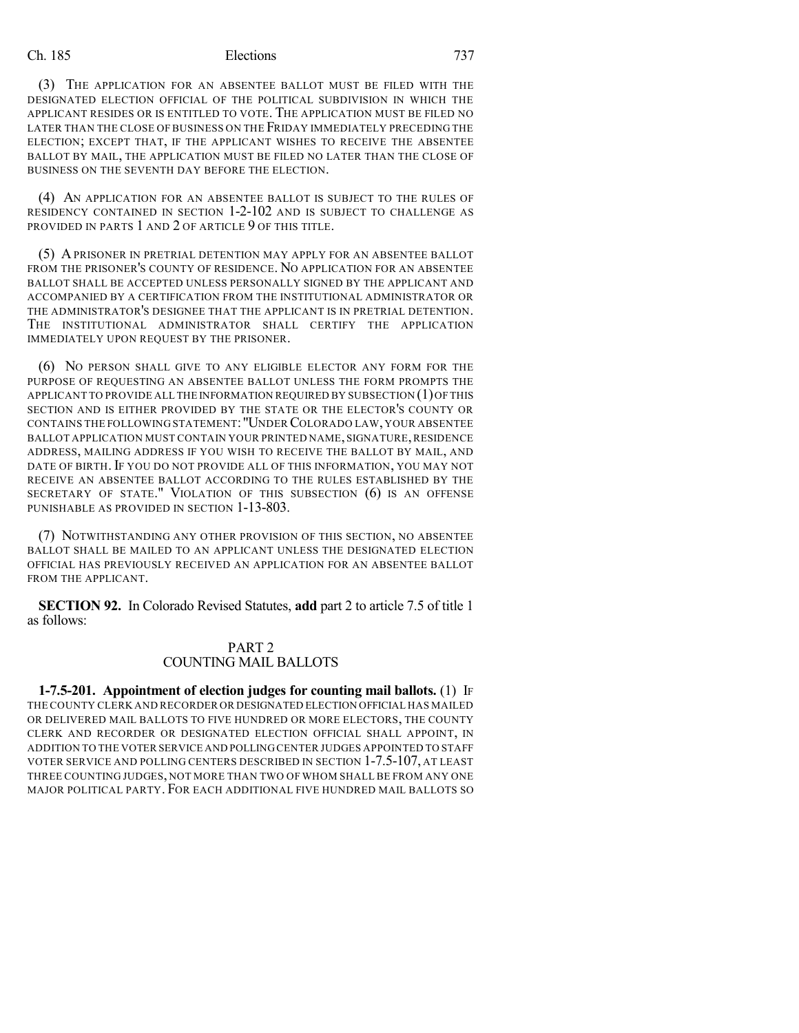(3) THE APPLICATION FOR AN ABSENTEE BALLOT MUST BE FILED WITH THE DESIGNATED ELECTION OFFICIAL OF THE POLITICAL SUBDIVISION IN WHICH THE APPLICANT RESIDES OR IS ENTITLED TO VOTE. THE APPLICATION MUST BE FILED NO LATER THAN THE CLOSE OF BUSINESS ON THE FRIDAY IMMEDIATELY PRECEDING THE ELECTION; EXCEPT THAT, IF THE APPLICANT WISHES TO RECEIVE THE ABSENTEE BALLOT BY MAIL, THE APPLICATION MUST BE FILED NO LATER THAN THE CLOSE OF BUSINESS ON THE SEVENTH DAY BEFORE THE ELECTION.

(4) AN APPLICATION FOR AN ABSENTEE BALLOT IS SUBJECT TO THE RULES OF RESIDENCY CONTAINED IN SECTION 1-2-102 AND IS SUBJECT TO CHALLENGE AS PROVIDED IN PARTS 1 AND 2 OF ARTICLE 9 OF THIS TITLE.

(5) A PRISONER IN PRETRIAL DETENTION MAY APPLY FOR AN ABSENTEE BALLOT FROM THE PRISONER'S COUNTY OF RESIDENCE. NO APPLICATION FOR AN ABSENTEE BALLOT SHALL BE ACCEPTED UNLESS PERSONALLY SIGNED BY THE APPLICANT AND ACCOMPANIED BY A CERTIFICATION FROM THE INSTITUTIONAL ADMINISTRATOR OR THE ADMINISTRATOR'S DESIGNEE THAT THE APPLICANT IS IN PRETRIAL DETENTION. THE INSTITUTIONAL ADMINISTRATOR SHALL CERTIFY THE APPLICATION IMMEDIATELY UPON REQUEST BY THE PRISONER.

(6) NO PERSON SHALL GIVE TO ANY ELIGIBLE ELECTOR ANY FORM FOR THE PURPOSE OF REQUESTING AN ABSENTEE BALLOT UNLESS THE FORM PROMPTS THE APPLICANT TO PROVIDE ALL THE INFORMATION REQUIRED BY SUBSECTION  $(1)$  OF THIS SECTION AND IS EITHER PROVIDED BY THE STATE OR THE ELECTOR'S COUNTY OR CONTAINS THE FOLLOWING STATEMENT: "UNDER COLORADO LAW, YOUR ABSENTEE BALLOT APPLICATION MUST CONTAIN YOUR PRINTED NAME, SIGNATURE, RESIDENCE ADDRESS, MAILING ADDRESS IF YOU WISH TO RECEIVE THE BALLOT BY MAIL, AND DATE OF BIRTH. IF YOU DO NOT PROVIDE ALL OF THIS INFORMATION, YOU MAY NOT RECEIVE AN ABSENTEE BALLOT ACCORDING TO THE RULES ESTABLISHED BY THE SECRETARY OF STATE." VIOLATION OF THIS SUBSECTION (6) IS AN OFFENSE PUNISHABLE AS PROVIDED IN SECTION 1-13-803.

(7) NOTWITHSTANDING ANY OTHER PROVISION OF THIS SECTION, NO ABSENTEE BALLOT SHALL BE MAILED TO AN APPLICANT UNLESS THE DESIGNATED ELECTION OFFICIAL HAS PREVIOUSLY RECEIVED AN APPLICATION FOR AN ABSENTEE BALLOT FROM THE APPLICANT.

**SECTION 92.** In Colorado Revised Statutes, **add** part 2 to article 7.5 of title 1 as follows:

### PART 2 COUNTING MAIL BALLOTS

**1-7.5-201. Appointment of election judges for counting mail ballots.** (1) IF THE COUNTY CLERK AND RECORDER OR DESIGNATED ELECTION OFFICIAL HAS MAILED OR DELIVERED MAIL BALLOTS TO FIVE HUNDRED OR MORE ELECTORS, THE COUNTY CLERK AND RECORDER OR DESIGNATED ELECTION OFFICIAL SHALL APPOINT, IN ADDITION TO THE VOTER SERVICE AND POLLING CENTER JUDGES APPOINTED TO STAFF VOTER SERVICE AND POLLING CENTERS DESCRIBED IN SECTION 1-7.5-107, AT LEAST THREE COUNTING JUDGES, NOT MORE THAN TWO OF WHOM SHALL BE FROM ANY ONE MAJOR POLITICAL PARTY. FOR EACH ADDITIONAL FIVE HUNDRED MAIL BALLOTS SO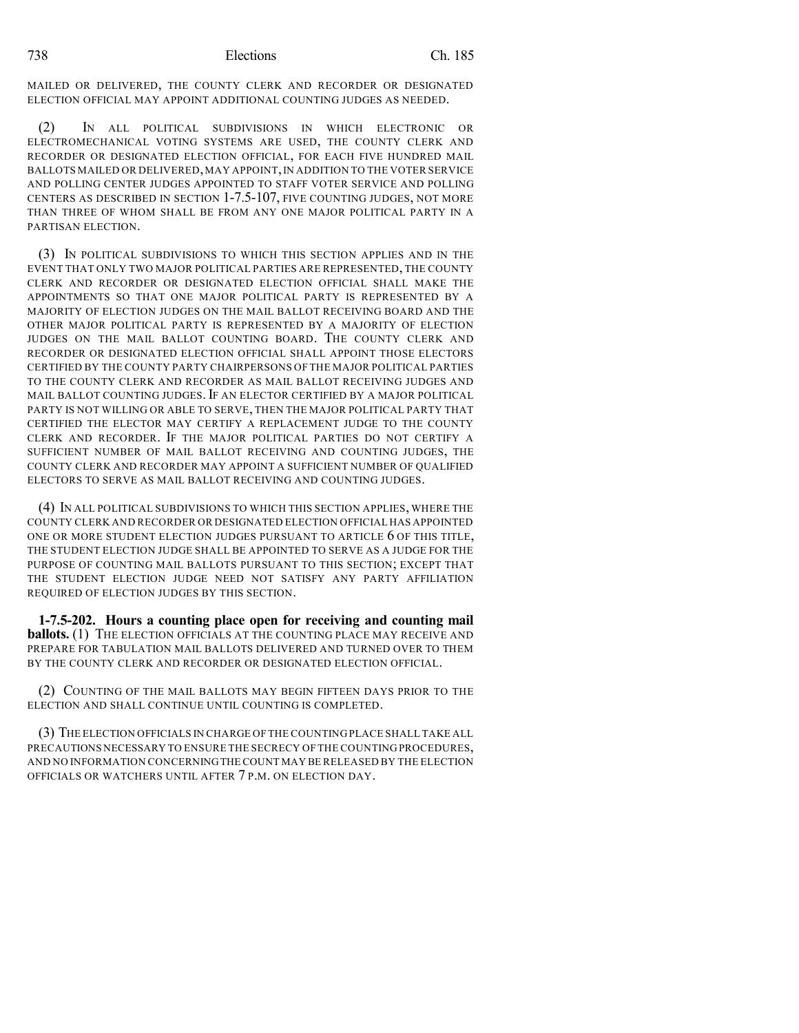MAILED OR DELIVERED, THE COUNTY CLERK AND RECORDER OR DESIGNATED ELECTION OFFICIAL MAY APPOINT ADDITIONAL COUNTING JUDGES AS NEEDED.

(2) IN ALL POLITICAL SUBDIVISIONS IN WHICH ELECTRONIC OR ELECTROMECHANICAL VOTING SYSTEMS ARE USED, THE COUNTY CLERK AND RECORDER OR DESIGNATED ELECTION OFFICIAL, FOR EACH FIVE HUNDRED MAIL BALLOTS MAILED OR DELIVERED, MAY APPOINT, IN ADDITION TO THE VOTER SERVICE AND POLLING CENTER JUDGES APPOINTED TO STAFF VOTER SERVICE AND POLLING CENTERS AS DESCRIBED IN SECTION 1-7.5-107, FIVE COUNTING JUDGES, NOT MORE THAN THREE OF WHOM SHALL BE FROM ANY ONE MAJOR POLITICAL PARTY IN A PARTISAN ELECTION.

(3) IN POLITICAL SUBDIVISIONS TO WHICH THIS SECTION APPLIES AND IN THE EVENT THAT ONLY TWO MAJOR POLITICAL PARTIES ARE REPRESENTED, THE COUNTY CLERK AND RECORDER OR DESIGNATED ELECTION OFFICIAL SHALL MAKE THE APPOINTMENTS SO THAT ONE MAJOR POLITICAL PARTY IS REPRESENTED BY A MAJORITY OF ELECTION JUDGES ON THE MAIL BALLOT RECEIVING BOARD AND THE OTHER MAJOR POLITICAL PARTY IS REPRESENTED BY A MAJORITY OF ELECTION JUDGES ON THE MAIL BALLOT COUNTING BOARD. THE COUNTY CLERK AND RECORDER OR DESIGNATED ELECTION OFFICIAL SHALL APPOINT THOSE ELECTORS CERTIFIED BY THE COUNTY PARTY CHAIRPERSONS OF THE MAJOR POLITICAL PARTIES TO THE COUNTY CLERK AND RECORDER AS MAIL BALLOT RECEIVING JUDGES AND MAIL BALLOT COUNTING JUDGES. IF AN ELECTOR CERTIFIED BY A MAJOR POLITICAL PARTY IS NOT WILLING OR ABLE TO SERVE, THEN THE MAJOR POLITICAL PARTY THAT CERTIFIED THE ELECTOR MAY CERTIFY A REPLACEMENT JUDGE TO THE COUNTY CLERK AND RECORDER. IF THE MAJOR POLITICAL PARTIES DO NOT CERTIFY A SUFFICIENT NUMBER OF MAIL BALLOT RECEIVING AND COUNTING JUDGES, THE COUNTY CLERK AND RECORDER MAY APPOINT A SUFFICIENT NUMBER OF QUALIFIED ELECTORS TO SERVE AS MAIL BALLOT RECEIVING AND COUNTING JUDGES.

(4) IN ALL POLITICAL SUBDIVISIONS TO WHICH THIS SECTION APPLIES, WHERE THE COUNTY CLERK AND RECORDER OR DESIGNATED ELECTION OFFICIAL HAS APPOINTED ONE OR MORE STUDENT ELECTION JUDGES PURSUANT TO ARTICLE 6 OF THIS TITLE, THE STUDENT ELECTION JUDGE SHALL BE APPOINTED TO SERVE AS A JUDGE FOR THE PURPOSE OF COUNTING MAIL BALLOTS PURSUANT TO THIS SECTION; EXCEPT THAT THE STUDENT ELECTION JUDGE NEED NOT SATISFY ANY PARTY AFFILIATION REQUIRED OF ELECTION JUDGES BY THIS SECTION.

**1-7.5-202. Hours a counting place open for receiving and counting mail ballots.** (1) THE ELECTION OFFICIALS AT THE COUNTING PLACE MAY RECEIVE AND PREPARE FOR TABULATION MAIL BALLOTS DELIVERED AND TURNED OVER TO THEM BY THE COUNTY CLERK AND RECORDER OR DESIGNATED ELECTION OFFICIAL.

(2) COUNTING OF THE MAIL BALLOTS MAY BEGIN FIFTEEN DAYS PRIOR TO THE ELECTION AND SHALL CONTINUE UNTIL COUNTING IS COMPLETED.

(3) THE ELECTION OFFICIALS IN CHARGE OF THE COUNTING PLACE SHALL TAKE ALL PRECAUTIONS NECESSARY TO ENSURE THE SECRECY OF THE COUNTING PROCEDURES, AND NO INFORMATION CONCERNINGTHE COUNT MAY BE RELEASED BY THE ELECTION OFFICIALS OR WATCHERS UNTIL AFTER 7 P.M. ON ELECTION DAY.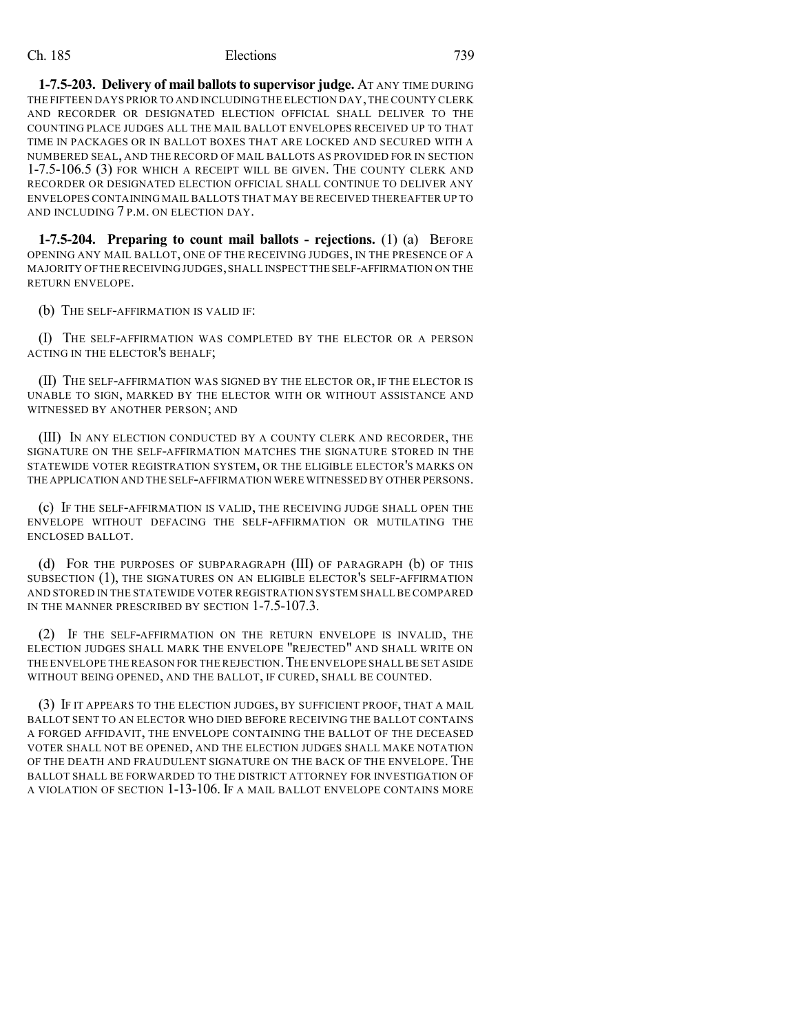**1-7.5-203. Delivery of mail ballotsto supervisor judge.** AT ANY TIME DURING THE FIFTEEN DAYS PRIOR TO AND INCLUDING THE ELECTION DAY,THE COUNTY CLERK AND RECORDER OR DESIGNATED ELECTION OFFICIAL SHALL DELIVER TO THE COUNTING PLACE JUDGES ALL THE MAIL BALLOT ENVELOPES RECEIVED UP TO THAT TIME IN PACKAGES OR IN BALLOT BOXES THAT ARE LOCKED AND SECURED WITH A NUMBERED SEAL, AND THE RECORD OF MAIL BALLOTS AS PROVIDED FOR IN SECTION 1-7.5-106.5 (3) FOR WHICH A RECEIPT WILL BE GIVEN. THE COUNTY CLERK AND RECORDER OR DESIGNATED ELECTION OFFICIAL SHALL CONTINUE TO DELIVER ANY ENVELOPES CONTAINING MAIL BALLOTS THAT MAY BE RECEIVED THEREAFTER UP TO AND INCLUDING 7 P.M. ON ELECTION DAY.

**1-7.5-204. Preparing to count mail ballots - rejections.** (1) (a) BEFORE OPENING ANY MAIL BALLOT, ONE OF THE RECEIVING JUDGES, IN THE PRESENCE OF A MAJORITY OF THE RECEIVING JUDGES,SHALL INSPECT THE SELF-AFFIRMATION ON THE RETURN ENVELOPE.

(b) THE SELF-AFFIRMATION IS VALID IF:

(I) THE SELF-AFFIRMATION WAS COMPLETED BY THE ELECTOR OR A PERSON ACTING IN THE ELECTOR'S BEHALF;

(II) THE SELF-AFFIRMATION WAS SIGNED BY THE ELECTOR OR, IF THE ELECTOR IS UNABLE TO SIGN, MARKED BY THE ELECTOR WITH OR WITHOUT ASSISTANCE AND WITNESSED BY ANOTHER PERSON; AND

(III) IN ANY ELECTION CONDUCTED BY A COUNTY CLERK AND RECORDER, THE SIGNATURE ON THE SELF-AFFIRMATION MATCHES THE SIGNATURE STORED IN THE STATEWIDE VOTER REGISTRATION SYSTEM, OR THE ELIGIBLE ELECTOR'S MARKS ON THE APPLICATION AND THE SELF-AFFIRMATION WERE WITNESSED BY OTHER PERSONS.

(c) IF THE SELF-AFFIRMATION IS VALID, THE RECEIVING JUDGE SHALL OPEN THE ENVELOPE WITHOUT DEFACING THE SELF-AFFIRMATION OR MUTILATING THE ENCLOSED BALLOT.

(d) FOR THE PURPOSES OF SUBPARAGRAPH (III) OF PARAGRAPH (b) OF THIS SUBSECTION (1), THE SIGNATURES ON AN ELIGIBLE ELECTOR'S SELF-AFFIRMATION AND STORED IN THE STATEWIDE VOTER REGISTRATION SYSTEM SHALL BE COMPARED IN THE MANNER PRESCRIBED BY SECTION 1-7.5-107.3.

(2) IF THE SELF-AFFIRMATION ON THE RETURN ENVELOPE IS INVALID, THE ELECTION JUDGES SHALL MARK THE ENVELOPE "REJECTED" AND SHALL WRITE ON THE ENVELOPE THE REASON FOR THE REJECTION. THE ENVELOPE SHALL BE SET ASIDE WITHOUT BEING OPENED, AND THE BALLOT, IF CURED, SHALL BE COUNTED.

(3) IF IT APPEARS TO THE ELECTION JUDGES, BY SUFFICIENT PROOF, THAT A MAIL BALLOT SENT TO AN ELECTOR WHO DIED BEFORE RECEIVING THE BALLOT CONTAINS A FORGED AFFIDAVIT, THE ENVELOPE CONTAINING THE BALLOT OF THE DECEASED VOTER SHALL NOT BE OPENED, AND THE ELECTION JUDGES SHALL MAKE NOTATION OF THE DEATH AND FRAUDULENT SIGNATURE ON THE BACK OF THE ENVELOPE. THE BALLOT SHALL BE FORWARDED TO THE DISTRICT ATTORNEY FOR INVESTIGATION OF A VIOLATION OF SECTION 1-13-106. IF A MAIL BALLOT ENVELOPE CONTAINS MORE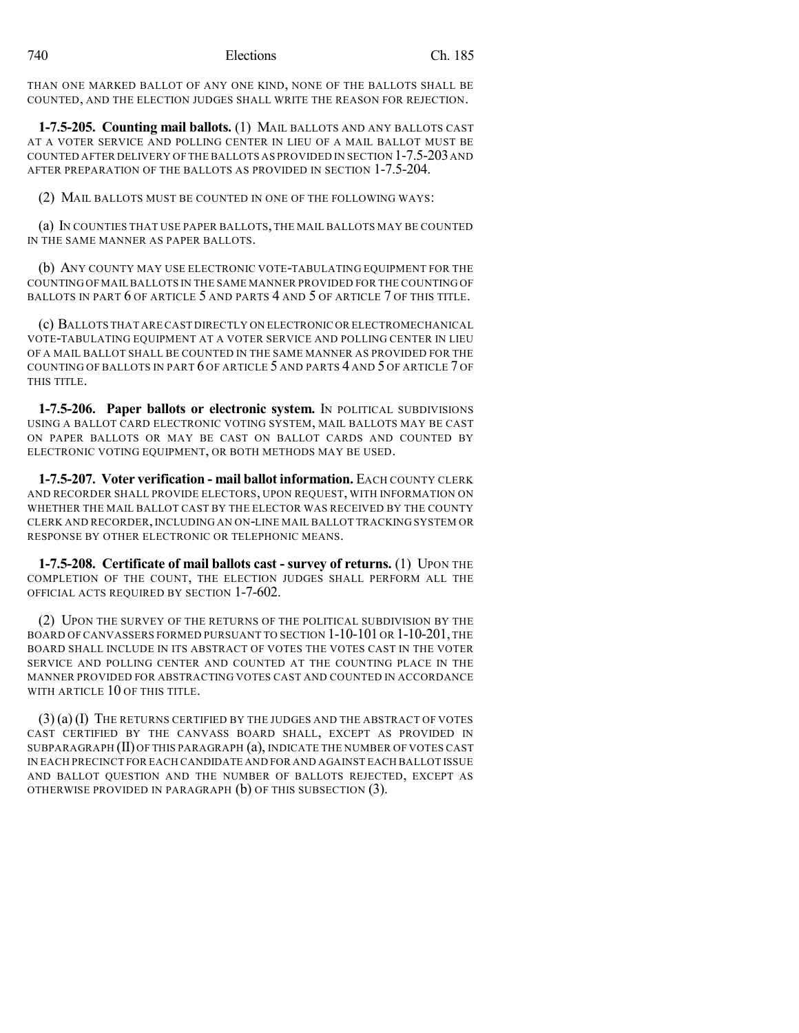THAN ONE MARKED BALLOT OF ANY ONE KIND, NONE OF THE BALLOTS SHALL BE COUNTED, AND THE ELECTION JUDGES SHALL WRITE THE REASON FOR REJECTION.

**1-7.5-205. Counting mail ballots.** (1) MAIL BALLOTS AND ANY BALLOTS CAST AT A VOTER SERVICE AND POLLING CENTER IN LIEU OF A MAIL BALLOT MUST BE COUNTED AFTER DELIVERY OF THE BALLOTS AS PROVIDED IN SECTION 1-7.5-203AND AFTER PREPARATION OF THE BALLOTS AS PROVIDED IN SECTION 1-7.5-204.

(2) MAIL BALLOTS MUST BE COUNTED IN ONE OF THE FOLLOWING WAYS:

(a) IN COUNTIES THAT USE PAPER BALLOTS, THE MAIL BALLOTS MAY BE COUNTED IN THE SAME MANNER AS PAPER BALLOTS.

(b) ANY COUNTY MAY USE ELECTRONIC VOTE-TABULATING EQUIPMENT FOR THE COUNTING OF MAILBALLOTS IN THE SAME MANNER PROVIDED FOR THE COUNTING OF BALLOTS IN PART 6 OF ARTICLE 5 AND PARTS 4 AND 5 OF ARTICLE 7 OF THIS TITLE.

(c) BALLOTS THAT ARE CAST DIRECTLY ON ELECTRONIC OR ELECTROMECHANICAL VOTE-TABULATING EQUIPMENT AT A VOTER SERVICE AND POLLING CENTER IN LIEU OF A MAIL BALLOT SHALL BE COUNTED IN THE SAME MANNER AS PROVIDED FOR THE COUNTING OF BALLOTS IN PART 6 OF ARTICLE 5 AND PARTS 4 AND 5 OF ARTICLE 7 OF THIS TITLE.

**1-7.5-206. Paper ballots or electronic system.** IN POLITICAL SUBDIVISIONS USING A BALLOT CARD ELECTRONIC VOTING SYSTEM, MAIL BALLOTS MAY BE CAST ON PAPER BALLOTS OR MAY BE CAST ON BALLOT CARDS AND COUNTED BY ELECTRONIC VOTING EQUIPMENT, OR BOTH METHODS MAY BE USED.

**1-7.5-207. Voter verification - mail ballot information.** EACH COUNTY CLERK AND RECORDER SHALL PROVIDE ELECTORS, UPON REQUEST, WITH INFORMATION ON WHETHER THE MAIL BALLOT CAST BY THE ELECTOR WAS RECEIVED BY THE COUNTY CLERK AND RECORDER, INCLUDING AN ON-LINE MAIL BALLOT TRACKING SYSTEM OR RESPONSE BY OTHER ELECTRONIC OR TELEPHONIC MEANS.

**1-7.5-208.** Certificate of mail ballots cast - survey of returns. (1) UPON THE COMPLETION OF THE COUNT, THE ELECTION JUDGES SHALL PERFORM ALL THE OFFICIAL ACTS REQUIRED BY SECTION 1-7-602.

(2) UPON THE SURVEY OF THE RETURNS OF THE POLITICAL SUBDIVISION BY THE BOARD OF CANVASSERS FORMED PURSUANT TO SECTION 1-10-101 OR 1-10-201, THE BOARD SHALL INCLUDE IN ITS ABSTRACT OF VOTES THE VOTES CAST IN THE VOTER SERVICE AND POLLING CENTER AND COUNTED AT THE COUNTING PLACE IN THE MANNER PROVIDED FOR ABSTRACTING VOTES CAST AND COUNTED IN ACCORDANCE WITH ARTICLE 10 OF THIS TITLE.

(3) (a) (I) THE RETURNS CERTIFIED BY THE JUDGES AND THE ABSTRACT OF VOTES CAST CERTIFIED BY THE CANVASS BOARD SHALL, EXCEPT AS PROVIDED IN SUBPARAGRAPH (II) OF THIS PARAGRAPH (a), INDICATE THE NUMBER OF VOTES CAST IN EACH PRECINCT FOR EACH CANDIDATE AND FOR AND AGAINST EACH BALLOT ISSUE AND BALLOT QUESTION AND THE NUMBER OF BALLOTS REJECTED, EXCEPT AS OTHERWISE PROVIDED IN PARAGRAPH (b) OF THIS SUBSECTION (3).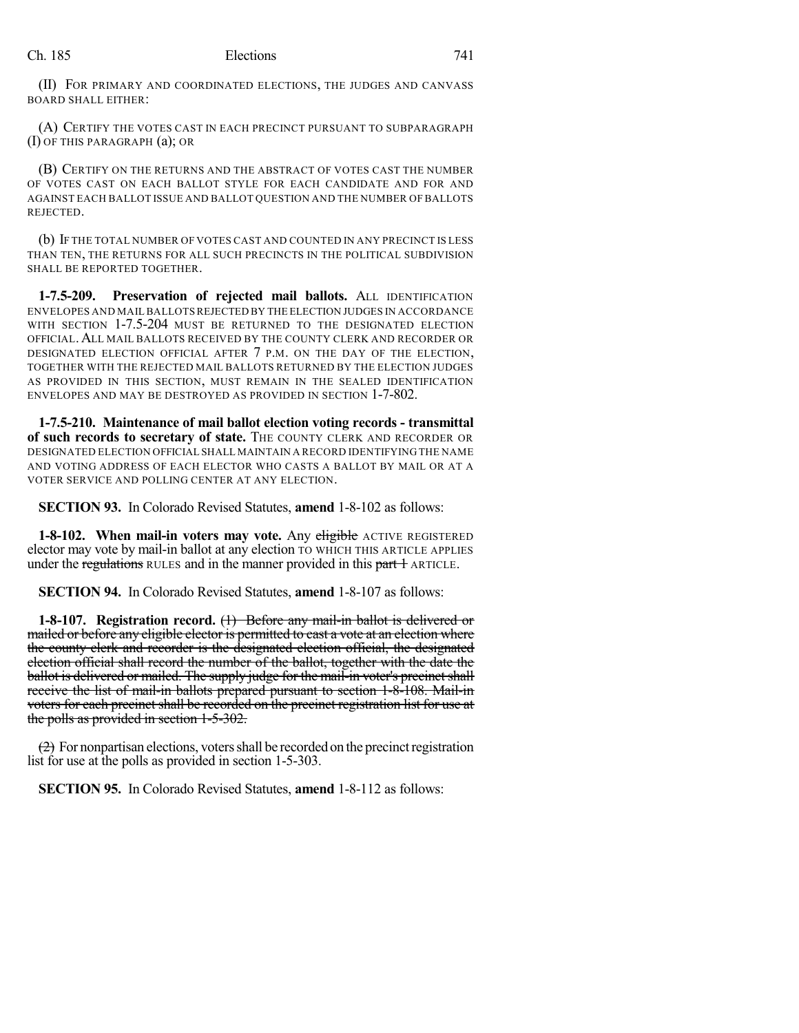(II) FOR PRIMARY AND COORDINATED ELECTIONS, THE JUDGES AND CANVASS BOARD SHALL EITHER:

(A) CERTIFY THE VOTES CAST IN EACH PRECINCT PURSUANT TO SUBPARAGRAPH (I) OF THIS PARAGRAPH (a); OR

(B) CERTIFY ON THE RETURNS AND THE ABSTRACT OF VOTES CAST THE NUMBER OF VOTES CAST ON EACH BALLOT STYLE FOR EACH CANDIDATE AND FOR AND AGAINST EACH BALLOT ISSUE AND BALLOT QUESTION AND THE NUMBER OF BALLOTS REJECTED.

(b) IF THE TOTAL NUMBER OF VOTES CAST AND COUNTED IN ANY PRECINCT IS LESS THAN TEN, THE RETURNS FOR ALL SUCH PRECINCTS IN THE POLITICAL SUBDIVISION SHALL BE REPORTED TOGETHER.

**1-7.5-209. Preservation of rejected mail ballots.** ALL IDENTIFICATION ENVELOPES AND MAILBALLOTSREJECTED BY THE ELECTION JUDGES IN ACCORDANCE WITH SECTION 1-7.5-204 MUST BE RETURNED TO THE DESIGNATED ELECTION OFFICIAL.ALL MAIL BALLOTS RECEIVED BY THE COUNTY CLERK AND RECORDER OR DESIGNATED ELECTION OFFICIAL AFTER 7 P.M. ON THE DAY OF THE ELECTION, TOGETHER WITH THE REJECTED MAIL BALLOTS RETURNED BY THE ELECTION JUDGES AS PROVIDED IN THIS SECTION, MUST REMAIN IN THE SEALED IDENTIFICATION ENVELOPES AND MAY BE DESTROYED AS PROVIDED IN SECTION 1-7-802.

**1-7.5-210. Maintenance of mail ballot election voting records - transmittal of such records to secretary of state.** THE COUNTY CLERK AND RECORDER OR DESIGNATED ELECTION OFFICIAL SHALL MAINTAIN A RECORD IDENTIFYING THE NAME AND VOTING ADDRESS OF EACH ELECTOR WHO CASTS A BALLOT BY MAIL OR AT A VOTER SERVICE AND POLLING CENTER AT ANY ELECTION.

**SECTION 93.** In Colorado Revised Statutes, **amend** 1-8-102 as follows:

**1-8-102. When mail-in voters may vote.** Any eligible ACTIVE REGISTERED elector may vote by mail-in ballot at any election TO WHICH THIS ARTICLE APPLIES under the regulations RULES and in the manner provided in this part + ARTICLE.

**SECTION 94.** In Colorado Revised Statutes, **amend** 1-8-107 as follows:

**1-8-107. Registration record.** (1) Before any mail-in ballot is delivered or mailed or before any eligible elector is permitted to cast a vote at an election where the county clerk and recorder is the designated election official, the designated election official shall record the number of the ballot, together with the date the ballot is delivered or mailed. The supply judge for the mail-in voter's precinct shall receive the list of mail-in ballots prepared pursuant to section 1-8-108. Mail-in voters for each precinct shall be recorded on the precinct registration list for use at the polls as provided in section 1-5-302.

 $(2)$  For nonpartisan elections, voters shall be recorded on the precinct registration list for use at the polls as provided in section 1-5-303.

**SECTION 95.** In Colorado Revised Statutes, **amend** 1-8-112 as follows: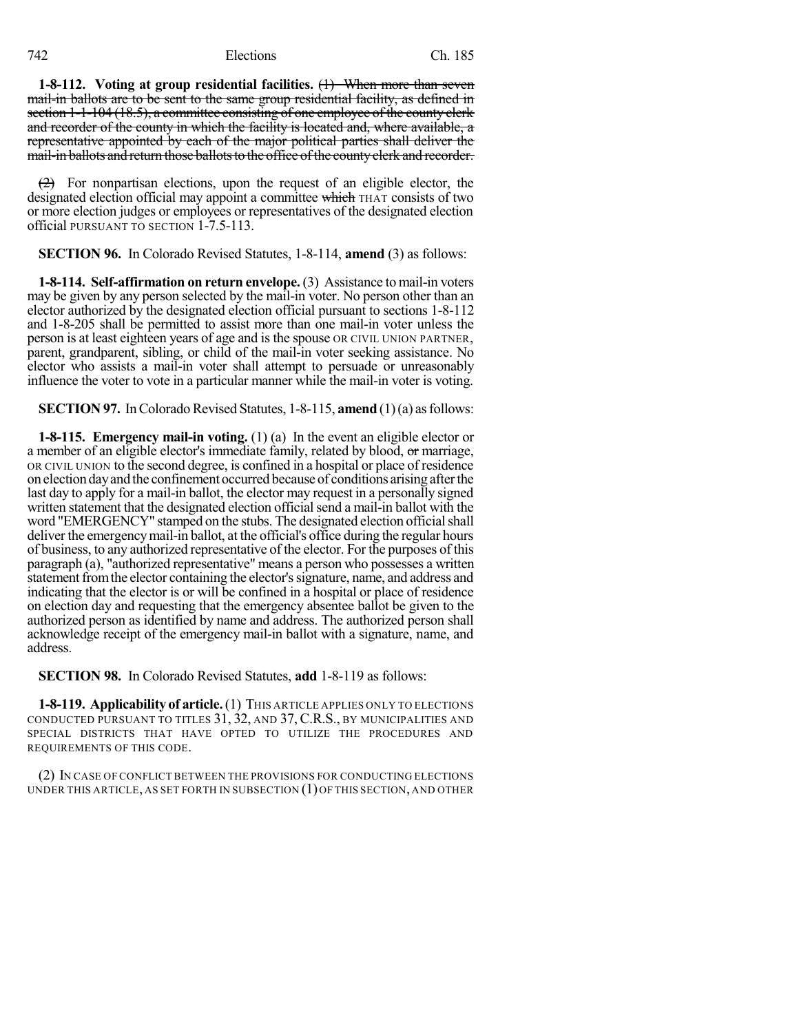**1-8-112. Voting at group residential facilities.** (1) When more than seven mail-in ballots are to be sent to the same group residential facility, as defined in section 1-1-104 (18.5), a committee consisting of one employee of the county clerk and recorder of the county in which the facility is located and, where available, a representative appointed by each of the major political parties shall deliver the mail-in ballots and return those ballots to the office of the county clerk and recorder.

 $(2)$  For nonpartisan elections, upon the request of an eligible elector, the designated election official may appoint a committee which THAT consists of two or more election judges or employees or representatives of the designated election official PURSUANT TO SECTION 1-7.5-113.

**SECTION 96.** In Colorado Revised Statutes, 1-8-114, **amend** (3) as follows:

**1-8-114. Self-affirmation on return envelope.** (3) Assistance to mail-in voters may be given by any person selected by the mail-in voter. No person other than an elector authorized by the designated election official pursuant to sections 1-8-112 and 1-8-205 shall be permitted to assist more than one mail-in voter unless the person is at least eighteen years of age and is the spouse OR CIVIL UNION PARTNER, parent, grandparent, sibling, or child of the mail-in voter seeking assistance. No elector who assists a mail-in voter shall attempt to persuade or unreasonably influence the voter to vote in a particular manner while the mail-in voter is voting.

**SECTION 97.** In Colorado Revised Statutes, 1-8-115, **amend** (1)(a) as follows:

**1-8-115. Emergency mail-in voting.** (1) (a) In the event an eligible elector or a member of an eligible elector's immediate family, related by blood, or marriage, OR CIVIL UNION to the second degree, is confined in a hospital or place of residence on electiondayand the confinement occurred because of conditions arising afterthe last day to apply for a mail-in ballot, the elector may request in a personally signed written statement that the designated election official send a mail-in ballot with the word "EMERGENCY" stamped on the stubs. The designated election official shall deliver the emergencymail-in ballot, at the official's office during the regular hours of business, to any authorized representative of the elector. For the purposes of this paragraph (a), "authorized representative" means a person who possesses a written statement from the elector containing the elector's signature, name, and address and indicating that the elector is or will be confined in a hospital or place of residence on election day and requesting that the emergency absentee ballot be given to the authorized person as identified by name and address. The authorized person shall acknowledge receipt of the emergency mail-in ballot with a signature, name, and address.

**SECTION 98.** In Colorado Revised Statutes, **add** 1-8-119 as follows:

**1-8-119. Applicability of article.**(1) THIS ARTICLE APPLIES ONLY TO ELECTIONS CONDUCTED PURSUANT TO TITLES 31, 32, AND 37, C.R.S., BY MUNICIPALITIES AND SPECIAL DISTRICTS THAT HAVE OPTED TO UTILIZE THE PROCEDURES AND REQUIREMENTS OF THIS CODE.

(2) IN CASE OF CONFLICT BETWEEN THE PROVISIONS FOR CONDUCTING ELECTIONS UNDER THIS ARTICLE, AS SET FORTH IN SUBSECTION (1)OF THIS SECTION, AND OTHER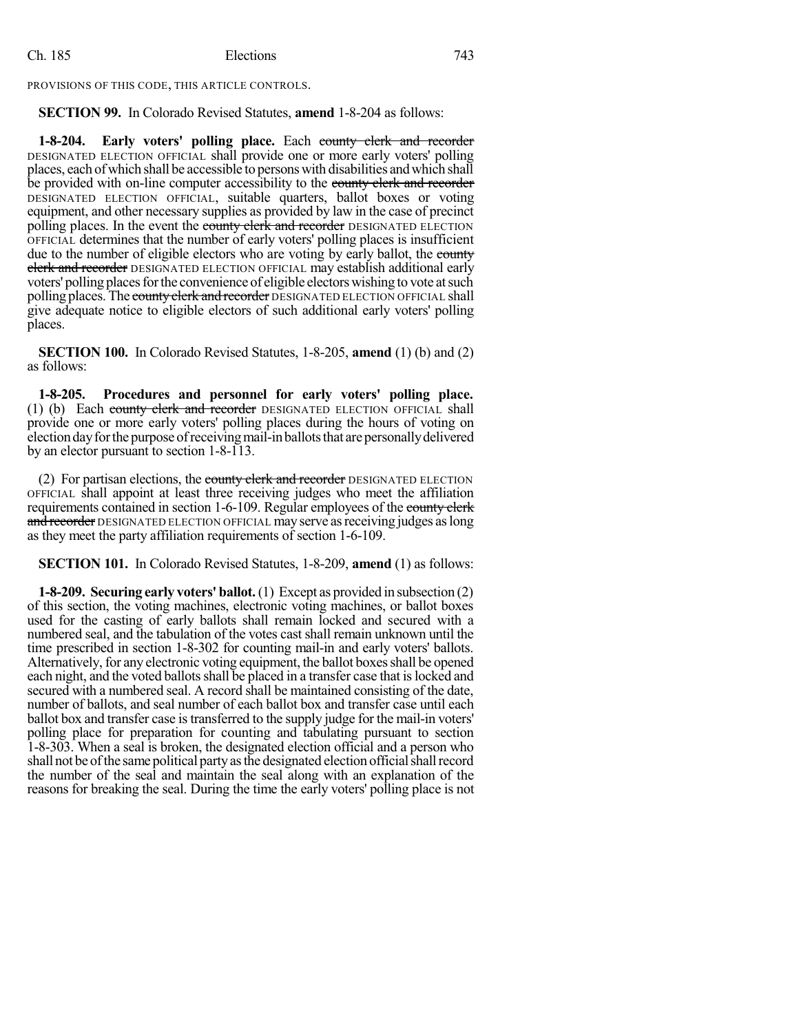PROVISIONS OF THIS CODE, THIS ARTICLE CONTROLS.

**SECTION 99.** In Colorado Revised Statutes, **amend** 1-8-204 as follows:

**1-8-204. Early voters' polling place.** Each county clerk and recorder DESIGNATED ELECTION OFFICIAL shall provide one or more early voters' polling places, each ofwhich shall be accessible to persons with disabilities andwhich shall be provided with on-line computer accessibility to the county clerk and recorder DESIGNATED ELECTION OFFICIAL, suitable quarters, ballot boxes or voting equipment, and other necessary supplies as provided by law in the case of precinct polling places. In the event the county clerk and recorder DESIGNATED ELECTION OFFICIAL determines that the number of early voters' polling places is insufficient due to the number of eligible electors who are voting by early ballot, the county **elerk and recorder** DESIGNATED ELECTION OFFICIAL may establish additional early voters' polling places for the convenience of eligible electors wishing to vote at such polling places. The county clerk and recorder DESIGNATED ELECTION OFFICIAL shall give adequate notice to eligible electors of such additional early voters' polling places.

**SECTION 100.** In Colorado Revised Statutes, 1-8-205, **amend** (1) (b) and (2) as follows:

**1-8-205. Procedures and personnel for early voters' polling place.** (1) (b) Each county clerk and recorder DESIGNATED ELECTION OFFICIAL shall provide one or more early voters' polling places during the hours of voting on election day for the purpose of receiving mail-in ballots that are personally delivered by an elector pursuant to section 1-8-113.

(2) For partisan elections, the county clerk and recorder DESIGNATED ELECTION OFFICIAL shall appoint at least three receiving judges who meet the affiliation requirements contained in section 1-6-109. Regular employees of the county clerk and recorder DESIGNATED ELECTION OFFICIAL may serve as receiving judges as long as they meet the party affiliation requirements of section 1-6-109.

**SECTION 101.** In Colorado Revised Statutes, 1-8-209, **amend** (1) as follows:

**1-8-209. Securing early voters' ballot.**(1) Except as provided in subsection (2) of this section, the voting machines, electronic voting machines, or ballot boxes used for the casting of early ballots shall remain locked and secured with a numbered seal, and the tabulation of the votes cast shall remain unknown until the time prescribed in section 1-8-302 for counting mail-in and early voters' ballots. Alternatively, for any electronic voting equipment, the ballot boxes shall be opened each night, and the voted ballots shall be placed in a transfer case that is locked and secured with a numbered seal. A record shall be maintained consisting of the date, number of ballots, and seal number of each ballot box and transfer case until each ballot box and transfer case is transferred to the supply judge for the mail-in voters' polling place for preparation for counting and tabulating pursuant to section 1-8-303. When a seal is broken, the designated election official and a person who shall not be of the same political party as the designated election official shall record the number of the seal and maintain the seal along with an explanation of the reasons for breaking the seal. During the time the early voters' polling place is not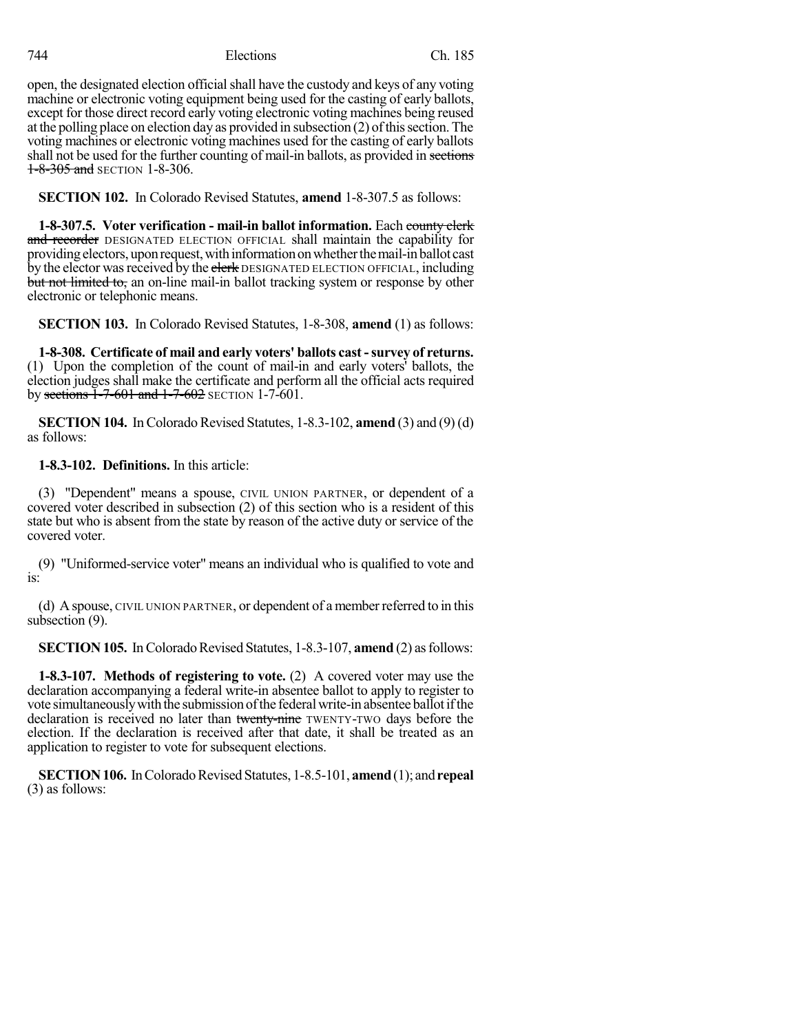open, the designated election official shall have the custody and keys of any voting machine or electronic voting equipment being used for the casting of early ballots, except for those direct record early voting electronic voting machines being reused at the polling place on election day as provided in subsection (2) of this section. The voting machines or electronic voting machines used for the casting of early ballots shall not be used for the further counting of mail-in ballots, as provided in sections **1-8-305 and SECTION 1-8-306.** 

**SECTION 102.** In Colorado Revised Statutes, **amend** 1-8-307.5 as follows:

**1-8-307.5. Voter verification - mail-in ballot information.** Each county clerk and recorder DESIGNATED ELECTION OFFICIAL shall maintain the capability for providingelectors, uponrequest,withinformationonwhetherthemail-inballot cast by the elector was received by the elerk DESIGNATED ELECTION OFFICIAL, including but not limited to, an on-line mail-in ballot tracking system or response by other electronic or telephonic means.

**SECTION 103.** In Colorado Revised Statutes, 1-8-308, **amend** (1) as follows:

**1-8-308. Certificate of mail and early voters' ballots cast -survey of returns.** (1) Upon the completion of the count of mail-in and early voters' ballots, the election judges shall make the certificate and perform all the official acts required by sections 1-7-601 and 1-7-602 SECTION 1-7-601.

**SECTION 104.** In Colorado Revised Statutes, 1-8.3-102, **amend** (3) and (9) (d) as follows:

## **1-8.3-102. Definitions.** In this article:

(3) "Dependent" means a spouse, CIVIL UNION PARTNER, or dependent of a covered voter described in subsection (2) of this section who is a resident of this state but who is absent from the state by reason of the active duty or service of the covered voter.

(9) "Uniformed-service voter" means an individual who is qualified to vote and is:

(d) A spouse, CIVIL UNION PARTNER, or dependent of a memberreferred to in this subsection (9).

**SECTION 105.** In Colorado Revised Statutes, 1-8.3-107, **amend** (2) as follows:

**1-8.3-107. Methods of registering to vote.** (2) A covered voter may use the declaration accompanying a federal write-in absentee ballot to apply to register to vote simultaneously with the submission of the federal write-in absentee ballot if the declaration is received no later than twenty-nine TWENTY-TWO days before the election. If the declaration is received after that date, it shall be treated as an application to register to vote for subsequent elections.

**SECTION 106.** In Colorado Revised Statutes, 1-8.5-101, **amend** (1); and **repeal** (3) as follows: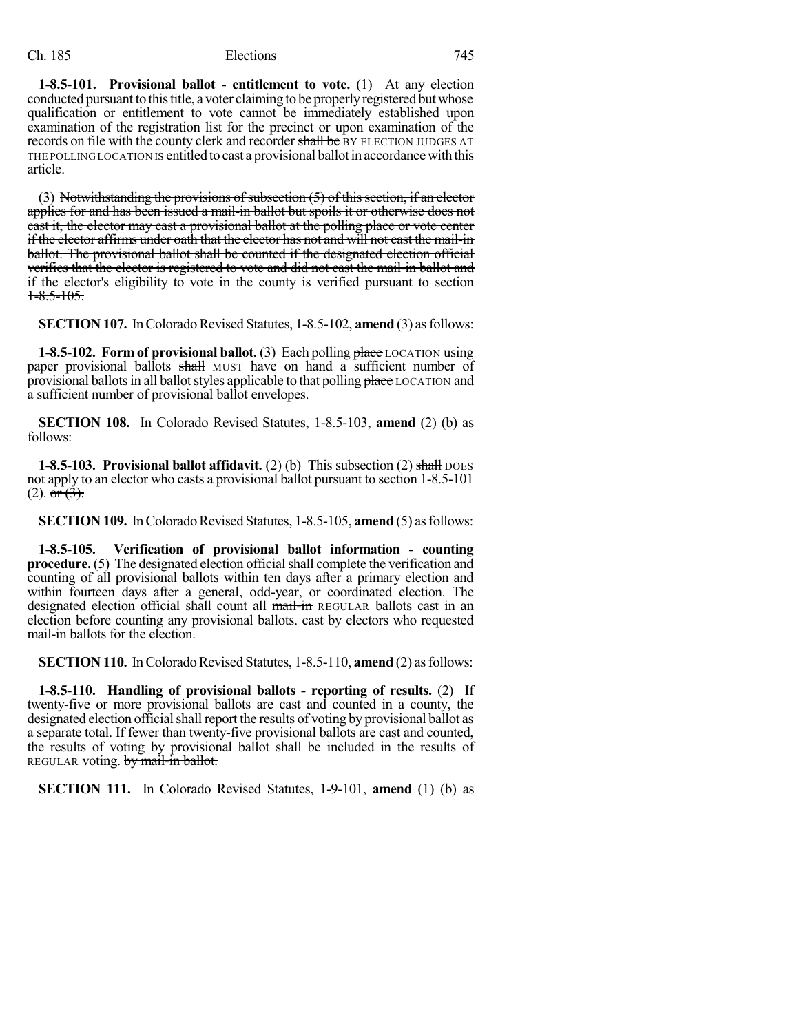**1-8.5-101. Provisional ballot - entitlement to vote.** (1) At any election conducted pursuant to this title, a voter claiming to be properly registered but whose qualification or entitlement to vote cannot be immediately established upon examination of the registration list for the precinct or upon examination of the records on file with the county clerk and recorder shall be BY ELECTION JUDGES AT THE POLLING LOCATION IS entitled to cast a provisional ballot in accordance with this article.

(3) Notwithstanding the provisions of subsection  $(5)$  of this section, if an elector applies for and has been issued a mail-in ballot but spoils it or otherwise does not cast it, the elector may cast a provisional ballot at the polling place or vote center if the elector affirms under oath that the elector has not and will not cast the mail-in ballot. The provisional ballot shall be counted if the designated election official verifies that the elector is registered to vote and did not cast the mail-in ballot and if the elector's eligibility to vote in the county is verified pursuant to section  $1 - 8.5 - 105.$ 

**SECTION 107.** In Colorado Revised Statutes, 1-8.5-102, **amend** (3) as follows:

**1-8.5-102. Form of provisional ballot.** (3) Each polling place LOCATION using paper provisional ballots shall MUST have on hand a sufficient number of provisional ballots in all ballot styles applicable to that polling place LOCATION and a sufficient number of provisional ballot envelopes.

**SECTION 108.** In Colorado Revised Statutes, 1-8.5-103, **amend** (2) (b) as follows:

**1-8.5-103. Provisional ballot affidavit.** (2) (b) This subsection (2) shall DOES not apply to an elector who casts a provisional ballot pursuant to section 1-8.5-101  $(2). \overline{or(3)}$ .

**SECTION 109.** In Colorado Revised Statutes, 1-8.5-105, **amend** (5) as follows:

**1-8.5-105. Verification of provisional ballot information - counting procedure.** (5) The designated election official shall complete the verification and counting of all provisional ballots within ten days after a primary election and within fourteen days after a general, odd-year, or coordinated election. The designated election official shall count all mail-in REGULAR ballots cast in an election before counting any provisional ballots. east by electors who requested mail-in ballots for the election.

**SECTION 110.** In Colorado Revised Statutes, 1-8.5-110, **amend** (2) as follows:

**1-8.5-110. Handling of provisional ballots - reporting of results.** (2) If twenty-five or more provisional ballots are cast and counted in a county, the designated election official shall report the results of voting by provisional ballot as a separate total. If fewer than twenty-five provisional ballots are cast and counted, the results of voting by provisional ballot shall be included in the results of REGULAR voting. by mail-in ballot.

**SECTION 111.** In Colorado Revised Statutes, 1-9-101, **amend** (1) (b) as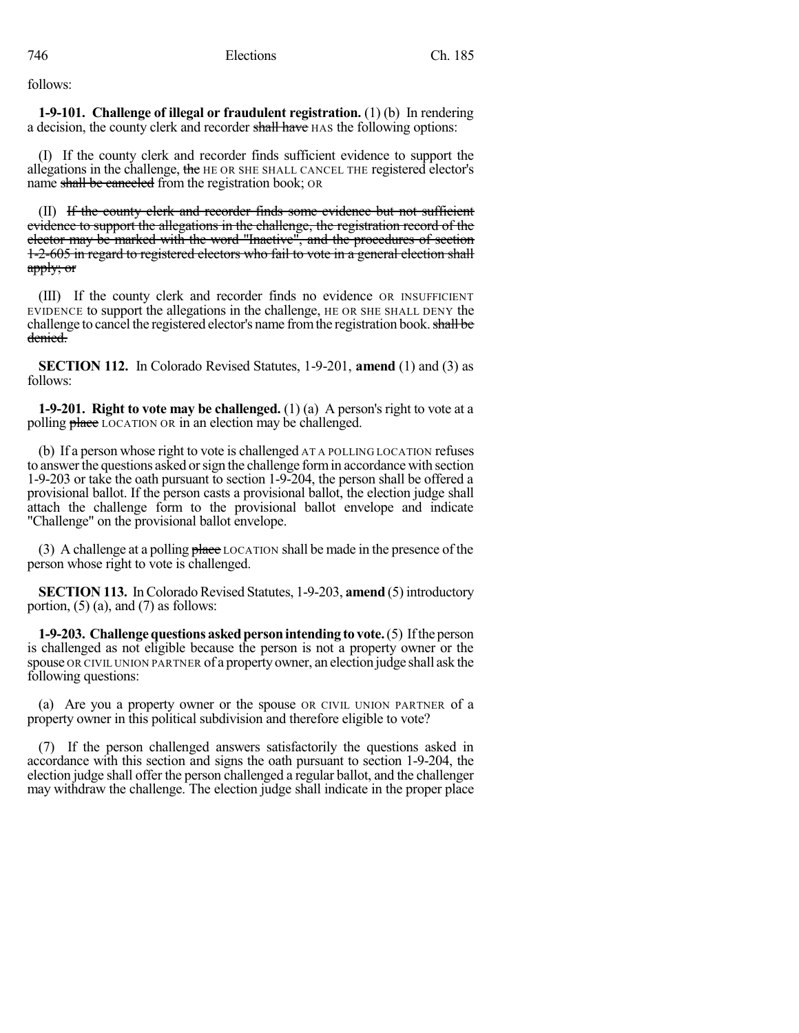follows:

**1-9-101. Challenge of illegal or fraudulent registration.** (1) (b) In rendering a decision, the county clerk and recorder shall have HAS the following options:

(I) If the county clerk and recorder finds sufficient evidence to support the allegations in the challenge, the HE OR SHE SHALL CANCEL THE registered elector's name shall be canceled from the registration book; OR

(II) If the county clerk and recorder finds some evidence but not sufficient evidence to support the allegations in the challenge, the registration record of the elector may be marked with the word "Inactive", and the procedures of section 1-2-605 in regard to registered electors who fail to vote in a general election shall apply; or

(III) If the county clerk and recorder finds no evidence OR INSUFFICIENT EVIDENCE to support the allegations in the challenge, HE OR SHE SHALL DENY the challenge to cancel the registered elector's name from the registration book. shall be denied.

**SECTION 112.** In Colorado Revised Statutes, 1-9-201, **amend** (1) and (3) as follows:

**1-9-201. Right to vote may be challenged.** (1) (a) A person's right to vote at a polling **place** LOCATION OR in an election may be challenged.

(b) If a person whose right to vote is challenged AT A POLLING LOCATION refuses to answer the questions asked or sign the challenge form in accordance with section 1-9-203 or take the oath pursuant to section 1-9-204, the person shall be offered a provisional ballot. If the person casts a provisional ballot, the election judge shall attach the challenge form to the provisional ballot envelope and indicate "Challenge" on the provisional ballot envelope.

(3) A challenge at a polling  $\theta$  place LOCATION shall be made in the presence of the person whose right to vote is challenged.

**SECTION 113.** In Colorado Revised Statutes, 1-9-203, **amend** (5) introductory portion,  $(5)$  (a), and  $(7)$  as follows:

**1-9-203.** Challenge questions asked person intending to vote. (5) If the person is challenged as not eligible because the person is not a property owner or the spouse OR CIVIL UNION PARTNER of a propertyowner, an election judge shall ask the following questions:

(a) Are you a property owner or the spouse OR CIVIL UNION PARTNER of a property owner in this political subdivision and therefore eligible to vote?

(7) If the person challenged answers satisfactorily the questions asked in accordance with this section and signs the oath pursuant to section 1-9-204, the election judge shall offer the person challenged a regular ballot, and the challenger may withdraw the challenge. The election judge shall indicate in the proper place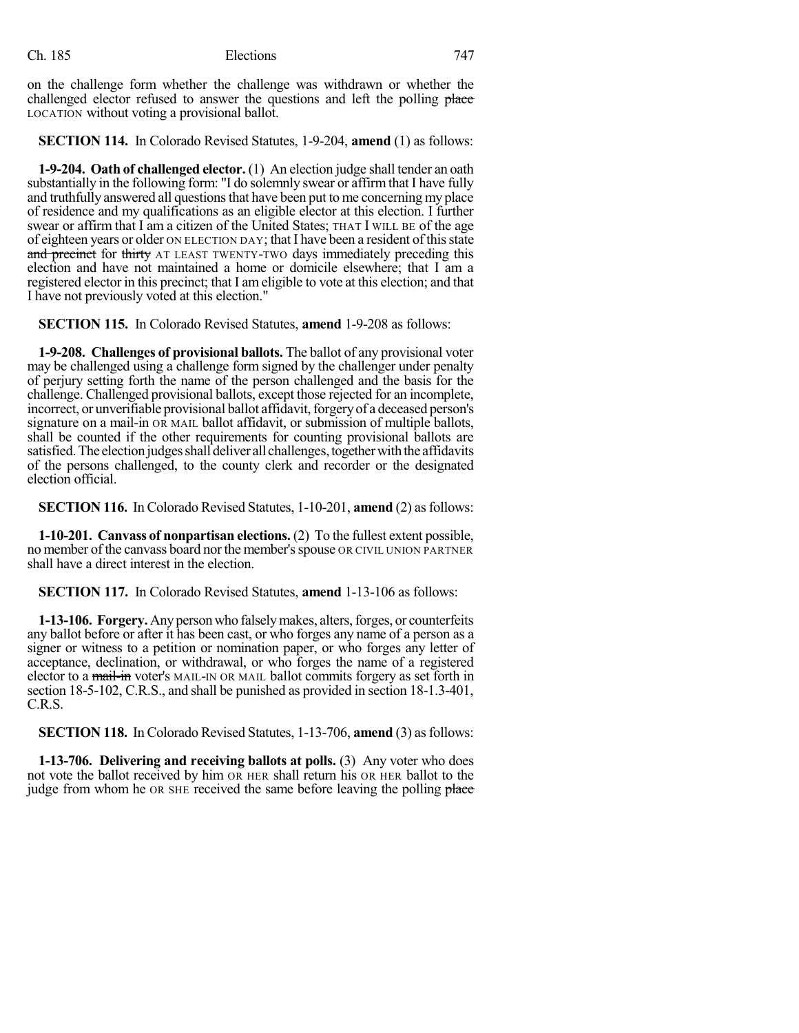on the challenge form whether the challenge was withdrawn or whether the challenged elector refused to answer the questions and left the polling place LOCATION without voting a provisional ballot.

**SECTION 114.** In Colorado Revised Statutes, 1-9-204, **amend** (1) as follows:

**1-9-204. Oath of challenged elector.** (1) An election judge shall tender an oath substantially in the following form: "I do solemnly swear or affirmthat I have fully and truthfully answered all questions that have been put to me concerning my place of residence and my qualifications as an eligible elector at this election. I further swear or affirm that I am a citizen of the United States; THAT I WILL BE of the age of eighteen years or older ON ELECTION DAY; that I have been a resident of thisstate and precinct for thirty AT LEAST TWENTY-TWO days immediately preceding this election and have not maintained a home or domicile elsewhere; that I am a registered elector in this precinct; that I am eligible to vote at this election; and that I have not previously voted at this election."

**SECTION 115.** In Colorado Revised Statutes, **amend** 1-9-208 as follows:

**1-9-208. Challenges of provisional ballots.** The ballot of any provisional voter may be challenged using a challenge form signed by the challenger under penalty of perjury setting forth the name of the person challenged and the basis for the challenge. Challenged provisional ballots, except those rejected for an incomplete, incorrect, or unverifiable provisional ballot affidavit, forgery of a deceased person's signature on a mail-in OR MAIL ballot affidavit, or submission of multiple ballots, shall be counted if the other requirements for counting provisional ballots are satisfied. The election judges shall deliver all challenges, together with the affidavits of the persons challenged, to the county clerk and recorder or the designated election official.

**SECTION 116.** In Colorado Revised Statutes, 1-10-201, **amend** (2) asfollows:

**1-10-201. Canvass of nonpartisan elections.** (2) To the fullest extent possible, no member of the canvass board nor the member'sspouse OR CIVIL UNION PARTNER shall have a direct interest in the election.

**SECTION 117.** In Colorado Revised Statutes, **amend** 1-13-106 as follows:

**1-13-106. Forgery.** Anypersonwho falselymakes, alters,forges, or counterfeits any ballot before or after it has been cast, or who forges any name of a person as a signer or witness to a petition or nomination paper, or who forges any letter of acceptance, declination, or withdrawal, or who forges the name of a registered elector to a mail-in voter's MAIL-IN OR MAIL ballot commits forgery as set forth in section 18-5-102, C.R.S., and shall be punished as provided in section 18-1.3-401, C.R.S.

**SECTION 118.** In Colorado Revised Statutes, 1-13-706, amend (3) as follows:

**1-13-706. Delivering and receiving ballots at polls.** (3) Any voter who does not vote the ballot received by him OR HER shall return his OR HER ballot to the judge from whom he OR SHE received the same before leaving the polling place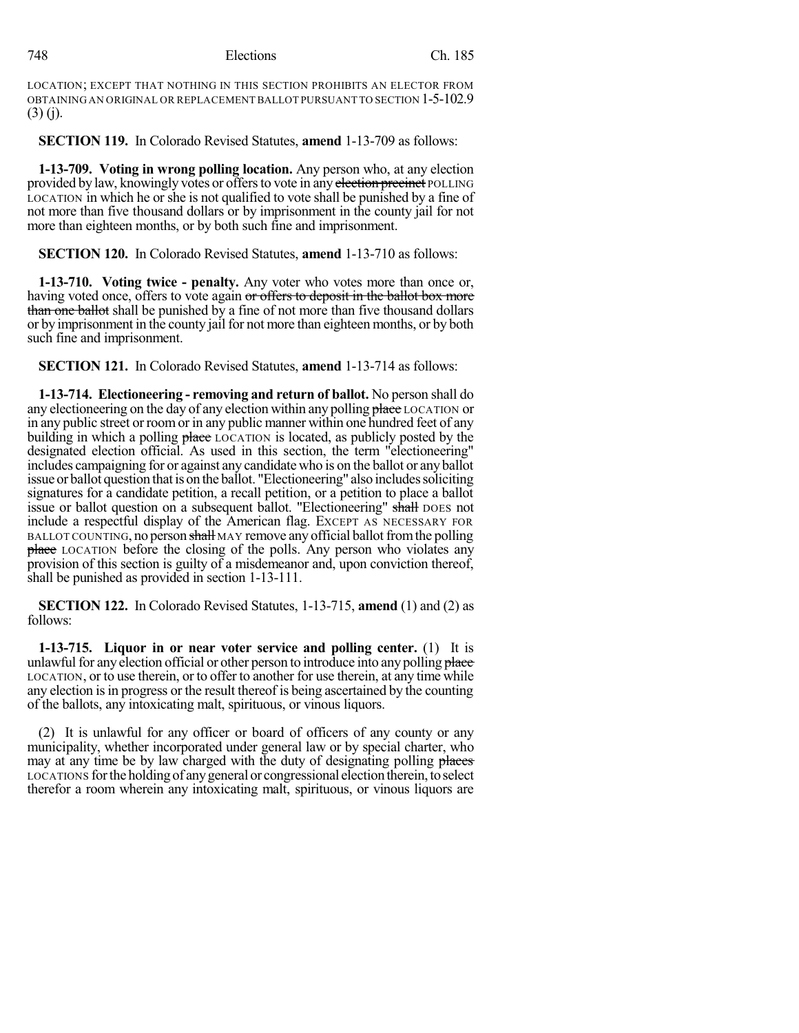LOCATION; EXCEPT THAT NOTHING IN THIS SECTION PROHIBITS AN ELECTOR FROM OBTAINING AN ORIGINAL OR REPLACEMENT BALLOT PURSUANT TO SECTION 1-5-102.9  $(3)$  (j).

**SECTION 119.** In Colorado Revised Statutes, **amend** 1-13-709 as follows:

**1-13-709. Voting in wrong polling location.** Any person who, at any election provided by law, knowingly votes or offers to vote in any election precinct POLLING LOCATION in which he or she is not qualified to vote shall be punished by a fine of not more than five thousand dollars or by imprisonment in the county jail for not more than eighteen months, or by both such fine and imprisonment.

**SECTION 120.** In Colorado Revised Statutes, **amend** 1-13-710 as follows:

**1-13-710. Voting twice - penalty.** Any voter who votes more than once or, having voted once, offers to vote again or offers to deposit in the ballot box more than one ballot shall be punished by a fine of not more than five thousand dollars or by imprisonment in the county jail for not more than eighteen months, or by both such fine and imprisonment.

**SECTION 121.** In Colorado Revised Statutes, **amend** 1-13-714 as follows:

**1-13-714. Electioneering - removing and return of ballot.** No person shall do any electioneering on the day of any election within any polling place LOCATION or in any public street or roomor in any public manner within one hundred feet of any building in which a polling place LOCATION is located, as publicly posted by the designated election official. As used in this section, the term "electioneering" includes campaigning for or against any candidate who is on the ballot or any ballot issue or ballot question that is on the ballot. "Electioneering" also includes soliciting signatures for a candidate petition, a recall petition, or a petition to place a ballot issue or ballot question on a subsequent ballot. "Electioneering" shall DOES not include a respectful display of the American flag. EXCEPT AS NECESSARY FOR BALLOT COUNTING, no person shall MAY remove any official ballot from the polling **place** LOCATION before the closing of the polls. Any person who violates any provision of this section is guilty of a misdemeanor and, upon conviction thereof, shall be punished as provided in section 1-13-111.

**SECTION 122.** In Colorado Revised Statutes, 1-13-715, **amend** (1) and (2) as follows:

**1-13-715. Liquor in or near voter service and polling center.** (1) It is unlawful for any election official or other person to introduce into any polling place LOCATION, or to use therein, or to offer to another for use therein, at any time while any election isin progress or the result thereof is being ascertained by the counting of the ballots, any intoxicating malt, spirituous, or vinous liquors.

(2) It is unlawful for any officer or board of officers of any county or any municipality, whether incorporated under general law or by special charter, who may at any time be by law charged with the duty of designating polling places LOCATIONS forthe holding of anygeneral or congressional electiontherein,toselect therefor a room wherein any intoxicating malt, spirituous, or vinous liquors are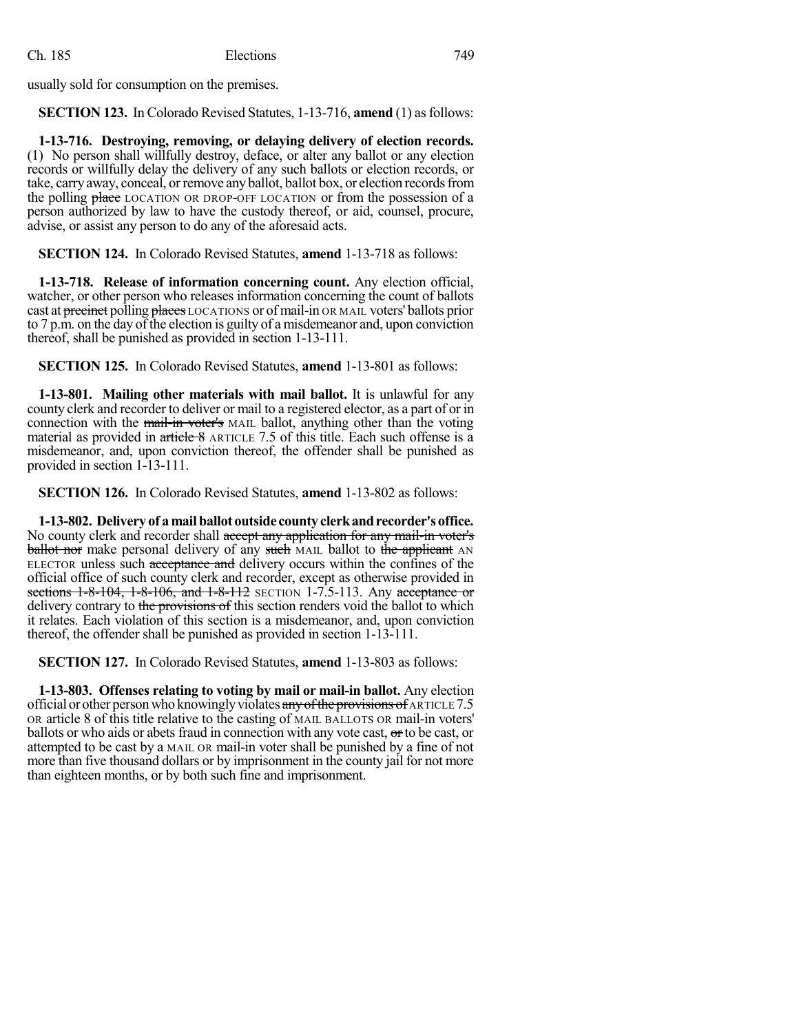usually sold for consumption on the premises.

**SECTION 123.** In Colorado Revised Statutes, 1-13-716, **amend** (1) asfollows:

**1-13-716. Destroying, removing, or delaying delivery of election records.** (1) No person shall willfully destroy, deface, or alter any ballot or any election records or willfully delay the delivery of any such ballots or election records, or take, carry away, conceal, or remove any ballot, ballot box, or election records from the polling place LOCATION OR DROP-OFF LOCATION or from the possession of a person authorized by law to have the custody thereof, or aid, counsel, procure, advise, or assist any person to do any of the aforesaid acts.

**SECTION 124.** In Colorado Revised Statutes, **amend** 1-13-718 as follows:

**1-13-718. Release of information concerning count.** Any election official, watcher, or other person who releases information concerning the count of ballots cast at precinct polling places LOCATIONS or of mail-in OR MAIL voters' ballots prior to  $7 \text{ p.m.}$  on the day of the election is guilty of a misdemeanor and, upon conviction thereof, shall be punished as provided in section 1-13-111.

**SECTION 125.** In Colorado Revised Statutes, **amend** 1-13-801 as follows:

**1-13-801. Mailing other materials with mail ballot.** It is unlawful for any county clerk and recorder to deliver or mail to a registered elector, as a part of or in connection with the mail-in voter's MAIL ballot, anything other than the voting material as provided in  $\frac{artice}{8}$  ARTICLE 7.5 of this title. Each such offense is a misdemeanor, and, upon conviction thereof, the offender shall be punished as provided in section 1-13-111.

**SECTION 126.** In Colorado Revised Statutes, **amend** 1-13-802 as follows:

**1-13-802. Delivery of amailballot outside countyclerkandrecorder'soffice.** No county clerk and recorder shall accept any application for any mail-in voter's **ballot nor** make personal delivery of any such MAIL ballot to the applicant AN ELECTOR unless such acceptance and delivery occurs within the confines of the official office of such county clerk and recorder, except as otherwise provided in sections 1-8-104, 1-8-106, and 1-8-112 SECTION 1-7.5-113. Any acceptance or delivery contrary to the provisions of this section renders void the ballot to which it relates. Each violation of this section is a misdemeanor, and, upon conviction thereof, the offender shall be punished as provided in section 1-13-111.

**SECTION 127.** In Colorado Revised Statutes, **amend** 1-13-803 as follows:

**1-13-803. Offenses relating to voting by mail or mail-in ballot.** Any election official or other person who knowingly violates any of the provisions of ARTICLE 7.5 OR article 8 of this title relative to the casting of MAIL BALLOTS OR mail-in voters' ballots or who aids or abets fraud in connection with any vote cast, or to be cast, or attempted to be cast by a MAIL OR mail-in voter shall be punished by a fine of not more than five thousand dollars or by imprisonment in the county jail for not more than eighteen months, or by both such fine and imprisonment.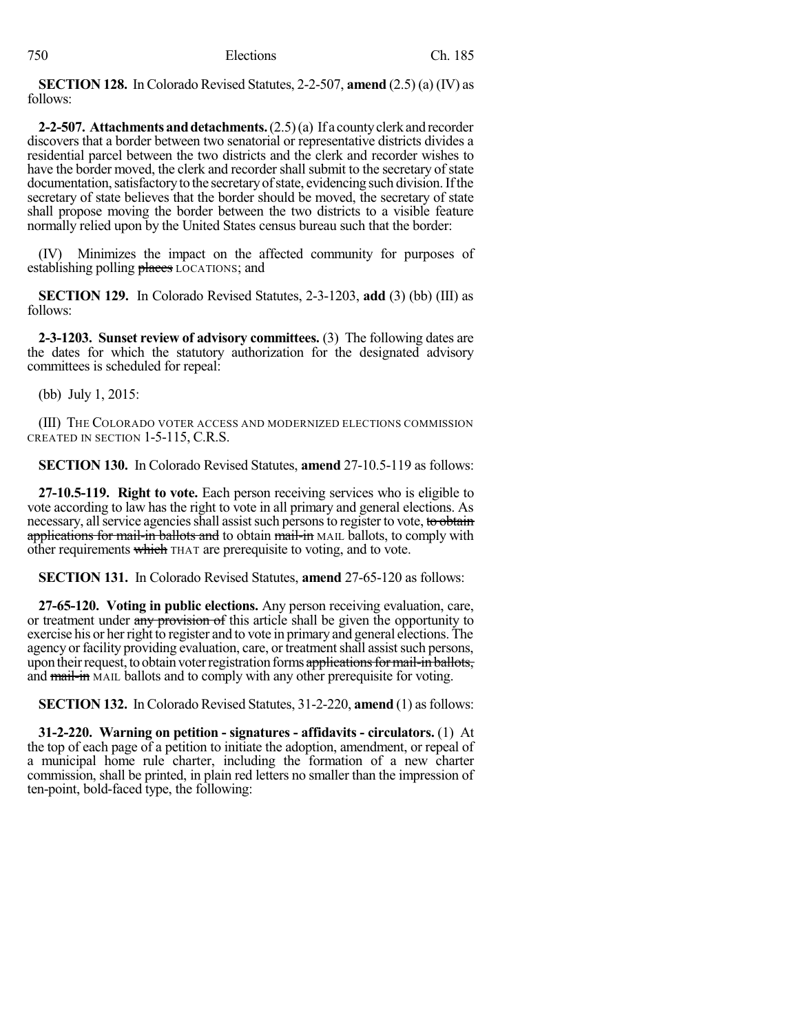**SECTION 128.** In Colorado Revised Statutes, 2-2-507, **amend** (2.5) (a) (IV) as follows:

**2-2-507. Attachmentsanddetachments.**(2.5)(a) If a countyclerk and recorder discovers that a border between two senatorial or representative districts divides a residential parcel between the two districts and the clerk and recorder wishes to have the border moved, the clerk and recorder shall submit to the secretary of state documentation, satisfactory to the secretary of state, evidencing such division. If the secretary of state believes that the border should be moved, the secretary of state shall propose moving the border between the two districts to a visible feature normally relied upon by the United States census bureau such that the border:

(IV) Minimizes the impact on the affected community for purposes of establishing polling places LOCATIONS; and

**SECTION 129.** In Colorado Revised Statutes, 2-3-1203, **add** (3) (bb) (III) as follows:

**2-3-1203. Sunset review of advisory committees.** (3) The following dates are the dates for which the statutory authorization for the designated advisory committees is scheduled for repeal:

(bb) July 1, 2015:

(III) THE COLORADO VOTER ACCESS AND MODERNIZED ELECTIONS COMMISSION CREATED IN SECTION 1-5-115, C.R.S.

**SECTION 130.** In Colorado Revised Statutes, **amend** 27-10.5-119 as follows:

**27-10.5-119. Right to vote.** Each person receiving services who is eligible to vote according to law has the right to vote in all primary and general elections. As necessary, all service agencies shall assist such persons to register to vote, to obtain applications for mail-in ballots and to obtain mail-in MAIL ballots, to comply with other requirements which THAT are prerequisite to voting, and to vote.

**SECTION 131.** In Colorado Revised Statutes, **amend** 27-65-120 as follows:

**27-65-120. Voting in public elections.** Any person receiving evaluation, care, or treatment under any provision of this article shall be given the opportunity to exercise his or herright to register and to vote in primary and general elections. The agency or facility providing evaluation, care, or treatment shall assist such persons, upon their request, to obtain voter registration forms applications for mail-in ballots, and mail-in MAIL ballots and to comply with any other prerequisite for voting.

**SECTION 132.** In Colorado Revised Statutes, 31-2-220, **amend** (1) asfollows:

**31-2-220. Warning on petition - signatures - affidavits - circulators.** (1) At the top of each page of a petition to initiate the adoption, amendment, or repeal of a municipal home rule charter, including the formation of a new charter commission, shall be printed, in plain red letters no smaller than the impression of ten-point, bold-faced type, the following: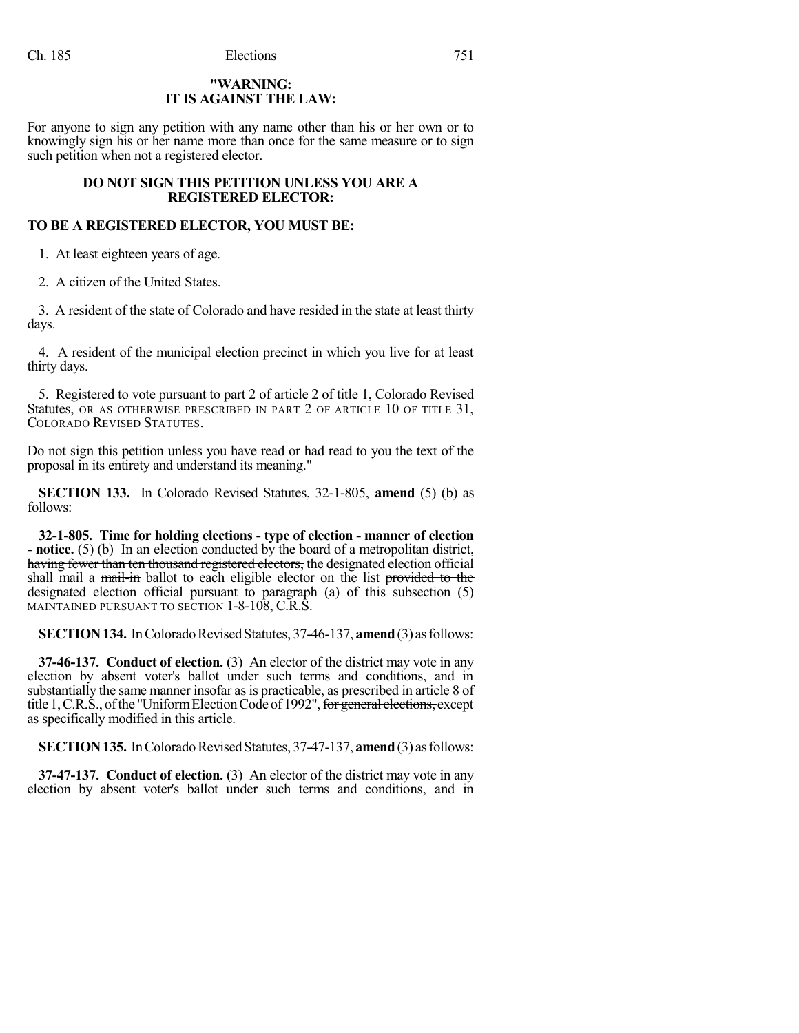# **"WARNING: IT IS AGAINST THE LAW:**

For anyone to sign any petition with any name other than his or her own or to knowingly sign his or her name more than once for the same measure or to sign such petition when not a registered elector.

# **DO NOT SIGN THIS PETITION UNLESS YOU ARE A REGISTERED ELECTOR:**

# **TO BE A REGISTERED ELECTOR, YOU MUST BE:**

1. At least eighteen years of age.

2. A citizen of the United States.

3. A resident of the state of Colorado and have resided in the state at least thirty days.

4. A resident of the municipal election precinct in which you live for at least thirty days.

5. Registered to vote pursuant to part 2 of article 2 of title 1, Colorado Revised Statutes, OR AS OTHERWISE PRESCRIBED IN PART 2 OF ARTICLE 10 OF TITLE 31, COLORADO REVISED STATUTES.

Do not sign this petition unless you have read or had read to you the text of the proposal in its entirety and understand its meaning."

**SECTION 133.** In Colorado Revised Statutes, 32-1-805, **amend** (5) (b) as follows:

**32-1-805. Time for holding elections - type of election - manner of election - notice.** (5) (b) In an election conducted by the board of a metropolitan district, having fewer than ten thousand registered electors, the designated election official shall mail a mail-in ballot to each eligible elector on the list provided to the designated election official pursuant to paragraph (a) of this subsection (5) MAINTAINED PURSUANT TO SECTION 1-8-108, C.R.S.

**SECTION 134.** In Colorado Revised Statutes, 37-46-137, **amend** (3) as follows:

**37-46-137. Conduct of election.** (3) An elector of the district may vote in any election by absent voter's ballot under such terms and conditions, and in substantially the same manner insofar as is practicable, as prescribed in article 8 of title 1, C.R.S., of the "Uniform Election Code of 1992", for general elections, except as specifically modified in this article.

**SECTION 135.** In Colorado Revised Statutes, 37-47-137, **amend** (3) as follows:

**37-47-137. Conduct of election.** (3) An elector of the district may vote in any election by absent voter's ballot under such terms and conditions, and in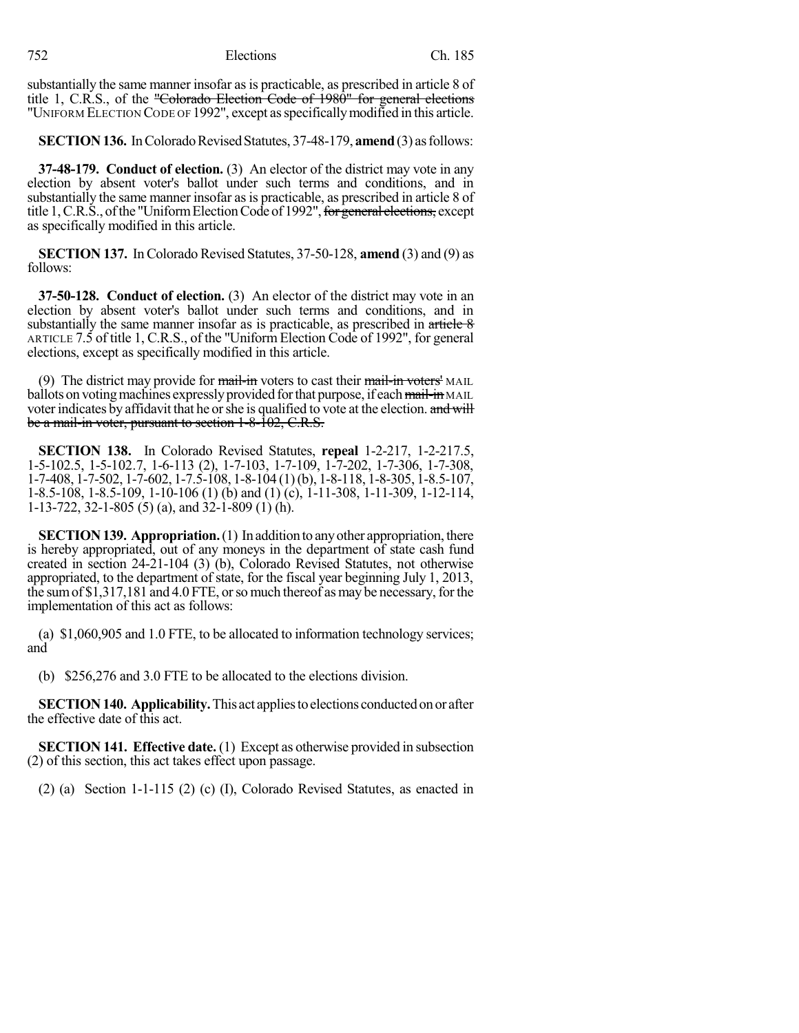substantially the same manner insofar as is practicable, as prescribed in article 8 of title 1, C.R.S., of the "Colorado Election Code of 1980" for general elections "UNIFORM ELECTION CODE OF 1992", except as specifically modified in this article.

**SECTION 136.** In Colorado Revised Statutes, 37-48-179, **amend** (3) as follows:

**37-48-179. Conduct of election.** (3) An elector of the district may vote in any election by absent voter's ballot under such terms and conditions, and in substantially the same manner insofar as is practicable, as prescribed in article 8 of title 1, C.R.S., of the "Uniform Election Code of 1992", for general elections, except as specifically modified in this article.

**SECTION 137.** In Colorado Revised Statutes, 37-50-128, **amend** (3) and (9) as follows:

**37-50-128. Conduct of election.** (3) An elector of the district may vote in an election by absent voter's ballot under such terms and conditions, and in substantially the same manner insofar as is practicable, as prescribed in  $\frac{\text{article } 8}{\text{article } 8}$ ARTICLE 7.5 of title 1, C.R.S., of the "Uniform Election Code of 1992", for general elections, except as specifically modified in this article.

(9) The district may provide for  $\frac{1}{\text{mail-in}}$  voters to cast their  $\frac{1}{\text{mail-in}}$  voters' MAIL ballots on voting machines expressly provided for that purpose, if each mail-in MAIL voter indicates by affidavit that he or she is qualified to vote at the election. and will be a mail-in voter, pursuant to section 1-8-102, C.R.S.

**SECTION 138.** In Colorado Revised Statutes, **repeal** 1-2-217, 1-2-217.5, 1-5-102.5, 1-5-102.7, 1-6-113 (2), 1-7-103, 1-7-109, 1-7-202, 1-7-306, 1-7-308, 1-7-408, 1-7-502, 1-7-602, 1-7.5-108, 1-8-104 (1)(b), 1-8-118, 1-8-305, 1-8.5-107, 1-8.5-108, 1-8.5-109, 1-10-106 (1) (b) and (1) (c), 1-11-308, 1-11-309, 1-12-114, 1-13-722, 32-1-805 (5) (a), and 32-1-809 (1) (h).

**SECTION 139. Appropriation.** (1) In addition to any other appropriation, there is hereby appropriated, out of any moneys in the department of state cash fund created in section 24-21-104 (3) (b), Colorado Revised Statutes, not otherwise appropriated, to the department of state, for the fiscal year beginning July 1, 2013, the sum of  $$1,317,181$  and  $4.0$  FTE, or so much thereof as may be necessary, for the implementation of this act as follows:

(a) \$1,060,905 and 1.0 FTE, to be allocated to information technology services; and

(b) \$256,276 and 3.0 FTE to be allocated to the elections division.

**SECTION 140. Applicability.** This act applies to elections conducted on or after the effective date of this act.

**SECTION 141. Effective date.** (1) Except as otherwise provided in subsection (2) of this section, this act takes effect upon passage.

(2) (a) Section 1-1-115 (2) (c) (I), Colorado Revised Statutes, as enacted in